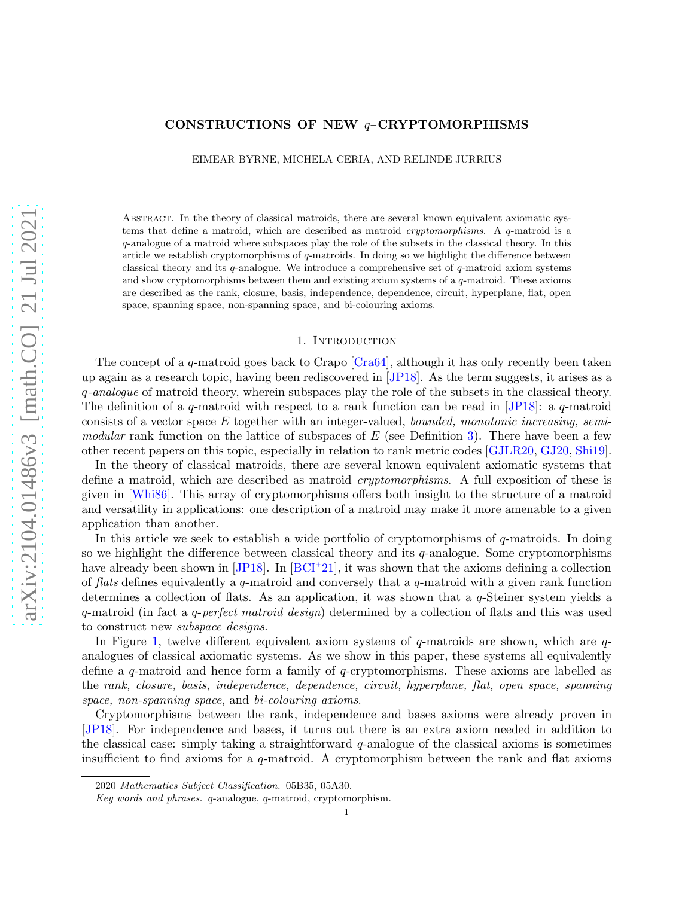# arXiv:2104.01486v3 [math.CO] 21 Jul 2021 [arXiv:2104.01486v3 \[math.CO\] 21 Jul 2021](http://arxiv.org/abs/2104.01486v3)

# CONSTRUCTIONS OF NEW q−CRYPTOMORPHISMS

EIMEAR BYRNE, MICHELA CERIA, AND RELINDE JURRIUS

Abstract. In the theory of classical matroids, there are several known equivalent axiomatic systems that define a matroid, which are described as matroid *cryptomorphisms*. A q-matroid is a q-analogue of a matroid where subspaces play the role of the subsets in the classical theory. In this article we establish cryptomorphisms of q-matroids. In doing so we highlight the difference between classical theory and its  $q$ -analogue. We introduce a comprehensive set of  $q$ -matroid axiom systems and show cryptomorphisms between them and existing axiom systems of a  $q$ -matroid. These axioms are described as the rank, closure, basis, independence, dependence, circuit, hyperplane, flat, open space, spanning space, non-spanning space, and bi-colouring axioms.

### 1. Introduction

The concept of a q-matroid goes back to Crapo  $[Cra64]$ , although it has only recently been taken up again as a research topic, having been rediscovered in [\[JP18\]](#page-30-0). As the term suggests, it arises as a q*-analogue* of matroid theory, wherein subspaces play the role of the subsets in the classical theory. The definition of a q-matroid with respect to a rank function can be read in [\[JP18\]](#page-30-0): a q-matroid consists of a vector space E together with an integer-valued, *bounded, monotonic increasing, semimodular* rank function on the lattice of subspaces of E (see Definition [3\)](#page-2-0). There have been a few other recent papers on this topic, especially in relation to rank metric codes [\[GJLR20,](#page-29-1) [GJ20,](#page-29-2) [Shi19\]](#page-30-1).

In the theory of classical matroids, there are several known equivalent axiomatic systems that define a matroid, which are described as matroid *cryptomorphisms*. A full exposition of these is given in [\[Whi86\]](#page-30-2). This array of cryptomorphisms offers both insight to the structure of a matroid and versatility in applications: one description of a matroid may make it more amenable to a given application than another.

In this article we seek to establish a wide portfolio of cryptomorphisms of q-matroids. In doing so we highlight the difference between classical theory and its  $q$ -analogue. Some cryptomorphisms have already been shown in [\[JP18\]](#page-30-0). In [\[BCI](#page-29-3)<sup>+</sup>21], it was shown that the axioms defining a collection of *flats* defines equivalently a q-matroid and conversely that a q-matroid with a given rank function determines a collection of flats. As an application, it was shown that a q-Steiner system yields a q-matroid (in fact a q-*perfect matroid design*) determined by a collection of flats and this was used to construct new *subspace designs*.

In Figure [1,](#page-1-0) twelve different equivalent axiom systems of  $q$ -matroids are shown, which are  $q$ analogues of classical axiomatic systems. As we show in this paper, these systems all equivalently define a q-matroid and hence form a family of q-cryptomorphisms. These axioms are labelled as the *rank, closure, basis, independence, dependence, circuit, hyperplane, flat, open space, spanning space, non-spanning space*, and *bi-colouring axioms*.

Cryptomorphisms between the rank, independence and bases axioms were already proven in [\[JP18\]](#page-30-0). For independence and bases, it turns out there is an extra axiom needed in addition to the classical case: simply taking a straightforward  $q$ -analogue of the classical axioms is sometimes insufficient to find axioms for a  $q$ -matroid. A cryptomorphism between the rank and flat axioms

<sup>2020</sup> *Mathematics Subject Classification.* 05B35, 05A30.

*Key words and phrases.* q-analogue, q-matroid, cryptomorphism.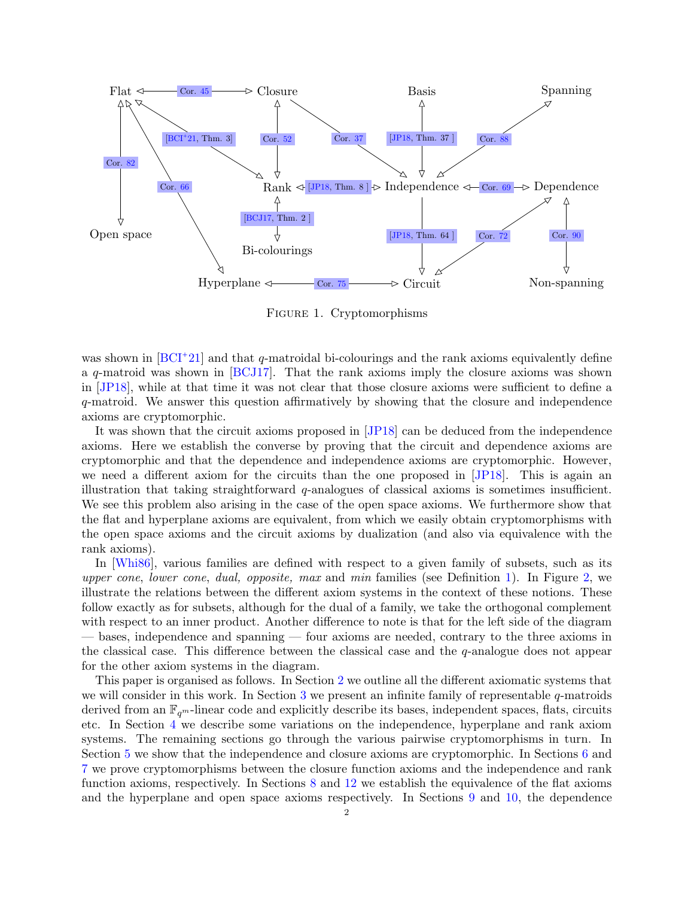<span id="page-1-0"></span>

Figure 1. Cryptomorphisms

was shown in [\[BCI](#page-29-3)<sup>+</sup>21] and that q-matroidal bi-colourings and the rank axioms equivalently define a q-matroid was shown in [\[BCJ17\]](#page-29-6). That the rank axioms imply the closure axioms was shown in [\[JP18\]](#page-30-0), while at that time it was not clear that those closure axioms were sufficient to define a q-matroid. We answer this question affirmatively by showing that the closure and independence axioms are cryptomorphic.

It was shown that the circuit axioms proposed in [\[JP18\]](#page-30-0) can be deduced from the independence axioms. Here we establish the converse by proving that the circuit and dependence axioms are cryptomorphic and that the dependence and independence axioms are cryptomorphic. However, we need a different axiom for the circuits than the one proposed in [\[JP18\]](#page-30-0). This is again an illustration that taking straightforward q-analogues of classical axioms is sometimes insufficient. We see this problem also arising in the case of the open space axioms. We furthermore show that the flat and hyperplane axioms are equivalent, from which we easily obtain cryptomorphisms with the open space axioms and the circuit axioms by dualization (and also via equivalence with the rank axioms).

In [\[Whi86\]](#page-30-2), various families are defined with respect to a given family of subsets, such as its *upper cone*, *lower cone*, *dual, opposite, max* and *min* families (see Definition [1\)](#page-2-1). In Figure [2,](#page-2-2) we illustrate the relations between the different axiom systems in the context of these notions. These follow exactly as for subsets, although for the dual of a family, we take the orthogonal complement with respect to an inner product. Another difference to note is that for the left side of the diagram — bases, independence and spanning — four axioms are needed, contrary to the three axioms in the classical case. This difference between the classical case and the  $q$ -analogue does not appear for the other axiom systems in the diagram.

This paper is organised as follows. In Section [2](#page-2-3) we outline all the different axiomatic systems that we will consider in this work. In Section [3](#page-5-0) we present an infinite family of representable  $q$ -matroids derived from an  $\mathbb{F}_{q^m}$ -linear code and explicitly describe its bases, independent spaces, flats, circuits etc. In Section [4](#page-11-0) we describe some variations on the independence, hyperplane and rank axiom systems. The remaining sections go through the various pairwise cryptomorphisms in turn. In Section [5](#page-14-0) we show that the independence and closure axioms are cryptomorphic. In Sections [6](#page-16-1) and [7](#page-18-1) we prove cryptomorphisms between the closure function axioms and the independence and rank function axioms, respectively. In Sections [8](#page-20-1) and [12](#page-27-1) we establish the equivalence of the flat axioms and the hyperplane and open space axioms respectively. In Sections [9](#page-23-1) and [10,](#page-25-1) the dependence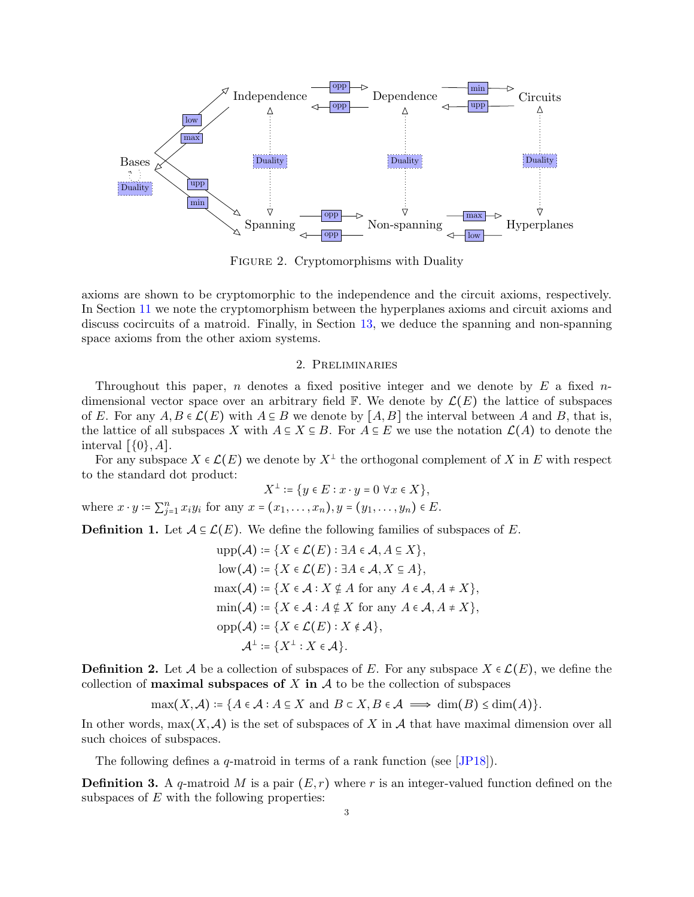<span id="page-2-2"></span>

Figure 2. Cryptomorphisms with Duality

axioms are shown to be cryptomorphic to the independence and the circuit axioms, respectively. In Section [11](#page-25-2) we note the cryptomorphism between the hyperplanes axioms and circuit axioms and discuss cocircuits of a matroid. Finally, in Section [13,](#page-28-0) we deduce the spanning and non-spanning space axioms from the other axiom systems.

## 2. Preliminaries

<span id="page-2-3"></span>Throughout this paper, n denotes a fixed positive integer and we denote by  $E$  a fixed ndimensional vector space over an arbitrary field  $\mathbb F$ . We denote by  $\mathcal L(E)$  the lattice of subspaces of E. For any  $A, B \in \mathcal{L}(E)$  with  $A \subseteq B$  we denote by  $[A, B]$  the interval between A and B, that is, the lattice of all subspaces X with  $A \subseteq X \subseteq B$ . For  $A \subseteq E$  we use the notation  $\mathcal{L}(A)$  to denote the interval  $[\{0\}, A]$ .

For any subspace  $X \in \mathcal{L}(E)$  we denote by  $X^{\perp}$  the orthogonal complement of X in E with respect to the standard dot product:

$$
X^\perp\coloneqq\{y\in E:x\cdot y=0\;\forall x\in X\},
$$

where  $x \cdot y = \sum_{j=1}^{n} x_i y_i$  for any  $x = (x_1, ..., x_n), y = (y_1, ..., y_n) \in E$ .

<span id="page-2-1"></span>**Definition 1.** Let  $A \subseteq \mathcal{L}(E)$ . We define the following families of subspaces of E.

$$
\text{upp}(\mathcal{A}) \coloneqq \{ X \in \mathcal{L}(E) : \exists A \in \mathcal{A}, A \subseteq X \},
$$
\n
$$
\text{low}(\mathcal{A}) \coloneqq \{ X \in \mathcal{L}(E) : \exists A \in \mathcal{A}, X \subseteq A \},
$$
\n
$$
\text{max}(\mathcal{A}) \coloneqq \{ X \in \mathcal{A} : X \notin A \text{ for any } A \in \mathcal{A}, A \neq X \},
$$
\n
$$
\text{min}(\mathcal{A}) \coloneqq \{ X \in \mathcal{A} : A \notin X \text{ for any } A \in \mathcal{A}, A \neq X \},
$$
\n
$$
\text{opp}(\mathcal{A}) \coloneqq \{ X \in \mathcal{L}(E) : X \notin \mathcal{A} \},
$$
\n
$$
\mathcal{A}^{\perp} \coloneqq \{ X^{\perp} : X \in \mathcal{A} \}.
$$

**Definition 2.** Let A be a collection of subspaces of E. For any subspace  $X \in \mathcal{L}(E)$ , we define the collection of **maximal subspaces of** X in  $\mathcal A$  to be the collection of subspaces

$$
\max(X, \mathcal{A}) \coloneqq \{ A \in \mathcal{A} : A \subseteq X \text{ and } B \subset X, B \in \mathcal{A} \implies \dim(B) \le \dim(A) \}.
$$

In other words,  $\max(X, \mathcal{A})$  is the set of subspaces of X in A that have maximal dimension over all such choices of subspaces.

The following defines a  $q$ -matroid in terms of a rank function (see [\[JP18\]](#page-30-0)).

<span id="page-2-0"></span>**Definition 3.** A q-matroid M is a pair  $(E, r)$  where r is an integer-valued function defined on the subspaces of  $E$  with the following properties: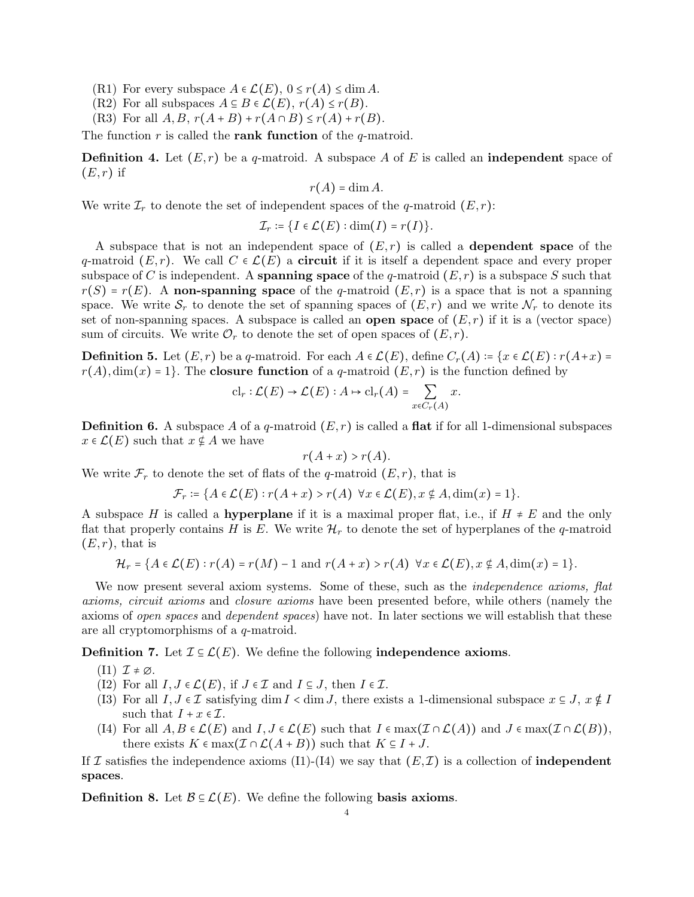- (R1) For every subspace  $A \in \mathcal{L}(E)$ ,  $0 \le r(A) \le \dim A$ .
- $(R2)$  For all subspaces  $A \subseteq B \in \mathcal{L}(E)$ ,  $r(A) \leq r(B)$ .
- (R3) For all  $A, B, r(A + B) + r(A \cap B) \le r(A) + r(B)$ .

The function  $r$  is called the **rank function** of the  $q$ -matroid.

**Definition 4.** Let  $(E, r)$  be a q-matroid. A subspace A of E is called an **independent** space of  $(E, r)$  if

$$
r(A) = \dim A.
$$

We write  $\mathcal{I}_r$  to denote the set of independent spaces of the q-matroid  $(E, r)$ :

$$
\mathcal{I}_r \coloneqq \{I \in \mathcal{L}(E) : \dim(I) = r(I)\}.
$$

A subspace that is not an independent space of  $(E, r)$  is called a **dependent space** of the q-matroid  $(E, r)$ . We call  $C \in \mathcal{L}(E)$  a **circuit** if it is itself a dependent space and every proper subspace of C is independent. A **spanning space** of the q-matroid  $(E, r)$  is a subspace S such that  $r(S) = r(E)$ . A non-spanning space of the q-matroid  $(E, r)$  is a space that is not a spanning space. We write  $S_r$  to denote the set of spanning spaces of  $(E, r)$  and we write  $\mathcal{N}_r$  to denote its set of non-spanning spaces. A subspace is called an **open space** of  $(E, r)$  if it is a (vector space) sum of circuits. We write  $\mathcal{O}_r$  to denote the set of open spaces of  $(E, r)$ .

<span id="page-3-1"></span>**Definition 5.** Let  $(E, r)$  be a q-matroid. For each  $A \in \mathcal{L}(E)$ , define  $C_r(A) = \{x \in \mathcal{L}(E) : r(A+x) =$  $r(A)$ , dim(x) = 1. The closure function of a q-matroid  $(E, r)$  is the function defined by

$$
\mathrm{cl}_r : \mathcal{L}(E) \to \mathcal{L}(E) : A \mapsto \mathrm{cl}_r(A) = \sum_{x \in C_r(A)} x.
$$

<span id="page-3-2"></span>**Definition 6.** A subspace A of a q-matroid  $(E, r)$  is called a flat if for all 1-dimensional subspaces  $x \in \mathcal{L}(E)$  such that  $x \notin A$  we have

$$
r(A+x) > r(A).
$$

We write  $\mathcal{F}_r$  to denote the set of flats of the q-matroid  $(E, r)$ , that is

$$
\mathcal{F}_r \coloneqq \{ A \in \mathcal{L}(E) : r(A + x) > r(A) \ \forall x \in \mathcal{L}(E), x \notin A, \dim(x) = 1 \}.
$$

A subspace H is called a **hyperplane** if it is a maximal proper flat, i.e., if  $H \neq E$  and the only flat that properly contains H is E. We write  $\mathcal{H}_r$  to denote the set of hyperplanes of the q-matroid  $(E, r)$ , that is

$$
\mathcal{H}_r = \{A \in \mathcal{L}(E) : r(A) = r(M) - 1 \text{ and } r(A + x) > r(A) \ \forall x \in \mathcal{L}(E), x \notin A, \dim(x) = 1\}.
$$

We now present several axiom systems. Some of these, such as the *independence axioms, flat axioms, circuit axioms* and *closure axioms* have been presented before, while others (namely the axioms of *open spaces* and *dependent spaces*) have not. In later sections we will establish that these are all cryptomorphisms of a q-matroid.

<span id="page-3-0"></span>**Definition 7.** Let  $\mathcal{I} \subseteq \mathcal{L}(E)$ . We define the following **independence axioms.** 

- $(I1)$   $\mathcal{I} \neq \emptyset$ .
- (I2) For all  $I, J \in \mathcal{L}(E)$ , if  $J \in \mathcal{I}$  and  $I \subseteq J$ , then  $I \in \mathcal{I}$ .
- (I3) For all  $I, J \in \mathcal{I}$  satisfying dim  $I <$  dim  $J$ , there exists a 1-dimensional subspace  $x \in J$ ,  $x \notin I$ such that  $I + x \in \mathcal{I}$ .
- (I4) For all  $A, B \in \mathcal{L}(E)$  and  $I, J \in \mathcal{L}(E)$  such that  $I \in \max(\mathcal{I} \cap \mathcal{L}(A))$  and  $J \in \max(\mathcal{I} \cap \mathcal{L}(B))$ , there exists  $K \in \max(\mathcal{I} \cap \mathcal{L}(A + B))$  such that  $K \subseteq I + J$ .

If I satisfies the independence axioms (I1)-(I4) we say that  $(E,\mathcal{I})$  is a collection of **independent** spaces.

**Definition 8.** Let  $\mathcal{B} \subseteq \mathcal{L}(E)$ . We define the following basis axioms.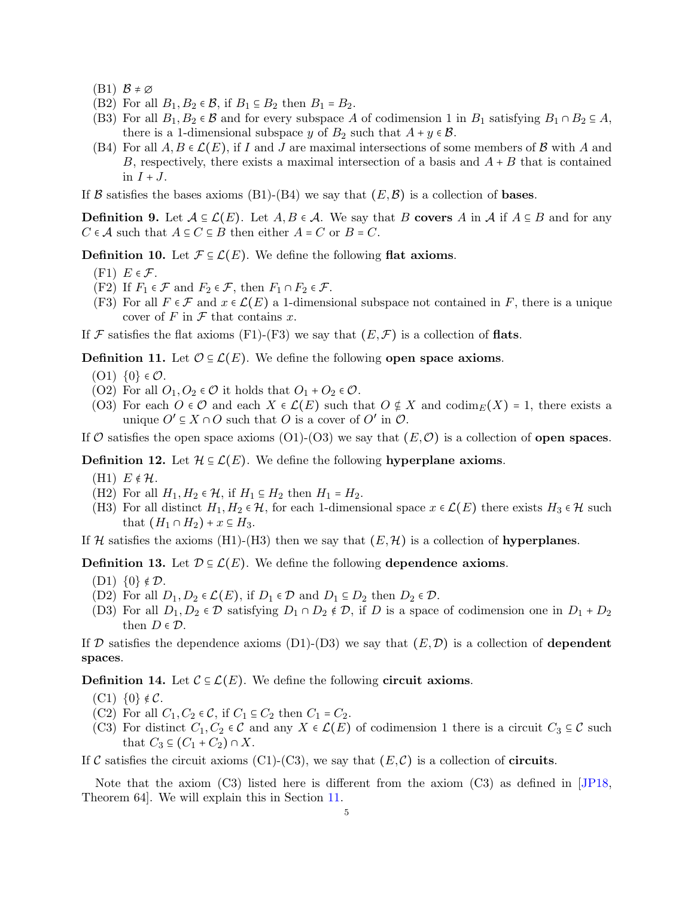- $(B1)$   $\mathcal{B} \neq \emptyset$
- (B2) For all  $B_1, B_2 \in \mathcal{B}$ , if  $B_1 \subseteq B_2$  then  $B_1 = B_2$ .
- (B3) For all  $B_1, B_2 \in \mathcal{B}$  and for every subspace A of codimension 1 in  $B_1$  satisfying  $B_1 \cap B_2 \subseteq A$ , there is a 1-dimensional subspace y of  $B_2$  such that  $A + y \in \mathcal{B}$ .
- (B4) For all  $A, B \in \mathcal{L}(E)$ , if I and J are maximal intersections of some members of B with A and B, respectively, there exists a maximal intersection of a basis and  $A + B$  that is contained in  $I + J$ .

If B satisfies the bases axioms (B1)-(B4) we say that  $(E, \mathcal{B})$  is a collection of **bases**.

**Definition 9.** Let  $A \subseteq \mathcal{L}(E)$ . Let  $A, B \in \mathcal{A}$ . We say that B covers A in A if  $A \subseteq B$  and for any  $C \in \mathcal{A}$  such that  $A \subseteq C \subseteq B$  then either  $A = C$  or  $B = C$ .

**Definition 10.** Let  $\mathcal{F} \subseteq \mathcal{L}(E)$ . We define the following flat axioms.

- $(F1)$   $E \in \mathcal{F}$ .
- (F2) If  $F_1 \in \mathcal{F}$  and  $F_2 \in \mathcal{F}$ , then  $F_1 \cap F_2 \in \mathcal{F}$ .
- (F3) For all  $F \in \mathcal{F}$  and  $x \in \mathcal{L}(E)$  a 1-dimensional subspace not contained in F, there is a unique cover of  $F$  in  $\mathcal F$  that contains  $x$ .

If F satisfies the flat axioms (F1)-(F3) we say that  $(E, \mathcal{F})$  is a collection of **flats**.

<span id="page-4-0"></span>**Definition 11.** Let  $\mathcal{O} \subseteq \mathcal{L}(E)$ . We define the following open space axioms.

- $(01)$   $\{0\}$   $\in \mathcal{O}$ .
- (O2) For all  $O_1, O_2 \in \mathcal{O}$  it holds that  $O_1 + O_2 \in \mathcal{O}$ .
- (O3) For each  $O \in \mathcal{O}$  and each  $X \in \mathcal{L}(E)$  such that  $O \notin X$  and  $\text{codim}_E(X) = 1$ , there exists a unique  $O' \subseteq X \cap O$  such that O is a cover of  $O'$  in  $O$ .

If O satisfies the open space axioms (O1)-(O3) we say that  $(E, \mathcal{O})$  is a collection of **open spaces**.

**Definition 12.** Let  $\mathcal{H} \subseteq \mathcal{L}(E)$ . We define the following hyperplane axioms.

- (H1)  $E \notin \mathcal{H}$ .
- (H2) For all  $H_1, H_2 \in \mathcal{H}$ , if  $H_1 \subseteq H_2$  then  $H_1 = H_2$ .
- (H3) For all distinct  $H_1, H_2 \in \mathcal{H}$ , for each 1-dimensional space  $x \in \mathcal{L}(E)$  there exists  $H_3 \in \mathcal{H}$  such that  $(H_1 \cap H_2) + x \subseteq H_3$ .

If H satisfies the axioms (H1)-(H3) then we say that  $(E, \mathcal{H})$  is a collection of hyperplanes.

**Definition 13.** Let  $\mathcal{D} \subseteq \mathcal{L}(E)$ . We define the following dependence axioms.

- (D1)  $\{0\} \notin \mathcal{D}$ .
- (D2) For all  $D_1, D_2 \in \mathcal{L}(E)$ , if  $D_1 \in \mathcal{D}$  and  $D_1 \subseteq D_2$  then  $D_2 \in \mathcal{D}$ .
- (D3) For all  $D_1, D_2 \in \mathcal{D}$  satisfying  $D_1 \cap D_2 \notin \mathcal{D}$ , if D is a space of codimension one in  $D_1 + D_2$ then  $D \in \mathcal{D}$ .

If D satisfies the dependence axioms (D1)-(D3) we say that  $(E, D)$  is a collection of dependent spaces.

**Definition 14.** Let  $\mathcal{C} \subseteq \mathcal{L}(E)$ . We define the following **circuit axioms**.

- $(C1) \{0\} \notin \mathcal{C}.$
- (C2) For all  $C_1, C_2 \in \mathcal{C}$ , if  $C_1 \subseteq C_2$  then  $C_1 = C_2$ .
- (C3) For distinct  $C_1, C_2 \in \mathcal{C}$  and any  $X \in \mathcal{L}(E)$  of codimension 1 there is a circuit  $C_3 \subseteq \mathcal{C}$  such that  $C_3 \subseteq (C_1 + C_2) \cap X$ .

If C satisfies the circuit axioms (C1)-(C3), we say that  $(E, C)$  is a collection of **circuits**.

Note that the axiom (C3) listed here is different from the axiom (C3) as defined in [\[JP18,](#page-30-0) Theorem 64]. We will explain this in Section [11.](#page-25-2)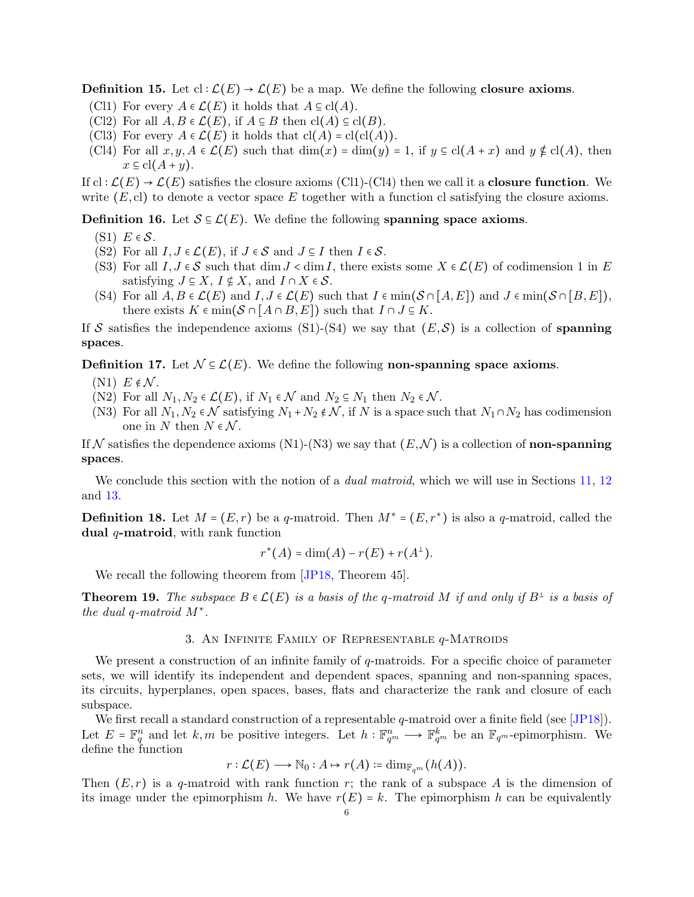<span id="page-5-1"></span>**Definition 15.** Let  $cl : \mathcal{L}(E) \to \mathcal{L}(E)$  be a map. We define the following **closure axioms**.

- (Cl1) For every  $A \in \mathcal{L}(E)$  it holds that  $A \subseteq \text{cl}(A)$ .
- (Cl2) For all  $A, B \in \mathcal{L}(E)$ , if  $A \subseteq B$  then  $\text{cl}(A) \subseteq \text{cl}(B)$ .
- (Cl3) For every  $A \in \mathcal{L}(E)$  it holds that  $\text{cl}(A) = \text{cl}(\text{cl}(A)).$
- (Cl4) For all  $x, y, A \in \mathcal{L}(E)$  such that  $\dim(x) = \dim(y) = 1$ , if  $y \in cl(A + x)$  and  $y \notin cl(A)$ , then  $x \subseteq cl(A+y)$ .

If  $cl: \mathcal{L}(E) \to \mathcal{L}(E)$  satisfies the closure axioms (Cl1)-(Cl4) then we call it a **closure function**. We write  $(E, c)$  to denote a vector space E together with a function cl satisfying the closure axioms.

**Definition 16.** Let  $S \subseteq \mathcal{L}(E)$ . We define the following spanning space axioms.

- $(S1)$   $E \in \mathcal{S}$ .
- (S2) For all  $I, J \in \mathcal{L}(E)$ , if  $J \in \mathcal{S}$  and  $J \subseteq I$  then  $I \in \mathcal{S}$ .
- (S3) For all  $I, J \in \mathcal{S}$  such that dim  $J \lt \dim I$ , there exists some  $X \in \mathcal{L}(E)$  of codimension 1 in E satisfying  $J \subseteq X$ ,  $I \not\subseteq X$ , and  $I \cap X \in \mathcal{S}$ .
- (S4) For all  $A, B \in \mathcal{L}(E)$  and  $I, J \in \mathcal{L}(E)$  such that  $I \in \min(\mathcal{S} \cap [A, E])$  and  $J \in \min(\mathcal{S} \cap [B, E])$ , there exists  $K \in \min(\mathcal{S} \cap [A \cap B, E])$  such that  $I \cap J \subseteq K$ .

If S satisfies the independence axioms (S1)-(S4) we say that  $(E, S)$  is a collection of spanning spaces.

**Definition 17.** Let  $\mathcal{N} \subseteq \mathcal{L}(E)$ . We define the following non-spanning space axioms.

- $(N1) E \notin \mathcal{N}$ .
- (N2) For all  $N_1, N_2 \in \mathcal{L}(E)$ , if  $N_1 \in \mathcal{N}$  and  $N_2 \in N_1$  then  $N_2 \in \mathcal{N}$ .
- (N3) For all  $N_1, N_2 \in \mathcal{N}$  satisfying  $N_1 + N_2 \notin \mathcal{N}$ , if N is a space such that  $N_1 \cap N_2$  has codimension one in N then  $N \in \mathcal{N}$ .

If N satisfies the dependence axioms (N1)-(N3) we say that  $(E, \mathcal{N})$  is a collection of **non-spanning** spaces.

We conclude this section with the notion of a *dual matroid*, which we will use in Sections [11,](#page-25-2) [12](#page-27-1) and [13.](#page-28-0)

**Definition 18.** Let  $M = (E, r)$  be a q-matroid. Then  $M^* = (E, r^*)$  is also a q-matroid, called the dual  $q$ -matroid, with rank function

$$
r^*(A) = \dim(A) - r(E) + r(A^{\perp}).
$$

We recall the following theorem from [\[JP18,](#page-30-0) Theorem 45].

<span id="page-5-2"></span><span id="page-5-0"></span>**Theorem 19.** The subspace  $B \in \mathcal{L}(E)$  is a basis of the q-matroid M if and only if  $B^{\perp}$  is a basis of *the dual* q*-matroid* M<sup>∗</sup> *.*

# 3. AN INFINITE FAMILY OF REPRESENTABLE  $q$ -MATROIDS

We present a construction of an infinite family of  $q$ -matroids. For a specific choice of parameter sets, we will identify its independent and dependent spaces, spanning and non-spanning spaces, its circuits, hyperplanes, open spaces, bases, flats and characterize the rank and closure of each subspace.

We first recall a standard construction of a representable  $q$ -matroid over a finite field (see [\[JP18\]](#page-30-0)). Let  $E = \mathbb{F}_q^n$  and let  $k,m$  be positive integers. Let  $h: \mathbb{F}_{q^m}^n \longrightarrow \mathbb{F}_{q^m}^k$  be an  $\mathbb{F}_{q^m}$ -epimorphism. We define the function

$$
r:\mathcal{L}(E)\longrightarrow \mathbb{N}_0:A\mapsto r(A)\coloneqq \dim_{\mathbb{F}_{q^m}}(h(A)).
$$

Then  $(E, r)$  is a q-matroid with rank function r; the rank of a subspace A is the dimension of its image under the epimorphism h. We have  $r(E) = k$ . The epimorphism h can be equivalently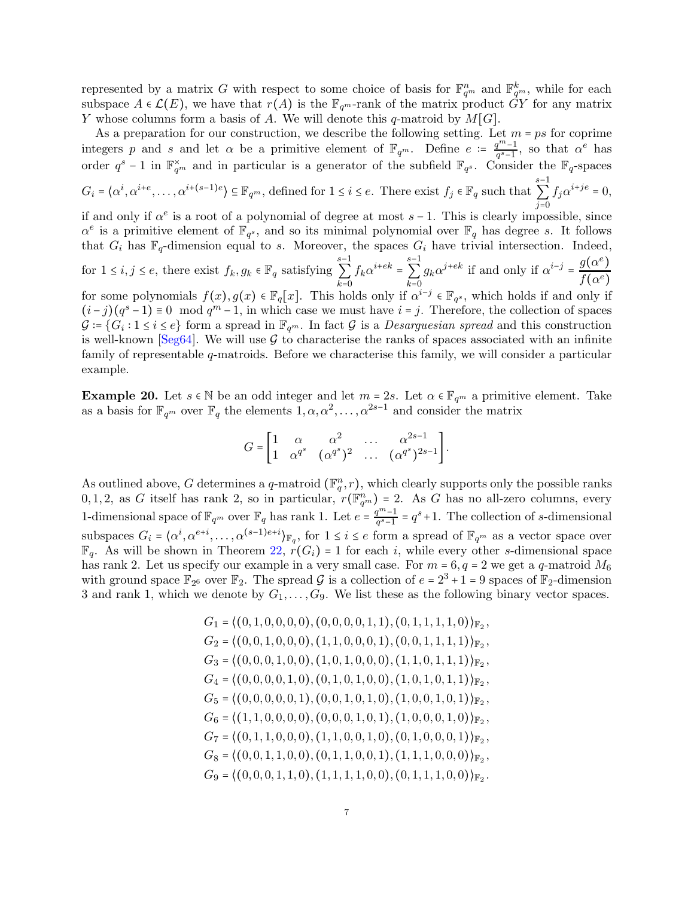represented by a matrix G with respect to some choice of basis for  $\mathbb{F}_{q^m}^n$  and  $\mathbb{F}_{q^m}^k$ , while for each subspace  $A \in \mathcal{L}(E)$ , we have that  $r(A)$  is the  $\mathbb{F}_{q^m}$ -rank of the matrix product GY for any matrix Y whose columns form a basis of A. We will denote this q-matroid by  $M[G]$ .

As a preparation for our construction, we describe the following setting. Let  $m = ps$  for coprime integers p and s and let  $\alpha$  be a primitive element of  $\mathbb{F}_{q^m}$ . Define  $e := \frac{q^m-1}{q^s-1}$  $\frac{q^m-1}{q^s-1}$ , so that  $\alpha^e$  has order  $q^s - 1$  in  $\mathbb{F}_{q^m}^{\times}$  and in particular is a generator of the subfield  $\mathbb{F}_{q^s}$ . Consider the  $\mathbb{F}_q$ -spaces  $G_i = \langle \alpha^i, \alpha^{i+e}, \dots, \alpha^{i+(s-1)e} \rangle \subseteq \mathbb{F}_{q^m}$ , defined for  $1 \leq i \leq e$ . There exist  $f_j \in \mathbb{F}_q$  such that s−1 ∑  $\overline{j=0}$  $f_j \alpha^{i+je} = 0,$ if and only if  $\alpha^e$  is a root of a polynomial of degree at most  $s-1$ . This is clearly impossible, since  $\alpha^e$  is a primitive element of  $\mathbb{F}_{q^s}$ , and so its minimal polynomial over  $\mathbb{F}_q$  has degree s. It follows that  $G_i$  has  $\mathbb{F}_q$ -dimension equal to s. Moreover, the spaces  $G_i$  have trivial intersection. Indeed, for  $1 \le i, j \le e$ , there exist  $f_k, g_k \in \mathbb{F}_q$  satisfying s−1 ∑  $\bar{k}=0$  $f_k \alpha^{i+ek} =$ s−1 ∑  $\overline{k=0}$  $g_k \alpha^{j+ek}$  if and only if  $\alpha^{i-j} = \frac{g(\alpha^e)}{f(\alpha^e)}$  $f(\alpha^e)$ for some polynomials  $f(x), g(x) \in \mathbb{F}_q[x]$ . This holds only if  $\alpha^{i-j} \in \mathbb{F}_{q^s}$ , which holds if and only if  $(i-j)(q^s-1) \equiv 0 \mod q^m-1$ , in which case we must have  $i = j$ . Therefore, the collection of spaces  $\mathcal{G} = \{G_i : 1 \leq i \leq e\}$  form a spread in  $\mathbb{F}_{q^m}$ . In fact  $\mathcal{G}$  is a *Desarguesian spread* and this construction is well-known [\[Seg64\]](#page-30-3). We will use  $\mathcal G$  to characterise the ranks of spaces associated with an infinite family of representable q-matroids. Before we characterise this family, we will consider a particular example.

<span id="page-6-0"></span>**Example 20.** Let  $s \in \mathbb{N}$  be an odd integer and let  $m = 2s$ . Let  $\alpha \in \mathbb{F}_{q^m}$  a primitive element. Take as a basis for  $\mathbb{F}_{q^m}$  over  $\mathbb{F}_q$  the elements  $1, \alpha, \alpha^2, \ldots, \alpha^{2s-1}$  and consider the matrix

$$
G=\begin{bmatrix} 1&\alpha&\alpha^2&\dots&\alpha^{2s-1}\\ 1&\alpha^{q^s}&(\alpha^{q^s})^2&\dots&(\alpha^{q^s})^{2s-1}\end{bmatrix}.
$$

As outlined above, G determines a q-matroid  $(\mathbb{F}_q^n, r)$ , which clearly supports only the possible ranks  $0, 1, 2$ , as G itself has rank 2, so in particular,  $r(\mathbb{F}_{q^m}^n) = 2$ . As G has no all-zero columns, every 1-dimensional space of  $\mathbb{F}_{q^m}$  over  $\mathbb{F}_q$  has rank 1. Let  $e = \frac{q^m-1}{q^s-1}$  $q^{m-1} = q^{s} + 1$ . The collection of s-dimensional subspaces  $G_i = \langle \alpha^i, \alpha^{e+i}, \dots, \alpha^{(s-1)e+i} \rangle_{\mathbb{F}_q}$ , for  $1 \leq i \leq e$  form a spread of  $\mathbb{F}_{q^m}$  as a vector space over  $\mathbb{F}_q$ . As will be shown in Theorem [22,](#page-9-0)  $r(G_i) = 1$  for each i, while every other s-dimensional space has rank 2. Let us specify our example in a very small case. For  $m = 6, q = 2$  we get a q-matroid  $M_6$ with ground space  $\mathbb{F}_{2^6}$  over  $\mathbb{F}_2$ . The spread G is a collection of  $e = 2^3 + 1 = 9$  spaces of  $\mathbb{F}_2$ -dimension 3 and rank 1, which we denote by  $G_1, \ldots, G_9$ . We list these as the following binary vector spaces.

$$
G_1 = \langle (0, 1, 0, 0, 0, 0), (0, 0, 0, 0, 1, 1), (0, 1, 1, 1, 1, 0) \rangle_{\mathbb{F}_2},
$$
  
\n
$$
G_2 = \langle (0, 0, 1, 0, 0, 0), (1, 1, 0, 0, 0, 1), (0, 0, 1, 1, 1, 1) \rangle_{\mathbb{F}_2},
$$
  
\n
$$
G_3 = \langle (0, 0, 0, 1, 0, 0), (1, 0, 1, 0, 0, 0), (1, 1, 0, 1, 1, 1) \rangle_{\mathbb{F}_2},
$$
  
\n
$$
G_4 = \langle (0, 0, 0, 0, 1, 0), (0, 1, 0, 1, 0, 0), (1, 0, 1, 0, 1, 1) \rangle_{\mathbb{F}_2},
$$
  
\n
$$
G_5 = \langle (0, 0, 0, 0, 0, 1), (0, 0, 1, 0, 1, 0), (1, 0, 0, 1, 0, 1) \rangle_{\mathbb{F}_2},
$$
  
\n
$$
G_6 = \langle (1, 1, 0, 0, 0, 0), (0, 0, 0, 1, 0, 1), (1, 0, 0, 0, 1, 0) \rangle_{\mathbb{F}_2},
$$
  
\n
$$
G_7 = \langle (0, 1, 1, 0, 0, 0), (1, 1, 0, 0, 1, 0), (0, 1, 0, 0, 0, 1) \rangle_{\mathbb{F}_2},
$$
  
\n
$$
G_8 = \langle (0, 0, 1, 1, 0, 0), (0, 1, 1, 0, 0, 1), (1, 1, 1, 0, 0, 0) \rangle_{\mathbb{F}_2},
$$
  
\n
$$
G_9 = \langle (0, 0, 0, 1, 1, 0), (1, 1, 1, 1, 0, 0), (0, 1, 1, 1, 0, 0) \rangle_{\mathbb{F}_2}.
$$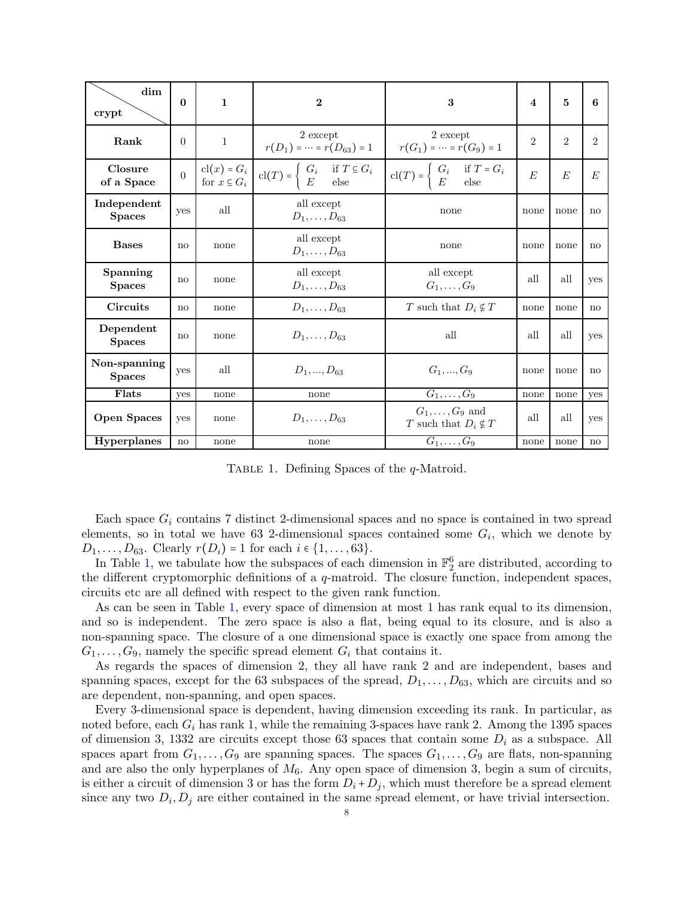<span id="page-7-0"></span>

| dim<br>crypt                  | $\mathbf{0}$           | $\mathbf{1}$                           | $\mathbf{2}$                                                                            | 3                                                                               | $\overline{\mathbf{4}}$ | 5              | 6                      |
|-------------------------------|------------------------|----------------------------------------|-----------------------------------------------------------------------------------------|---------------------------------------------------------------------------------|-------------------------|----------------|------------------------|
| Rank                          | $\theta$               | $\mathbf{1}$                           | 2 except<br>$r(D_1) = \cdots = r(D_{63}) = 1$                                           | 2 except<br>$r(G_1) = \cdots = r(G_9) = 1$                                      | $\overline{2}$          | $\overline{2}$ | $\overline{2}$         |
| Closure<br>of a Space         | $\overline{0}$         | cl(x) = $G_i$<br>for $x \subseteq G_i$ | $cl(T) = \begin{cases} G_i & \text{if } T \subseteq G_i \\ E & \text{else} \end{cases}$ | $cl(T) = \begin{cases} G_i & \text{if } T = G_i \\ E & \text{else} \end{cases}$ | E                       | E              | E                      |
| Independent<br><b>Spaces</b>  | yes                    | all                                    | all except<br>$D_1, \ldots, D_{63}$                                                     | none                                                                            | none                    | none           | no                     |
| <b>Bases</b>                  | no                     | none                                   | all except<br>$D_1, \ldots, D_{63}$                                                     | none                                                                            | none                    | none           | no                     |
| Spanning<br><b>Spaces</b>     | no                     | none                                   | all except<br>$D_1, \ldots, D_{63}$                                                     | all except<br>$G_1,\ldots,G_9$                                                  | all                     | all            | yes                    |
| Circuits                      | no                     | none                                   | $D_1, \ldots, D_{63}$                                                                   | T such that $D_i \notin T$                                                      | none                    | none           | no                     |
| Dependent<br><b>Spaces</b>    | no                     | none                                   | $D_1, \ldots, D_{63}$                                                                   | all                                                                             | all                     | all            | yes                    |
| Non-spanning<br><b>Spaces</b> | yes                    | all                                    | $D_1, , D_{63}$                                                                         | $G_1, , G_9$                                                                    | none                    | none           | no                     |
| Flats                         | yes                    | none                                   | none                                                                                    | $G_1,\ldots,\overline{G_9}$                                                     | none                    | none           | yes                    |
| <b>Open Spaces</b>            | <b>ves</b>             | none                                   | $D_1, \ldots, D_{63}$                                                                   | $G_1, \ldots, G_9$ and<br>T such that $D_i \notin T$                            | all                     | all            | yes                    |
| <b>Hyperplanes</b>            | $\mathbf{n}\mathbf{o}$ | none                                   | none                                                                                    | $G_1,\ldots,G_9$                                                                | none                    | none           | $\mathbf{n}\mathbf{o}$ |

TABLE 1. Defining Spaces of the *q*-Matroid.

Each space  $G_i$  contains 7 distinct 2-dimensional spaces and no space is contained in two spread elements, so in total we have 63 2-dimensional spaces contained some  $G_i$ , which we denote by  $D_1, \ldots, D_{63}$ . Clearly  $r(D_i) = 1$  for each  $i \in \{1, \ldots, 63\}$ .

In Table [1,](#page-7-0) we tabulate how the subspaces of each dimension in  $\mathbb{F}_2^6$  are distributed, according to the different cryptomorphic definitions of a  $q$ -matroid. The closure function, independent spaces, circuits etc are all defined with respect to the given rank function.

As can be seen in Table [1,](#page-7-0) every space of dimension at most 1 has rank equal to its dimension, and so is independent. The zero space is also a flat, being equal to its closure, and is also a non-spanning space. The closure of a one dimensional space is exactly one space from among the  $G_1, \ldots, G_9$ , namely the specific spread element  $G_i$  that contains it.

As regards the spaces of dimension 2, they all have rank 2 and are independent, bases and spanning spaces, except for the 63 subspaces of the spread,  $D_1, \ldots, D_{63}$ , which are circuits and so are dependent, non-spanning, and open spaces.

Every 3-dimensional space is dependent, having dimension exceeding its rank. In particular, as noted before, each  $G_i$  has rank 1, while the remaining 3-spaces have rank 2. Among the 1395 spaces of dimension 3, 1332 are circuits except those 63 spaces that contain some  $D_i$  as a subspace. All spaces apart from  $G_1, \ldots, G_9$  are spanning spaces. The spaces  $G_1, \ldots, G_9$  are flats, non-spanning and are also the only hyperplanes of  $M_6$ . Any open space of dimension 3, begin a sum of circuits, is either a circuit of dimension 3 or has the form  $D_i + D_j$ , which must therefore be a spread element since any two  $D_i, D_j$  are either contained in the same spread element, or have trivial intersection.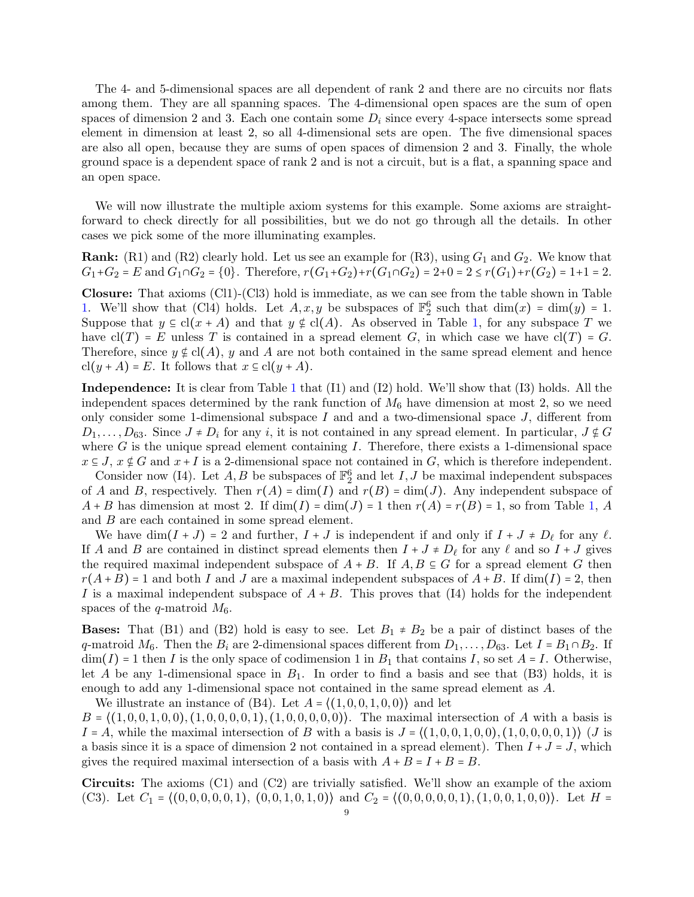The 4- and 5-dimensional spaces are all dependent of rank 2 and there are no circuits nor flats among them. They are all spanning spaces. The 4-dimensional open spaces are the sum of open spaces of dimension 2 and 3. Each one contain some  $D_i$  since every 4-space intersects some spread element in dimension at least 2, so all 4-dimensional sets are open. The five dimensional spaces are also all open, because they are sums of open spaces of dimension 2 and 3. Finally, the whole ground space is a dependent space of rank 2 and is not a circuit, but is a flat, a spanning space and an open space.

We will now illustrate the multiple axiom systems for this example. Some axioms are straightforward to check directly for all possibilities, but we do not go through all the details. In other cases we pick some of the more illuminating examples.

**Rank:** (R1) and (R2) clearly hold. Let us see an example for (R3), using  $G_1$  and  $G_2$ . We know that  $G_1+G_2 = E$  and  $G_1 \cap G_2 = \{0\}$ . Therefore,  $r(G_1+G_2)+r(G_1 \cap G_2) = 2+0 = 2 \le r(G_1)+r(G_2) = 1+1=2$ .

Closure: That axioms (Cl1)-(Cl3) hold is immediate, as we can see from the table shown in Table [1.](#page-7-0) We'll show that (Cl4) holds. Let  $A, x, y$  be subspaces of  $\mathbb{F}_2^6$  such that  $\dim(x) = \dim(y) = 1$ . Suppose that  $y \in cl(x + A)$  and that  $y \notin cl(A)$ . As observed in Table [1,](#page-7-0) for any subspace T we have  $cl(T) = E$  unless T is contained in a spread element G, in which case we have  $cl(T) = G$ . Therefore, since  $y \notin cl(A)$ , y and A are not both contained in the same spread element and hence  $cl(y + A) = E$ . It follows that  $x \in cl(y + A)$ .

Independence: It is clear from Table [1](#page-7-0) that (I1) and (I2) hold. We'll show that (I3) holds. All the independent spaces determined by the rank function of  $M_6$  have dimension at most 2, so we need only consider some 1-dimensional subspace  $I$  and and a two-dimensional space  $J$ , different from  $D_1, \ldots, D_{63}$ . Since  $J \neq D_i$  for any i, it is not contained in any spread element. In particular,  $J \notin G$ where  $G$  is the unique spread element containing  $I$ . Therefore, there exists a 1-dimensional space  $x \in J$ ,  $x \notin G$  and  $x + I$  is a 2-dimensional space not contained in G, which is therefore independent.

Consider now (I4). Let A, B be subspaces of  $\mathbb{F}_2^6$  and let I, J be maximal independent subspaces of A and B, respectively. Then  $r(A) = \dim(I)$  and  $r(B) = \dim(J)$ . Any independent subspace of  $A + B$  has dimension at most 2. If  $\dim(I) = \dim(J) = 1$  then  $r(A) = r(B) = 1$ , so from Table [1,](#page-7-0) A and B are each contained in some spread element.

We have  $\dim(I+J) = 2$  and further,  $I+J$  is independent if and only if  $I+J \neq D_{\ell}$  for any  $\ell$ . If A and B are contained in distinct spread elements then  $I + J \neq D_{\ell}$  for any  $\ell$  and so  $I + J$  gives the required maximal independent subspace of  $A + B$ . If  $A, B \subseteq G$  for a spread element G then  $r(A+B) = 1$  and both I and J are a maximal independent subspaces of  $A+B$ . If  $\dim(I) = 2$ , then I is a maximal independent subspace of  $A + B$ . This proves that (I4) holds for the independent spaces of the q-matroid  $M_6$ .

**Bases:** That (B1) and (B2) hold is easy to see. Let  $B_1 \neq B_2$  be a pair of distinct bases of the q-matroid  $M_6$ . Then the  $B_i$  are 2-dimensional spaces different from  $D_1, \ldots, D_{63}$ . Let  $I = B_1 \cap B_2$ . If  $\dim(I) = 1$  then I is the only space of codimension 1 in  $B_1$  that contains I, so set  $A = I$ . Otherwise, let A be any 1-dimensional space in  $B_1$ . In order to find a basis and see that (B3) holds, it is enough to add any 1-dimensional space not contained in the same spread element as A.

We illustrate an instance of  $(B4)$ . Let  $A = \langle (1,0,0,1,0,0) \rangle$  and let  $B = \{(1, 0, 0, 1, 0, 0), (1, 0, 0, 0, 0, 1), (1, 0, 0, 0, 0, 0)\}.$  The maximal intersection of A with a basis is  $I = A$ , while the maximal intersection of B with a basis is  $J = \langle (1, 0, 0, 1, 0, 0), (1, 0, 0, 0, 0, 1) \rangle$  (J is a basis since it is a space of dimension 2 not contained in a spread element). Then  $I + J = J$ , which gives the required maximal intersection of a basis with  $A + B = I + B = B$ .

Circuits: The axioms (C1) and (C2) are trivially satisfied. We'll show an example of the axiom (C3). Let  $C_1 = \{(0,0,0,0,0,1), (0,0,1,0,1,0) \}$  and  $C_2 = \{(0,0,0,0,0,1), (1,0,0,1,0,0) \}$ . Let  $H =$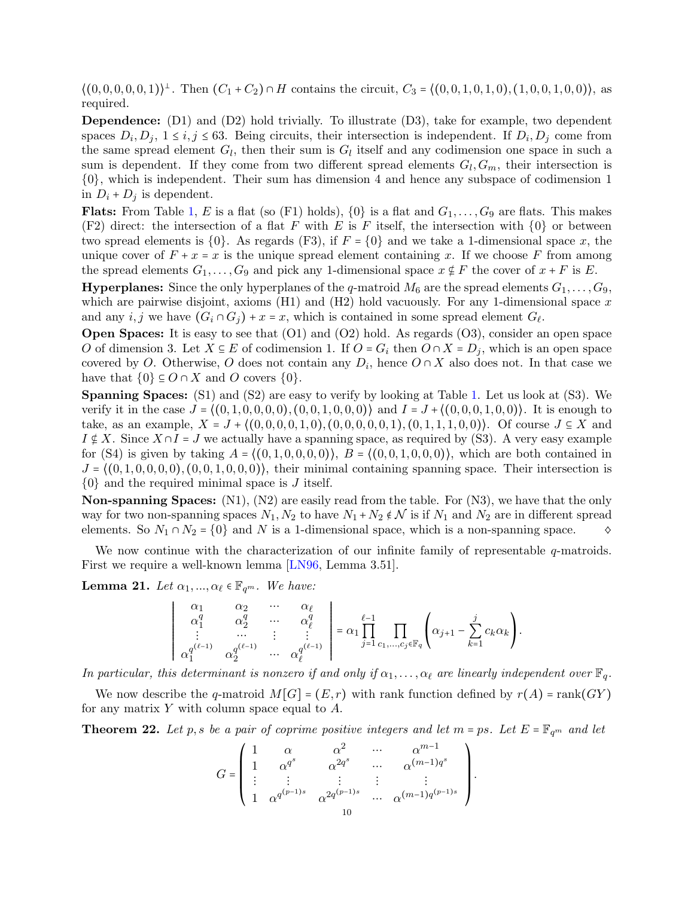$\langle (0,0,0,0,0,1) \rangle^{\perp}$ . Then  $(C_1 + C_2) \cap H$  contains the circuit,  $C_3 = \langle (0,0,1,0,1,0), (1,0,0,1,0,0) \rangle$ , as required.

Dependence: (D1) and (D2) hold trivially. To illustrate (D3), take for example, two dependent spaces  $D_i, D_j, 1 \le i, j \le 63$ . Being circuits, their intersection is independent. If  $D_i, D_j$  come from the same spread element  $G_l$ , then their sum is  $G_l$  itself and any codimension one space in such a sum is dependent. If they come from two different spread elements  $G_l, G_m$ , their intersection is {0}, which is independent. Their sum has dimension 4 and hence any subspace of codimension 1 in  $D_i$  +  $D_j$  is dependent.

**Flats:** From Table [1,](#page-7-0) E is a flat (so (F1) holds),  $\{0\}$  is a flat and  $G_1, \ldots, G_9$  are flats. This makes (F2) direct: the intersection of a flat F with E is F itself, the intersection with  $\{0\}$  or between two spread elements is  $\{0\}$ . As regards (F3), if  $F = \{0\}$  and we take a 1-dimensional space x, the unique cover of  $F + x = x$  is the unique spread element containing x. If we choose F from among the spread elements  $G_1, \ldots, G_9$  and pick any 1-dimensional space  $x \notin F$  the cover of  $x + F$  is E.

**Hyperplanes:** Since the only hyperplanes of the q-matroid  $M_6$  are the spread elements  $G_1, \ldots, G_9$ , which are pairwise disjoint, axioms  $(H1)$  and  $(H2)$  hold vacuously. For any 1-dimensional space x and any  $i, j$  we have  $(G_i \cap G_j) + x = x$ , which is contained in some spread element  $G_\ell$ .

Open Spaces: It is easy to see that (O1) and (O2) hold. As regards (O3), consider an open space O of dimension 3. Let  $X \subseteq E$  of codimension 1. If  $O = G_i$  then  $O \cap X = D_j$ , which is an open space covered by O. Otherwise, O does not contain any  $D_i$ , hence  $O \cap X$  also does not. In that case we have that  $\{0\} \subseteq O \cap X$  and O covers  $\{0\}.$ 

Spanning Spaces: (S1) and (S2) are easy to verify by looking at Table [1.](#page-7-0) Let us look at (S3). We verify it in the case  $J = \{(0, 1, 0, 0, 0, 0), (0, 0, 1, 0, 0, 0)\}\$  and  $I = J + \{(0, 0, 0, 1, 0, 0)\}\$ . It is enough to take, as an example,  $X = J + \{(0, 0, 0, 0, 1, 0), (0, 0, 0, 0, 0, 1), (0, 1, 1, 1, 0, 0)\}\)$ . Of course  $J \subseteq X$  and  $I \notin X$ . Since  $X \cap I = J$  we actually have a spanning space, as required by (S3). A very easy example for (S4) is given by taking  $A = \{(0, 1, 0, 0, 0, 0)\}, B = \{(0, 0, 1, 0, 0, 0)\},$  which are both contained in  $J = \{(0, 1, 0, 0, 0, 0), (0, 0, 1, 0, 0, 0)\}\,$ , their minimal containing spanning space. Their intersection is  $\{0\}$  and the required minimal space is J itself.

**Non-spanning Spaces:**  $(N1)$ ,  $(N2)$  are easily read from the table. For  $(N3)$ , we have that the only way for two non-spanning spaces  $N_1, N_2$  to have  $N_1 + N_2 \notin \mathcal{N}$  is if  $N_1$  and  $N_2$  are in different spread elements. So  $N_1 \cap N_2 = \{0\}$  and N is a 1-dimensional space, which is a non-spanning space.  $\diamond$ 

We now continue with the characterization of our infinite family of representable q-matroids. First we require a well-known lemma [\[LN96,](#page-30-4) Lemma 3.51].

<span id="page-9-1"></span>**Lemma 21.** *Let*  $\alpha_1, ..., \alpha_\ell \in \mathbb{F}_{q^m}$ *. We have:* 

$$
\left|\begin{array}{cccc} \alpha_1 & \alpha_2 & \cdots & \alpha_\ell \\ \alpha_1^q & \alpha_2^q & \cdots & \alpha_\ell^q \\ \vdots & \cdots & \vdots & \vdots \\ \alpha_1^{q^{(\ell-1)}} & \alpha_2^{q^{(\ell-1)}} & \cdots & \alpha_\ell^{q^{(\ell-1)}} \end{array}\right| = \alpha_1 \prod_{j=1}^{\ell-1} \prod_{c_1, \ldots, c_j \in \mathbb{F}_q} \left( \alpha_{j+1} - \sum_{k=1}^j c_k \alpha_k \right).
$$

*In particular, this determinant is nonzero if and only if*  $\alpha_1, \ldots, \alpha_\ell$  *are linearly independent over*  $\mathbb{F}_q$ .

We now describe the q-matroid  $M[G] = (E,r)$  with rank function defined by  $r(A) = \text{rank}(GY)$ for any matrix  $Y$  with column space equal to  $A$ .

<span id="page-9-0"></span>**Theorem 22.** Let p, s be a pair of coprime positive integers and let  $m = ps$ . Let  $E = \mathbb{F}_{q^m}$  and let

$$
G=\left(\begin{array}{cccccc} 1 & \alpha & \alpha^2 & \cdots & \alpha^{m-1} \\ 1 & \alpha^{q^s} & \alpha^{2q^s} & \cdots & \alpha^{(m-1)q^s} \\ \vdots & \vdots & \vdots & \vdots & \vdots \\ 1 & \alpha^{q^{(p-1)s}} & \alpha^{2q^{(p-1)s}} & \cdots & \alpha^{(m-1)q^{(p-1)s}} \end{array}\right).
$$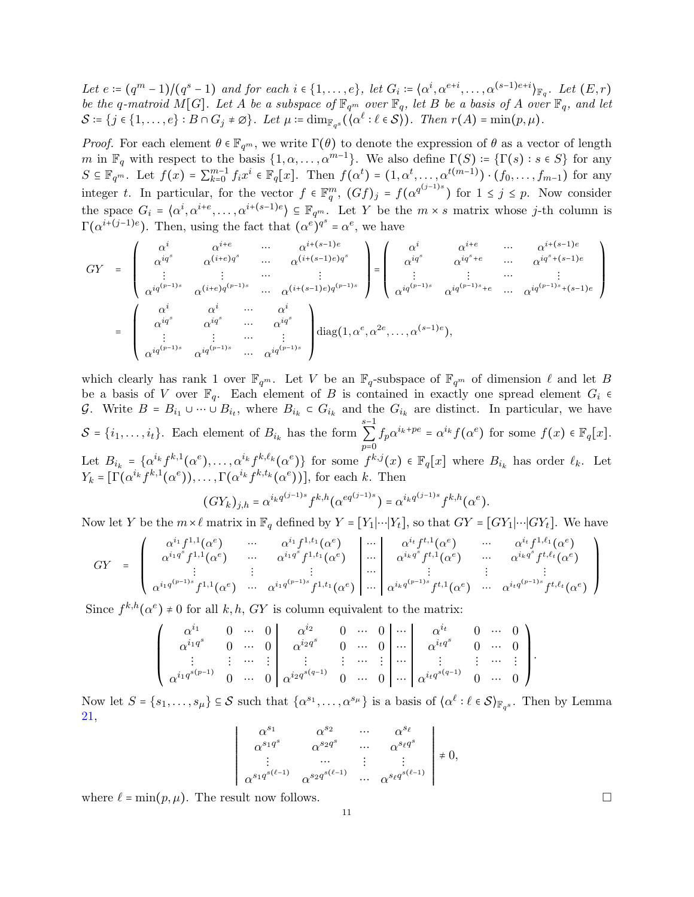*Let*  $e := (q^m - 1)/(q^s - 1)$  and for each  $i \in \{1, ..., e\}$ , let  $G_i := \{\alpha^i, \alpha^{e+i}, ..., \alpha^{(s-1)e+i}\}_{\mathbb{F}_q}$ . Let  $(E, r)$ *be the q-matroid*  $M[G]$ *. Let* A *be a subspace of*  $\mathbb{F}_{q^m}$  *over*  $\mathbb{F}_q$ *, let* B *be a basis of* A *over*  $\mathbb{F}_q$ *, and let*  $\mathcal{S} \coloneqq \{j \in \{1, \ldots, e\} : B \cap G_j \neq \varnothing\}$ . Let  $\mu \coloneqq \dim_{\mathbb{F}_{q^s}}(\langle \alpha^\ell : \ell \in \mathcal{S} \rangle)$ . Then  $r(A) = \min(p, \mu)$ .

*Proof.* For each element  $\theta \in \mathbb{F}_{q^m}$ , we write  $\Gamma(\theta)$  to denote the expression of  $\theta$  as a vector of length m in  $\mathbb{F}_q$  with respect to the basis  $\{1, \alpha, \ldots, \alpha^{m-1}\}$ . We also define  $\Gamma(S) = \{\Gamma(s) : s \in S\}$  for any  $S \subseteq \mathbb{F}_{q^m}$ . Let  $f(x) = \sum_{k=0}^{m-1} f_i x^i \in \mathbb{F}_q[x]$ . Then  $f(\alpha^t) = (1, \alpha^t, \dots, \alpha^{t(m-1)}) \cdot (f_0, \dots, f_{m-1})$  for any integer t. In particular, for the vector  $f \in \mathbb{F}_q^m$ ,  $(Gf)_j = f(\alpha^{q^{(j-1)s}})$  for  $1 \leq j \leq p$ . Now consider the space  $G_i = \langle \alpha^i, \alpha^{i+e}, \ldots, \alpha^{i+(s-1)e} \rangle \subseteq \mathbb{F}_{q^m}$ . Let Y be the  $m \times s$  matrix whose j-th column is  $\Gamma(\alpha^{i+(j-1)e})$ . Then, using the fact that  $(\alpha^e)^{q^s} = \alpha^e$ , we have

$$
GY = \begin{pmatrix} \alpha^{i} & \alpha^{i+e} & \cdots & \alpha^{i+(s-1)e} \\ \alpha^{iq^{s}} & \alpha^{(i+e)q^{s}} & \cdots & \alpha^{(i+(s-1)e)q^{s}} \\ \vdots & \vdots & \cdots & \vdots \\ \alpha^{iq^{(p-1)s}} & \alpha^{(i+e)q^{(p-1)s}} & \cdots & \alpha^{(i+(s-1)e)q^{(p-1)s}} \end{pmatrix} = \begin{pmatrix} \alpha^{i} & \alpha^{i+e} & \cdots & \alpha^{i+(s-1)e} \\ \alpha^{iq^{s}} & \alpha^{iq^{s}+e} & \cdots & \alpha^{iq^{s}+(s-1)e} \\ \vdots & \vdots & \cdots & \vdots \\ \alpha^{iq^{(p-1)s}} & \alpha^{iq^{(p-1)s}} & \cdots & \alpha^{iq^{s}} \\ \vdots & \vdots & \cdots & \vdots \\ \alpha^{iq^{(p-1)s}} & \alpha^{iq^{(p-1)s}} & \cdots & \alpha^{iq^{(p-1)s}} \end{pmatrix} \operatorname{diag}(1, \alpha^{e}, \alpha^{2e}, \ldots, \alpha^{(s-1)e}),
$$

which clearly has rank 1 over  $\mathbb{F}_{q^m}$ . Let V be an  $\mathbb{F}_{q^-}$ subspace of  $\mathbb{F}_{q^m}$  of dimension  $\ell$  and let B be a basis of V over  $\mathbb{F}_q$ . Each element of B is contained in exactly one spread element  $G_i \in$ G. Write  $B = B_{i_1} \cup \cdots \cup B_{i_t}$ , where  $B_{i_k} \subset G_{i_k}$  and the  $G_{i_k}$  are distinct. In particular, we have  $S = \{i_1, \ldots, i_t\}$ . Each element of  $B_{i_k}$  has the form s−1 ∑  $\overline{p=0}$  $f_p \alpha^{i_k+p_e} = \alpha^{i_k} f(\alpha^e)$  for some  $f(x) \in \mathbb{F}_q[x]$ . Let  $B_{i_k} = {\alpha^{i_k} f^{k,1}(\alpha^e), \ldots, \alpha^{i_k} f^{k,\ell_k}(\alpha^e)}$  for some  $f^{k,j}(x) \in \mathbb{F}_q[x]$  where  $B_{i_k}$  has order  $\ell_k$ . Let  $Y_k = \left[ \Gamma(\alpha^{i_k} f^{k,1}(\alpha^e)), \ldots, \Gamma(\alpha^{i_k} f^{k,t_k}(\alpha^e)) \right]$ , for each k. Then

$$
(GY_k)_{j,h} = \alpha^{i_k q^{(j-1)s}} f^{k,h} (\alpha^{eq^{(j-1)s}}) = \alpha^{i_k q^{(j-1)s}} f^{k,h} (\alpha^e).
$$

Now let Y be the  $m \times \ell$  matrix in  $\mathbb{F}_q$  defined by  $Y = [Y_1] \cdots [Y_t]$ , so that  $GY = [GY_1] \cdots [GY_t]$ . We have

$$
GY = \begin{pmatrix} \alpha^{i_1} f^{1,1}(\alpha^e) & \cdots & \alpha^{i_1} f^{1,1}(\alpha^e) \\ \alpha^{i_1 q^s} f^{1,1}(\alpha^e) & \cdots & \alpha^{i_1 q^s} f^{1,1}(\alpha^e) \\ \vdots & \vdots & \vdots \\ \alpha^{i_1 q^{(p-1)s}} f^{1,1}(\alpha^e) & \cdots & \alpha^{i_1 q^{(p-1)s}} f^{1,1}(\alpha^e) \end{pmatrix} \cdots \begin{pmatrix} \alpha^{i_t} f^{1,1}(\alpha^e) & \cdots & \alpha^{i_t} f^{1,\ell_1}(\alpha^e) \\ \vdots & \vdots & \vdots \\ \alpha^{i_k q^s} f^{1,1}(\alpha^e) & \cdots & \alpha^{i_k q^s} f^{1,\ell_k}(\alpha^e) \\ \vdots & \vdots & \vdots \\ \alpha^{i_k q^{(p-1)s}} f^{1,1}(\alpha^e) & \cdots & \alpha^{i_t q^{(p-1)s}} f^{1,\ell_k}(\alpha^e) \end{pmatrix}
$$

Since  $f^{k,h}(\alpha^e) \neq 0$  for all  $k, h, GY$  is column equivalent to the matrix:

$$
\left(\begin{array}{cccc|cccc} \alpha^{i_1} & 0 & \cdots & 0 & \alpha^{i_2} & 0 & \cdots & 0 & \cdots & \alpha^{i_t} & 0 & \cdots & 0 \\ \alpha^{i_1q^s} & 0 & \cdots & 0 & \alpha^{i_2q^s} & 0 & \cdots & 0 & \cdots & \alpha^{i_tq^s} & 0 & \cdots & 0 \\ \vdots & \vdots & \cdots & \vdots & \vdots & \vdots & \cdots & \vdots & \vdots & \vdots & \vdots & \cdots & \vdots \\ \alpha^{i_1q^{s(p-1)}} & 0 & \cdots & 0 & \alpha^{i_2q^{s(q-1)}} & 0 & \cdots & 0 & \cdots & 0 & \cdots & 0 \end{array}\right).
$$

Now let  $S = \{s_1, \ldots, s_\mu\} \subseteq S$  such that  $\{\alpha^{s_1}, \ldots, \alpha^{s_\mu}\}\$ is a basis of  $\{\alpha^\ell : \ell \in S\}_{\mathbb{F}_{q^s}}\$ . Then by Lemma [21,](#page-9-1) RR

$$
\begin{array}{ccc}\n\alpha^{s_1} & \alpha^{s_2} & \cdots & \alpha^{s_\ell} \\
\alpha^{s_1 q^s} & \alpha^{s_2 q^s} & \cdots & \alpha^{s_\ell q^s} \\
\vdots & \cdots & \vdots & \vdots \\
\alpha^{s_1 q^{s(\ell-1)}} & \alpha^{s_2 q^{s(\ell-1)}} & \cdots & \alpha^{s_\ell q^{s(\ell-1)}}\n\end{array}\n\bigg| \neq 0,
$$

R where  $\ell = \min(p, \mu)$ . The result now follows.

R R RR R  $\overline{\phantom{a}}$ R R RR R  $\overline{\phantom{a}}$ R R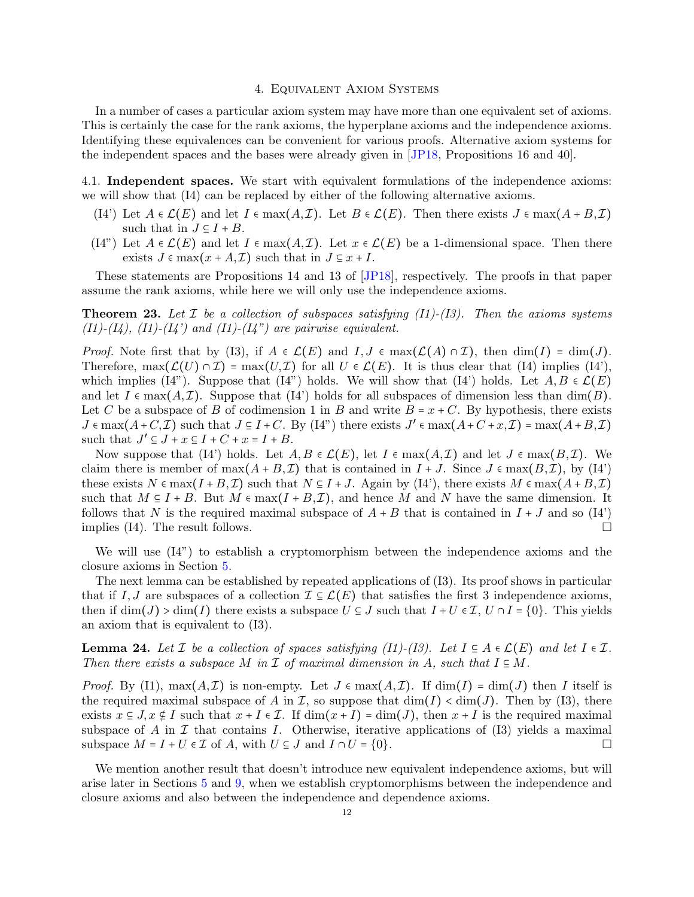### 4. Equivalent Axiom Systems

<span id="page-11-0"></span>In a number of cases a particular axiom system may have more than one equivalent set of axioms. This is certainly the case for the rank axioms, the hyperplane axioms and the independence axioms. Identifying these equivalences can be convenient for various proofs. Alternative axiom systems for the independent spaces and the bases were already given in [\[JP18,](#page-30-0) Propositions 16 and 40].

4.1. Independent spaces. We start with equivalent formulations of the independence axioms: we will show that (I4) can be replaced by either of the following alternative axioms.

- (I4') Let  $A \in \mathcal{L}(E)$  and let  $I \in \max(A,\mathcal{I})$ . Let  $B \in \mathcal{L}(E)$ . Then there exists  $J \in \max(A+B,\mathcal{I})$ such that in  $J \subseteq I + B$ .
- (I4") Let  $A \in \mathcal{L}(E)$  and let  $I \in \max(A,\mathcal{I})$ . Let  $x \in \mathcal{L}(E)$  be a 1-dimensional space. Then there exists  $J \in \max(x + A, \mathcal{I})$  such that in  $J \subseteq x + I$ .

These statements are Propositions 14 and 13 of [\[JP18\]](#page-30-0), respectively. The proofs in that paper assume the rank axioms, while here we will only use the independence axioms.

<span id="page-11-2"></span>Theorem 23. *Let* I *be a collection of subspaces satisfying (I1)-(I3). Then the axioms systems*  $(I1)-(I4)$ ,  $(I1)-(I4')$  and  $(I1)-(I4'')$  are pairwise equivalent.

*Proof.* Note first that by (I3), if  $A \in \mathcal{L}(E)$  and  $I, J \in \max(\mathcal{L}(A) \cap \mathcal{I})$ , then  $\dim(I) = \dim(J)$ . Therefore,  $\max(\mathcal{L}(U) \cap \mathcal{I}) = \max(U, \mathcal{I})$  for all  $U \in \mathcal{L}(E)$ . It is thus clear that (I4) implies (I4'), which implies (I4"). Suppose that (I4") holds. We will show that (I4") holds. Let  $A, B \in \mathcal{L}(E)$ and let  $I \in \max(A, \mathcal{I})$ . Suppose that (I4') holds for all subspaces of dimension less than  $\dim(B)$ . Let C be a subspace of B of codimension 1 in B and write  $B = x + C$ . By hypothesis, there exists  $J \in \max(A+C, \mathcal{I})$  such that  $J \subseteq I+C$ . By  $(I4^{\prime\prime})$  there exists  $J' \in \max(A+C+x, \mathcal{I}) = \max(A+B, \mathcal{I})$ such that  $J' \subseteq J + x \subseteq I + C + x = I + B$ .

Now suppose that (I4') holds. Let  $A, B \in \mathcal{L}(E)$ , let  $I \in \max(A, \mathcal{I})$  and let  $J \in \max(B, \mathcal{I})$ . We claim there is member of  $\max(A + B, \mathcal{I})$  that is contained in  $I + J$ . Since  $J \in \max(B, \mathcal{I})$ , by  $(I4')$ these exists  $N \in \max(I + B, \mathcal{I})$  such that  $N \subseteq I + J$ . Again by (I4'), there exists  $M \in \max(A + B, \mathcal{I})$ such that  $M \subseteq I + B$ . But  $M \in \max(I + B, \mathcal{I})$ , and hence M and N have the same dimension. It follows that N is the required maximal subspace of  $A + B$  that is contained in  $I + J$  and so  $(I4')$ implies (I4). The result follows.  $\Box$ 

We will use (I4") to establish a cryptomorphism between the independence axioms and the closure axioms in Section [5.](#page-14-0)

The next lemma can be established by repeated applications of (I3). Its proof shows in particular that if I, J are subspaces of a collection  $\mathcal{I} \subseteq \mathcal{L}(E)$  that satisfies the first 3 independence axioms, then if  $\dim(J) > \dim(I)$  there exists a subspace  $U \subseteq J$  such that  $I + U \in \mathcal{I}$ ,  $U \cap I = \{0\}$ . This yields an axiom that is equivalent to (I3).

<span id="page-11-1"></span>**Lemma 24.** Let  $\mathcal I$  be a collection of spaces satisfying (I1)-(I3). Let  $I \subseteq A \in \mathcal L(E)$  and let  $I \in \mathcal I$ . *Then there exists a subspace* M in  $\mathcal I$  *of maximal dimension in* A, such that  $I \subseteq M$ .

*Proof.* By (I1),  $\max(A, \mathcal{I})$  is non-empty. Let  $J \in \max(A, \mathcal{I})$ . If  $\dim(I) = \dim(J)$  then I itself is the required maximal subspace of A in I, so suppose that  $\dim(I) < \dim(J)$ . Then by (I3), there exists  $x \in J$ ,  $x \notin I$  such that  $x + I \in \mathcal{I}$ . If  $\dim(x + I) = \dim(J)$ , then  $x + I$  is the required maximal subspace of A in I that contains I. Otherwise, iterative applications of  $(13)$  yields a maximal subspace  $M = I + U \in \mathcal{I}$  of A, with  $U \subseteq J$  and  $I \cap U = \{0\}.$ 

We mention another result that doesn't introduce new equivalent independence axioms, but will arise later in Sections [5](#page-14-0) and [9,](#page-23-1) when we establish cryptomorphisms between the independence and closure axioms and also between the independence and dependence axioms.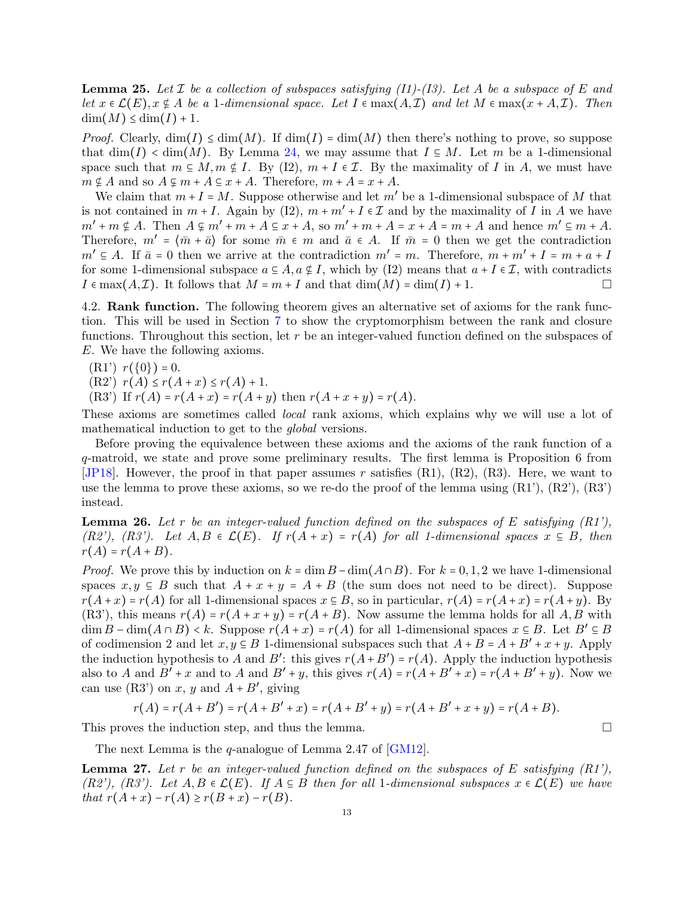<span id="page-12-0"></span>Lemma 25. *Let* I *be a collection of subspaces satisfying (I1)-(I3). Let* A *be a subspace of* E *and let*  $x \in \mathcal{L}(E), x \notin A$  *be a* 1*-dimensional space. Let*  $I \in \max(A, \mathcal{I})$  *and let*  $M \in \max(x + A, \mathcal{I})$ *. Then*  $\dim(M) \leq \dim(I) + 1$ .

*Proof.* Clearly,  $\dim(I) \leq \dim(M)$ . If  $\dim(I) = \dim(M)$  then there's nothing to prove, so suppose that  $\dim(I) < \dim(M)$ . By Lemma [24,](#page-11-1) we may assume that  $I \subseteq M$ . Let m be a 1-dimensional space such that  $m \n\t\subseteq M, m \n\t\subseteq I$ . By (I2),  $m + I \in \mathcal{I}$ . By the maximality of I in A, we must have  $m \notin A$  and so  $A \subseteq m + A \subseteq x + A$ . Therefore,  $m + A = x + A$ .

We claim that  $m + I = M$ . Suppose otherwise and let m' be a 1-dimensional subspace of M that is not contained in  $m + I$ . Again by (I2),  $m + m' + I \in \mathcal{I}$  and by the maximality of I in A we have  $m' + m \nsubseteq A$ . Then  $A \nsubseteq m' + m + A \nsubseteq x + A$ , so  $m' + m + A = x + A = m + A$  and hence  $m' \nsubseteq m + A$ . Therefore,  $m' = \langle \bar{m} + \bar{a} \rangle$  for some  $\bar{m} \in m$  and  $\bar{a} \in A$ . If  $\bar{m} = 0$  then we get the contradiction  $m' \subseteq A$ . If  $\bar{a} = 0$  then we arrive at the contradiction  $m' = m$ . Therefore,  $m + m' + I = m + a + I$ for some 1-dimensional subspace  $a \in A$ ,  $a \notin I$ , which by (I2) means that  $a + I \in \mathcal{I}$ , with contradicts  $I \in \max(A, \mathcal{I})$ . It follows that  $M = m + I$  and that  $\dim(M) = \dim(I) + 1$ .

4.2. Rank function. The following theorem gives an alternative set of axioms for the rank function. This will be used in Section [7](#page-18-1) to show the cryptomorphism between the rank and closure functions. Throughout this section, let  $r$  be an integer-valued function defined on the subspaces of E. We have the following axioms.

 $(R1')$   $r({0}) = 0$ .

 $(R2')$   $r(A) \leq r(A+x) \leq r(A)+1$ .

(R3') If  $r(A) = r(A+x) = r(A+y)$  then  $r(A+x+y) = r(A)$ .

These axioms are sometimes called *local* rank axioms, which explains why we will use a lot of mathematical induction to get to the *global* versions.

Before proving the equivalence between these axioms and the axioms of the rank function of a q-matroid, we state and prove some preliminary results. The first lemma is Proposition 6 from [\[JP18\]](#page-30-0). However, the proof in that paper assumes r satisfies (R1), (R2), (R3). Here, we want to use the lemma to prove these axioms, so we re-do the proof of the lemma using  $(R1')$ ,  $(R2')$ ,  $(R3')$ instead.

Lemma 26. *Let* r *be an integer-valued function defined on the subspaces of* E *satisfying (R1'),*  $(R2')$ ,  $(R3')$ . Let  $A, B \in \mathcal{L}(E)$ . If  $r(A + x) = r(A)$  *for all 1-dimensional spaces*  $x \subseteq B$ *, then*  $r(A) = r(A + B)$ .

*Proof.* We prove this by induction on  $k = \dim B - \dim(A \cap B)$ . For  $k = 0, 1, 2$  we have 1-dimensional spaces  $x, y \in B$  such that  $A + x + y = A + B$  (the sum does not need to be direct). Suppose  $r(A+x) = r(A)$  for all 1-dimensional spaces  $x \in B$ , so in particular,  $r(A) = r(A+x) = r(A+y)$ . By  $(R3')$ , this means  $r(A) = r(A + x + y) = r(A + B)$ . Now assume the lemma holds for all A, B with  $\dim B - \dim(A \cap B) < k$ . Suppose  $r(A + x) = r(A)$  for all 1-dimensional spaces  $x \in B$ . Let  $B' \subseteq B$ of codimension 2 and let  $x, y \in B$  1-dimensional subspaces such that  $A + B = A + B' + x + y$ . Apply the induction hypothesis to A and B': this gives  $r(A+B') = r(A)$ . Apply the induction hypothesis also to A and  $B' + x$  and to A and  $B' + y$ , this gives  $r(A) = r(A + B' + x) = r(A + B' + y)$ . Now we can use (R3') on x, y and  $A + B'$ , giving

$$
r(A) = r(A + B') = r(A + B' + x) = r(A + B' + y) = r(A + B' + x + y) = r(A + B).
$$

This proves the induction step, and thus the lemma.

The next Lemma is the q-analogue of Lemma 2.47 of [\[GM12\]](#page-29-7).

Lemma 27. *Let* r *be an integer-valued function defined on the subspaces of* E *satisfying (R1'), (R2'), (R3').* Let  $A, B \in \mathcal{L}(E)$ . If  $A \subseteq B$  then for all 1*-dimensional subspaces*  $x \in \mathcal{L}(E)$  *we have that*  $r(A + x) - r(A) \ge r(B + x) - r(B)$ .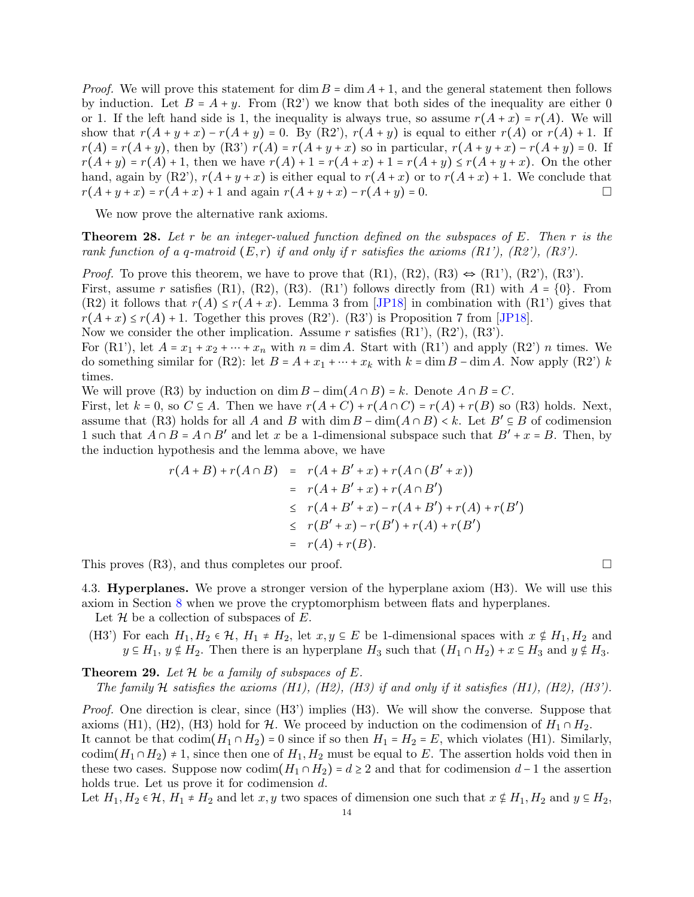*Proof.* We will prove this statement for dim  $B = \dim A + 1$ , and the general statement then follows by induction. Let  $B = A + y$ . From (R2') we know that both sides of the inequality are either 0 or 1. If the left hand side is 1, the inequality is always true, so assume  $r(A + x) = r(A)$ . We will show that  $r(A + y + x) - r(A + y) = 0$ . By (R2'),  $r(A + y)$  is equal to either  $r(A)$  or  $r(A) + 1$ . If  $r(A) = r(A+y)$ , then by  $(R3') r(A) = r(A+y+x)$  so in particular,  $r(A+y+x) - r(A+y) = 0$ . If  $r(A + y) = r(A) + 1$ , then we have  $r(A) + 1 = r(A + x) + 1 = r(A + y) \le r(A + y + x)$ . On the other hand, again by  $(R2')$ ,  $r(A+y+x)$  is either equal to  $r(A+x)$  or to  $r(A+x)+1$ . We conclude that  $r(A + y + x) = r(A + x) + 1$  and again  $r(A + y + x) - r(A + y) = 0$ .

We now prove the alternative rank axioms.

<span id="page-13-0"></span>Theorem 28. *Let* r *be an integer-valued function defined on the subspaces of* E*. Then* r *is the rank function of a q-matroid*  $(E, r)$  *if and only if* r *satisfies the axioms*  $(R1')$ *,*  $(R2')$ *,*  $(R3')$ *.* 

*Proof.* To prove this theorem, we have to prove that  $(R1)$ ,  $(R2)$ ,  $(R3) \Leftrightarrow (R1')$ ,  $(R2')$ ,  $(R3')$ . First, assume r satisfies (R1), (R2), (R3). (R1') follows directly from (R1) with  $A = \{0\}$ . From  $(R2)$  it follows that  $r(A) \le r(A+x)$ . Lemma 3 from [\[JP18\]](#page-30-0) in combination with  $(R1')$  gives that  $r(A+x) \le r(A) + 1$ . Together this proves (R2'). (R3') is Proposition 7 from [\[JP18\]](#page-30-0).

Now we consider the other implication. Assume  $r$  satisfies  $(R1')$ ,  $(R2')$ ,  $(R3')$ .

For (R1'), let  $A = x_1 + x_2 + \cdots + x_n$  with  $n = \dim A$ . Start with (R1') and apply (R2') n times. We do something similar for (R2): let  $B = A + x_1 + \cdots + x_k$  with  $k = \dim B - \dim A$ . Now apply (R2') k times.

We will prove (R3) by induction on dim  $B - \dim(A \cap B) = k$ . Denote  $A \cap B = C$ .

First, let  $k = 0$ , so  $C \subseteq A$ . Then we have  $r(A+C) + r(A \cap C) = r(A) + r(B)$  so (R3) holds. Next, assume that (R3) holds for all A and B with  $\dim B - \dim(A \cap B) < k$ . Let  $B' \subseteq B$  of codimension 1 such that  $A \cap B = A \cap B'$  and let x be a 1-dimensional subspace such that  $B' + x = B$ . Then, by the induction hypothesis and the lemma above, we have

$$
r(A+B) + r(A \cap B) = r(A+B'+x) + r(A \cap (B'+x))
$$
  
=  $r(A+B'+x) + r(A \cap B')$   
 $\leq r(A+B'+x) - r(A+B') + r(A) + r(B')$   
 $\leq r(B'+x) - r(B') + r(A) + r(B')$   
=  $r(A) + r(B)$ .

This proves (R3), and thus completes our proof.

4.3. Hyperplanes. We prove a stronger version of the hyperplane axiom (H3). We will use this axiom in Section [8](#page-20-1) when we prove the cryptomorphism between flats and hyperplanes.

Let  $\mathcal H$  be a collection of subspaces of E.

(H3') For each  $H_1, H_2 \in \mathcal{H}, H_1 \neq H_2$ , let  $x, y \in E$  be 1-dimensional spaces with  $x \notin H_1, H_2$  and  $y \in H_1$ ,  $y \notin H_2$ . Then there is an hyperplane  $H_3$  such that  $(H_1 \cap H_2) + x \in H_3$  and  $y \notin H_3$ .

<span id="page-13-1"></span>**Theorem 29.** Let  $H$  be a family of subspaces of  $E$ .

*The family* H *satisfies the axioms (H1), (H2), (H3) if and only if it satisfies (H1), (H2), (H3').*

*Proof.* One direction is clear, since (H3') implies (H3). We will show the converse. Suppose that axioms (H1), (H2), (H3) hold for H. We proceed by induction on the codimension of  $H_1 \cap H_2$ . It cannot be that  $\text{codim}(H_1 \cap H_2) = 0$  since if so then  $H_1 = H_2 = E$ , which violates (H1). Similarly, codim( $H_1 \cap H_2$ ) ≠ 1, since then one of  $H_1, H_2$  must be equal to E. The assertion holds void then in these two cases. Suppose now codim $(H_1 \cap H_2) = d \geq 2$  and that for codimension  $d-1$  the assertion holds true. Let us prove it for codimension d.

Let  $H_1, H_2 \in \mathcal{H}, H_1 \neq H_2$  and let  $x, y$  two spaces of dimension one such that  $x \notin H_1, H_2$  and  $y \in H_2$ ,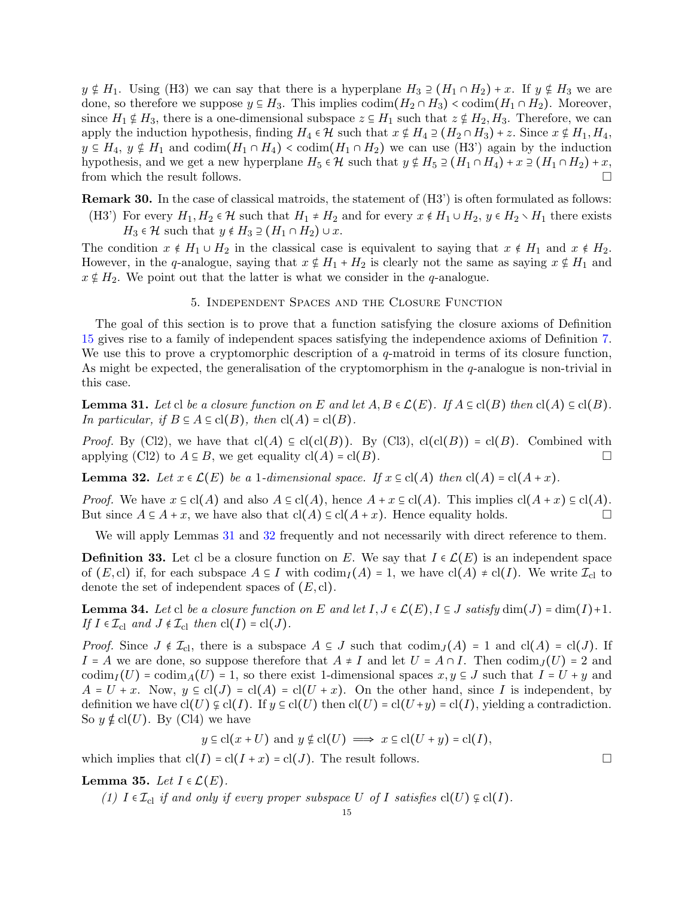$y \notin H_1$ . Using (H3) we can say that there is a hyperplane  $H_3 \supseteq (H_1 \cap H_2) + x$ . If  $y \notin H_3$  we are done, so therefore we suppose  $y \in H_3$ . This implies  $\text{codim}(H_2 \cap H_3) < \text{codim}(H_1 \cap H_2)$ . Moreover, since  $H_1 \notin H_3$ , there is a one-dimensional subspace  $z \in H_1$  such that  $z \notin H_2, H_3$ . Therefore, we can apply the induction hypothesis, finding  $H_4 \in \mathcal{H}$  such that  $x \notin H_4 \supseteq (H_2 \cap H_3) + z$ . Since  $x \notin H_1, H_4$ ,  $y \in H_4$ ,  $y \notin H_1$  and  $\text{codim}(H_1 \cap H_4) < \text{codim}(H_1 \cap H_2)$  we can use (H3') again by the induction hypothesis, and we get a new hyperplane  $H_5 \in \mathcal{H}$  such that  $y \notin H_5 \supseteq (H_1 \cap H_4) + x \supseteq (H_1 \cap H_2) + x$ , from which the result follows.

Remark 30. In the case of classical matroids, the statement of (H3') is often formulated as follows: (H3') For every  $H_1, H_2 \in \mathcal{H}$  such that  $H_1 \neq H_2$  and for every  $x \notin H_1 \cup H_2$ ,  $y \in H_2 \setminus H_1$  there exists  $H_3 \in \mathcal{H}$  such that  $y \notin H_3 \supseteq (H_1 \cap H_2) \cup x$ .

The condition  $x \notin H_1 \cup H_2$  in the classical case is equivalent to saying that  $x \notin H_1$  and  $x \notin H_2$ . However, in the q-analogue, saying that  $x \notin H_1 + H_2$  is clearly not the same as saying  $x \notin H_1$  and  $x \notin H_2$ . We point out that the latter is what we consider in the q-analogue.

### 5. Independent Spaces and the Closure Function

<span id="page-14-0"></span>The goal of this section is to prove that a function satisfying the closure axioms of Definition [15](#page-5-1) gives rise to a family of independent spaces satisfying the independence axioms of Definition [7.](#page-3-0) We use this to prove a cryptomorphic description of a  $q$ -matroid in terms of its closure function, As might be expected, the generalisation of the cryptomorphism in the q-analogue is non-trivial in this case.

<span id="page-14-1"></span>**Lemma 31.** *Let* cl *be a closure function on* E and let  $A, B \in \mathcal{L}(E)$ . If  $A \subseteq \text{cl}(B)$  *then*  $\text{cl}(A) \subseteq \text{cl}(B)$ . *In particular, if*  $B \subseteq A \subseteq cl(B)$ *, then*  $cl(A) = cl(B)$ *.* 

*Proof.* By (Cl2), we have that  $cl(A) \subseteq cl(cl(B))$ . By (Cl3),  $cl(cl(B)) = cl(B)$ . Combined with applying (Cl2) to  $A \subseteq B$ , we get equality cl(A) = cl(B).

<span id="page-14-2"></span>**Lemma 32.** Let  $x \in \mathcal{L}(E)$  be a 1-dimensional space. If  $x \in \text{cl}(A)$  then  $\text{cl}(A) = \text{cl}(A + x)$ .

*Proof.* We have  $x \in \text{cl}(A)$  and also  $A \subseteq \text{cl}(A)$ , hence  $A + x \subseteq \text{cl}(A)$ . This implies  $\text{cl}(A + x) \subseteq \text{cl}(A)$ . But since  $A \subseteq A + x$ , we have also that  $cl(A) \subseteq cl(A + x)$ . Hence equality holds.

We will apply Lemmas [31](#page-14-1) and [32](#page-14-2) frequently and not necessarily with direct reference to them.

**Definition 33.** Let cl be a closure function on E. We say that  $I \in \mathcal{L}(E)$  is an independent space of  $(E, cl)$  if, for each subspace  $A \subseteq I$  with  $\text{codim}_I(A) = 1$ , we have  $cl(A) \neq cl(I)$ . We write  $\mathcal{I}_{cl}$  to denote the set of independent spaces of  $(E, \text{cl})$ .

<span id="page-14-3"></span>**Lemma 34.** Let cl be a closure function on E and let  $I, J \in \mathcal{L}(E), I \subseteq J$  satisfy  $\dim(J) = \dim(I) + 1$ . *If*  $I \in \mathcal{I}_{\text{cl}}$  *and*  $J \notin \mathcal{I}_{\text{cl}}$  *then*  $\text{cl}(I) = \text{cl}(J)$ *.* 

*Proof.* Since  $J \notin \mathcal{I}_{\text{cl}}$ , there is a subspace  $A \subseteq J$  such that  $\text{codim}_J(A) = 1$  and  $\text{cl}(A) = \text{cl}(J)$ . If I = A we are done, so suppose therefore that  $A \neq I$  and let  $U = A \cap I$ . Then  $\text{codim}_I(U) = 2$  and codim<sub>I</sub>(U) = codim<sub>A</sub>(U) = 1, so there exist 1-dimensional spaces  $x, y \in J$  such that  $I = U + y$  and  $A = U + x$ . Now,  $y \in cl(J) = cl(A) = cl(U + x)$ . On the other hand, since I is independent, by definition we have  $cl(U) \subsetneq cl(U)$ . If  $y \subset cl(U)$  then  $cl(U) = cl(U + y) = cl(I)$ , yielding a contradiction. So  $y \notin cl(U)$ . By (Cl4) we have

$$
y \in cl(x+U)
$$
 and  $y \notin cl(U) \implies x \in cl(U+y) = cl(I)$ ,

which implies that  $cl(I) = cl(I + x) = cl(J)$ . The result follows.

Lemma 35. Let  $I \in \mathcal{L}(E)$ .

*(1)*  $I \in \mathcal{I}_{\text{cl}}$  *if and only if every proper subspace* U *of* I *satisfies*  $\text{cl}(U) \varsubsetneq \text{cl}(I)$ *.*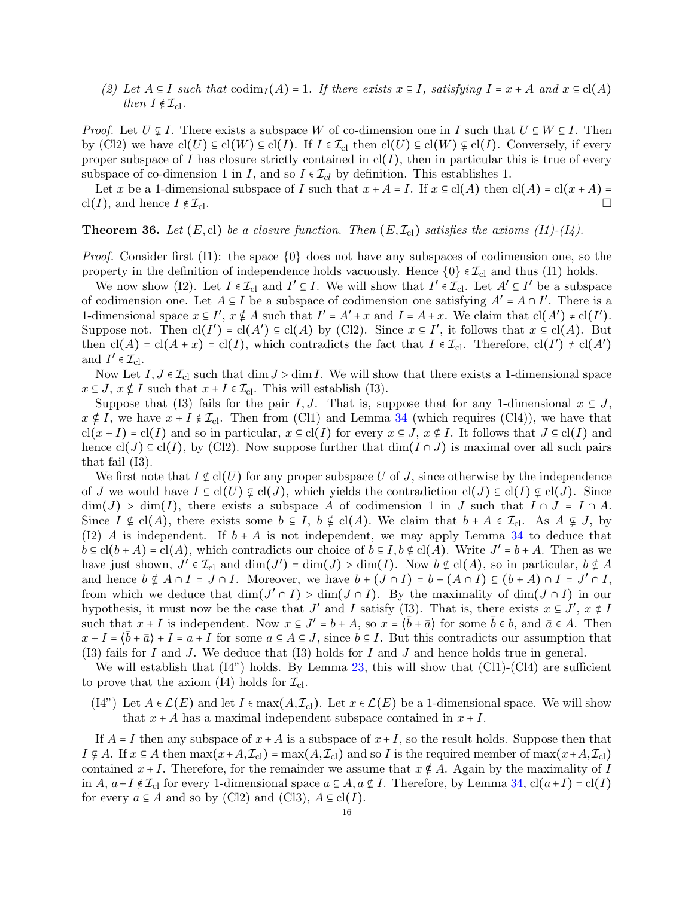*(2)* Let  $A \subseteq I$  *such that*  $\text{codim}_I(A) = 1$ *. If there exists*  $x \subseteq I$ *, satisfying*  $I = x + A$  *and*  $x \subseteq \text{cl}(A)$ *then*  $I \notin \mathcal{I}_{cl}$ *.* 

*Proof.* Let  $U \subseteq I$ . There exists a subspace W of co-dimension one in I such that  $U \subseteq W \subseteq I$ . Then by (Cl2) we have  $\text{cl}(U) \subseteq \text{cl}(W) \subseteq \text{cl}(I)$ . If  $I \in \mathcal{I}_{\text{cl}}$  then  $\text{cl}(U) \subseteq \text{cl}(W) \subseteq \text{cl}(I)$ . Conversely, if every proper subspace of I has closure strictly contained in  $cl(I)$ , then in particular this is true of every subspace of co-dimension 1 in I, and so  $I \in \mathcal{I}_{cl}$  by definition. This establishes 1.

Let x be a 1-dimensional subspace of I such that  $x + A = I$ . If  $x \in cl(A)$  then  $cl(A) = cl(x + A) =$ cl(*I*), and hence  $I \notin \mathcal{I}_{\text{cl}}$ .

<span id="page-15-0"></span>**Theorem 36.** Let  $(E, cl)$  be a closure function. Then  $(E, \mathcal{I}_{cl})$  satisfies the axioms  $(11)$ - $(14)$ .

*Proof.* Consider first (I1): the space  $\{0\}$  does not have any subspaces of codimension one, so the property in the definition of independence holds vacuously. Hence  $\{0\} \in \mathcal{I}_{\text{cl}}$  and thus (I1) holds.

We now show (I2). Let  $I \in \mathcal{I}_{\text{cl}}$  and  $I' \subseteq I$ . We will show that  $I' \in \mathcal{I}_{\text{cl}}$ . Let  $A' \subseteq I'$  be a subspace of codimension one. Let  $A \subseteq I$  be a subspace of codimension one satisfying  $A' = A \cap I'$ . There is a 1-dimensional space  $x \in I'$ ,  $x \notin A$  such that  $I' = A' + x$  and  $I = A + x$ . We claim that  $cl(A') \neq cl(I')$ . Suppose not. Then  $\text{cl}(I') = \text{cl}(A') \subseteq \text{cl}(A)$  by (Cl2). Since  $x \subseteq I'$ , it follows that  $x \subseteq \text{cl}(A)$ . But then  $\text{cl}(A) = \text{cl}(A + x) = \text{cl}(I)$ , which contradicts the fact that  $I \in \mathcal{I}_{\text{cl}}$ . Therefore,  $\text{cl}(I') \neq \text{cl}(A')$ and  $I' \in \mathcal{I}_{\text{cl}}$ .

Now Let  $I, J \in \mathcal{I}_{\text{cl}}$  such that dim  $J > \dim I$ . We will show that there exists a 1-dimensional space  $x \in J$ ,  $x \notin I$  such that  $x + I \in \mathcal{I}_{\text{cl}}$ . This will establish (I3).

Suppose that (I3) fails for the pair I, J. That is, suppose that for any 1-dimensional  $x \in J$ ,  $x \notin I$ , we have  $x + I \notin \mathcal{I}_{cl}$ . Then from (Cl1) and Lemma [34](#page-14-3) (which requires (Cl4)), we have that  $cl(x + I) = cl(I)$  and so in particular,  $x \in cl(I)$  for every  $x \in J$ ,  $x \notin I$ . It follows that  $J \subseteq cl(I)$  and hence  $cl(J) \subseteq cl(I)$ , by (Cl2). Now suppose further that  $dim(I \cap J)$  is maximal over all such pairs that fail (I3).

We first note that  $I \notin cl(U)$  for any proper subspace U of J, since otherwise by the independence of J we would have  $I \subseteq \text{cl}(U) \not\subseteq \text{cl}(J)$ , which yields the contradiction  $\text{cl}(J) \subseteq \text{cl}(I) \not\subseteq \text{cl}(J)$ . Since  $\dim(J)$  >  $\dim(I)$ , there exists a subspace A of codimension 1 in J such that  $I \cap J = I \cap A$ . Since  $I \notin cl(A)$ , there exists some  $b \subseteq I$ ,  $b \notin cl(A)$ . We claim that  $b + A \in \mathcal{I}_{cl}$ . As  $A \subseteq J$ , by (I2) A is independent. If  $b + A$  is not independent, we may apply Lemma [34](#page-14-3) to deduce that  $b \subseteq cl(b + A) = cl(A)$ , which contradicts our choice of  $b \subseteq I$ ,  $b \notin cl(A)$ . Write  $J' = b + A$ . Then as we have just shown,  $J' \in \mathcal{I}_{\text{cl}}$  and  $\dim(J') = \dim(J) > \dim(I)$ . Now  $b \notin \text{cl}(A)$ , so in particular,  $b \notin A$ and hence  $b \notin A \cap I = J \cap I$ . Moreover, we have  $b + (J \cap I) = b + (A \cap I) \subseteq (b + A) \cap I = J' \cap I$ , from which we deduce that  $\dim(J' \cap I) > \dim(J \cap I)$ . By the maximality of  $\dim(J \cap I)$  in our hypothesis, it must now be the case that  $J'$  and I satisfy (I3). That is, there exists  $x \in J'$ ,  $x \notin I$ such that  $x + I$  is independent. Now  $x \in J' = b + A$ , so  $x = \langle \bar{b} + \bar{a} \rangle$  for some  $\bar{b} \in b$ , and  $\bar{a} \in A$ . Then  $x + I = \langle \bar{b} + \bar{a} \rangle + I = a + I$  for some  $a \in A \subseteq J$ , since  $b \subseteq I$ . But this contradicts our assumption that  $(13)$  fails for I and J. We deduce that  $(13)$  holds for I and J and hence holds true in general.

We will establish that  $(I4)$ <sup>"</sup> holds. By Lemma [23,](#page-11-2) this will show that  $(Cl1)-(Cl4)$  are sufficient to prove that the axiom (I4) holds for  $\mathcal{I}_{\text{cl}}$ .

 $(14)$  Let  $A \in \mathcal{L}(E)$  and let  $I \in \max(A, \mathcal{I}_{\text{cl}})$ . Let  $x \in \mathcal{L}(E)$  be a 1-dimensional space. We will show that  $x + A$  has a maximal independent subspace contained in  $x + I$ .

If  $A = I$  then any subspace of  $x + A$  is a subspace of  $x + I$ , so the result holds. Suppose then that  $I \subseteq A$ . If  $x \subseteq A$  then  $\max(x+A, \mathcal{I}_{c}) = \max(A, \mathcal{I}_{c})$  and so I is the required member of  $\max(x+A, \mathcal{I}_{c})$ contained  $x + I$ . Therefore, for the remainder we assume that  $x \notin A$ . Again by the maximality of I in  $A, a+I \notin \mathcal{I}_{\text{cl}}$  for every 1-dimensional space  $a \in A, a \notin I$ . Therefore, by Lemma [34,](#page-14-3)  $\text{cl}(a+I) = \text{cl}(I)$ for every  $a \subseteq A$  and so by (Cl2) and (Cl3),  $A \subseteq cl(I)$ .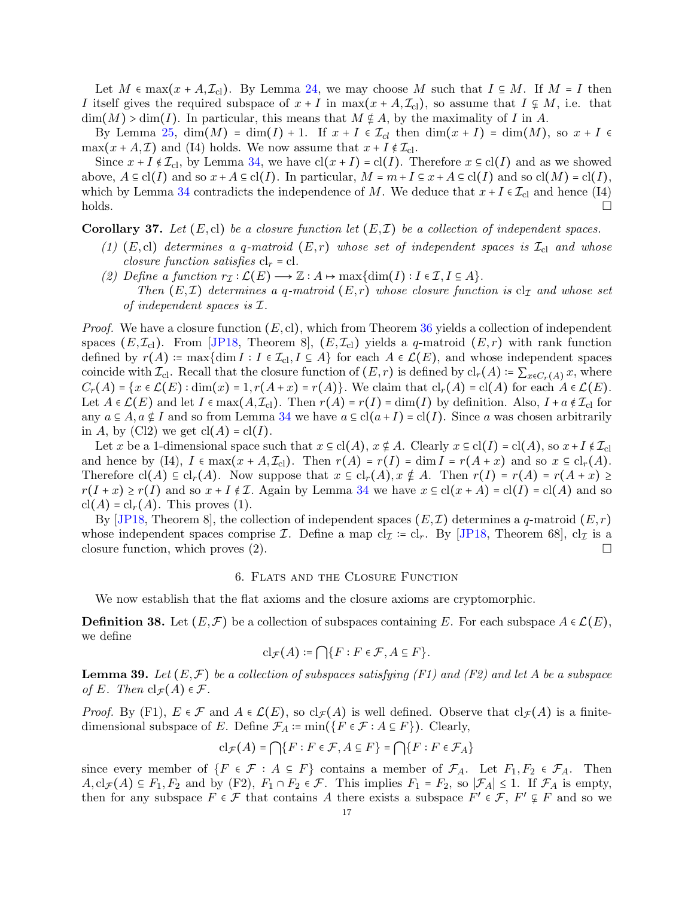Let  $M \in \max(x + A, \mathcal{I}_{\text{cl}})$ . By Lemma [24,](#page-11-1) we may choose M such that  $I \subseteq M$ . If  $M = I$  then I itself gives the required subspace of  $x + I$  in max $(x + A, \mathcal{I}_{\text{cl}})$ , so assume that  $I \subsetneq M$ , i.e. that  $\dim(M) > \dim(I)$ . In particular, this means that  $M \notin A$ , by the maximality of I in A.

By Lemma [25,](#page-12-0)  $\dim(M) = \dim(I) + 1$ . If  $x + I \in \mathcal{I}_{cl}$  then  $\dim(x + I) = \dim(M)$ , so  $x + I \in \mathcal{I}_{cl}$  $\max(x + A, \mathcal{I})$  and (I4) holds. We now assume that  $x + I \notin \mathcal{I}_{cl}$ .

Since  $x + I \notin \mathcal{I}_{\text{cl}}$ , by Lemma [34,](#page-14-3) we have  $\text{cl}(x + I) = \text{cl}(I)$ . Therefore  $x \in \text{cl}(I)$  and as we showed above,  $A \subseteq \text{cl}(I)$  and so  $x + A \subseteq \text{cl}(I)$ . In particular,  $M = m + I \subseteq x + A \subseteq \text{cl}(I)$  and so  $\text{cl}(M) = \text{cl}(I)$ , which by Lemma [34](#page-14-3) contradicts the independence of M. We deduce that  $x + I \in \mathcal{I}_{\text{cl}}$  and hence (I4) holds.  $\Box$ holds.

<span id="page-16-0"></span>**Corollary 37.** Let  $(E, cl)$  be a closure function let  $(E, \mathcal{I})$  be a collection of independent spaces.

- $(1)$  (E,cl) *determines a q-matroid* (E,r) whose set of independent spaces is  $\mathcal{I}_{\text{cl}}$  and whose *closure function satisfies*  $cl_r = cl$ *.*
- *(2) Define a function*  $r_{\mathcal{I}} : \mathcal{L}(E) \longrightarrow \mathbb{Z} : A \mapsto \max\{\dim(I) : I \in \mathcal{I}, I \subseteq A\}.$ *Then*  $(E, \mathcal{I})$  *determines a q-matroid*  $(E, r)$  *whose closure function is*  $cl_{\mathcal{I}}$  *and whose set of independent spaces is* I*.*

*Proof.* We have a closure function  $(E, cl)$ , which from Theorem [36](#page-15-0) yields a collection of independent spaces  $(E, \mathcal{I}_{\text{cl}})$ . From [\[JP18,](#page-30-0) Theorem 8],  $(E, \mathcal{I}_{\text{cl}})$  yields a q-matroid  $(E, r)$  with rank function defined by  $r(A) := \max\{\dim I : I \in \mathcal{I}_{\text{cl}}, I \subseteq A\}$  for each  $A \in \mathcal{L}(E)$ , and whose independent spaces coincide with  $\mathcal{I}_{\text{cl}}$ . Recall that the closure function of  $(E, r)$  is defined by  $\text{cl}_{r}(A) = \sum_{x \in C_r(A)} x$ , where  $C_r(A) = \{x \in \mathcal{L}(E) : \dim(x) = 1, r(A+x) = r(A)\}.$  We claim that  $\text{cl}_r(A) = \text{cl}(A)$  for each  $A \in \mathcal{L}(E)$ . Let  $A \in \mathcal{L}(E)$  and let  $I \in \max(A, \mathcal{I}_{cl})$ . Then  $r(A) = r(I) = \dim(I)$  by definition. Also,  $I + a \notin \mathcal{I}_{cl}$  for any  $a \subseteq A$ ,  $a \notin I$  and so from Lemma [34](#page-14-3) we have  $a \subseteq cl(a+I) = cl(I)$ . Since a was chosen arbitrarily in A, by (Cl2) we get  $\text{cl}(A) = \text{cl}(I)$ .

Let x be a 1-dimensional space such that  $x \in cl(A)$ ,  $x \notin A$ . Clearly  $x \in cl(I) = cl(A)$ , so  $x + I \notin \mathcal{I}_{cl}$ and hence by (I4),  $I \in \max(x + A, \mathcal{I}_{\text{cl}})$ . Then  $r(A) = r(I) = \dim I = r(A + x)$  and so  $x \in \text{cl}_r(A)$ . Therefore  $cl(A) \subseteq cl_r(A)$ . Now suppose that  $x \subseteq cl_r(A)$ ,  $x \notin A$ . Then  $r(I) = r(A) = r(A + x) \ge$  $r(I + x) \ge r(I)$  and so  $x + I \notin \mathcal{I}$ . Again by Lemma [34](#page-14-3) we have  $x \subseteq cl(x + A) = cl(I) = cl(A)$  and so  $\operatorname{cl}(A) = \operatorname{cl}_r(A)$ . This proves (1).

By [\[JP18,](#page-30-0) Theorem 8], the collection of independent spaces  $(E, \mathcal{I})$  determines a q-matroid  $(E, r)$ whose independent spaces comprise *I*. Define a map cl<sub>*I*</sub> := cl<sub>*r*</sub>. By [\[JP18,](#page-30-0) Theorem 68], cl<sub>*I*</sub> is a closure function, which proves  $(2)$ .

### 6. Flats and the Closure Function

<span id="page-16-1"></span>We now establish that the flat axioms and the closure axioms are cryptomorphic.

**Definition 38.** Let  $(E, \mathcal{F})$  be a collection of subspaces containing E. For each subspace  $A \in \mathcal{L}(E)$ , we define

$$
\mathrm{cl}_{\mathcal{F}}(A) \coloneqq \bigcap \{ F : F \in \mathcal{F}, A \subseteq F \}.
$$

<span id="page-16-2"></span>**Lemma 39.** Let  $(E, \mathcal{F})$  be a collection of subspaces satisfying  $(F1)$  and  $(F2)$  and let A be a subspace *of* E. Then  $\text{cl}_{\mathcal{F}}(A) \in \mathcal{F}$ .

*Proof.* By (F1),  $E \in \mathcal{F}$  and  $A \in \mathcal{L}(E)$ , so  $\text{cl}_{\mathcal{F}}(A)$  is well defined. Observe that  $\text{cl}_{\mathcal{F}}(A)$  is a finitedimensional subspace of E. Define  $\mathcal{F}_A \coloneqq \min(\{F \in \mathcal{F} : A \subseteq F\})$ . Clearly,

$$
\mathrm{cl}_{\mathcal{F}}(A) = \bigcap \{ F : F \in \mathcal{F}, A \subseteq F \} = \bigcap \{ F : F \in \mathcal{F}_A \}
$$

since every member of  $\{F \in \mathcal{F} : A \subseteq F\}$  contains a member of  $\mathcal{F}_A$ . Let  $F_1, F_2 \in \mathcal{F}_A$ . Then  $A, cl_{\mathcal{F}}(A) \subseteq F_1, F_2$  and by (F2),  $F_1 \cap F_2 \in \mathcal{F}$ . This implies  $F_1 = F_2$ , so  $|\mathcal{F}_A| \leq 1$ . If  $\mathcal{F}_A$  is empty, then for any subspace  $F \in \mathcal{F}$  that contains A there exists a subspace  $F' \in \mathcal{F}$ ,  $F' \subsetneq F$  and so we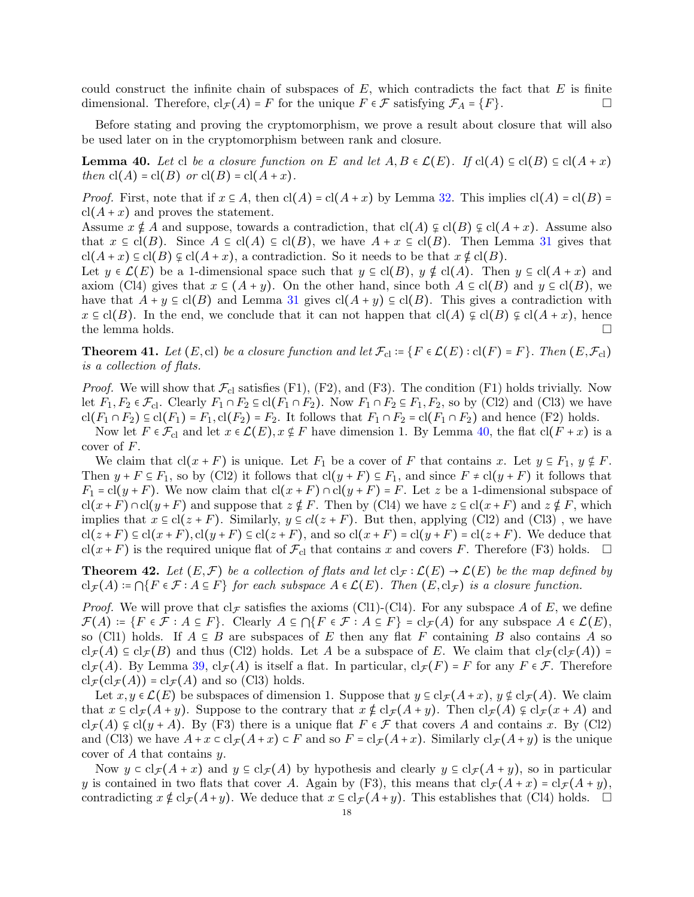could construct the infinite chain of subspaces of  $E$ , which contradicts the fact that  $E$  is finite dimensional. Therefore,  $\text{cl}_{\mathcal{F}}(A) = F$  for the unique  $F \in \mathcal{F}$  satisfying  $\mathcal{F}_A = \{F\}.$ 

Before stating and proving the cryptomorphism, we prove a result about closure that will also be used later on in the cryptomorphism between rank and closure.

<span id="page-17-0"></span>**Lemma 40.** Let cl be a closure function on E and let  $A, B \in \mathcal{L}(E)$ . If  $cl(A) \subseteq cl(B) \subseteq cl(A + x)$ *then*  $cl(A) = cl(B)$  *or*  $cl(B) = cl(A + x)$ *.* 

*Proof.* First, note that if  $x \in A$ , then  $cl(A) = cl(A + x)$  by Lemma [32.](#page-14-2) This implies  $cl(A) = cl(B)$  $cl(A + x)$  and proves the statement.

Assume  $x \notin A$  and suppose, towards a contradiction, that  $cl(A) \notin cl(B) \notin cl(A + x)$ . Assume also that  $x \in \text{cl}(B)$ . Since  $A \subseteq \text{cl}(A) \subseteq \text{cl}(B)$ , we have  $A + x \subseteq \text{cl}(B)$ . Then Lemma [31](#page-14-1) gives that  $\text{cl}(A+x) \subseteq \text{cl}(B) \not\subseteq \text{cl}(A+x)$ , a contradiction. So it needs to be that  $x \notin \text{cl}(B)$ .

Let  $y \in \mathcal{L}(E)$  be a 1-dimensional space such that  $y \in cl(B)$ ,  $y \notin cl(A)$ . Then  $y \in cl(A + x)$  and axiom (Cl4) gives that  $x \in (A + y)$ . On the other hand, since both  $A \subseteq cl(B)$  and  $y \subseteq cl(B)$ , we have that  $A + y \subseteq cl(B)$  and Lemma [31](#page-14-1) gives  $cl(A + y) \subseteq cl(B)$ . This gives a contradiction with  $x \in \text{cl}(B)$ . In the end, we conclude that it can not happen that  $\text{cl}(A) \varphi \text{cl}(B) \varphi \text{cl}(A+x)$ , hence the lemma holds.  $\square$ 

<span id="page-17-1"></span>**Theorem 41.** *Let*  $(E, cl)$  *be a closure function and let*  $\mathcal{F}_{cl}$  :=  $\{F \in \mathcal{L}(E) : cl(F) = F\}$ *. Then*  $(E, \mathcal{F}_{cl})$ *is a collection of flats.*

*Proof.* We will show that  $\mathcal{F}_{\text{cl}}$  satisfies (F1), (F2), and (F3). The condition (F1) holds trivially. Now let  $F_1, F_2 \in \mathcal{F}_{\text{cl}}$ . Clearly  $F_1 \cap F_2 \subseteq \text{cl}(F_1 \cap F_2)$ . Now  $F_1 \cap F_2 \subseteq F_1, F_2$ , so by (Cl2) and (Cl3) we have  $\text{cl}(F_1 \cap F_2) \subseteq \text{cl}(F_1) = F_1, \text{cl}(F_2) = F_2$ . It follows that  $F_1 \cap F_2 = \text{cl}(F_1 \cap F_2)$  and hence (F2) holds.

Now let  $F \in \mathcal{F}_{\text{cl}}$  and let  $x \in \mathcal{L}(E)$ ,  $x \notin F$  have dimension 1. By Lemma [40,](#page-17-0) the flat  $\text{cl}(F + x)$  is a cover of  $F$ .

We claim that cl(x + F) is unique. Let  $F_1$  be a cover of F that contains x. Let  $y \in F_1$ ,  $y \notin F$ . Then  $y + F \subseteq F_1$ , so by (Cl2) it follows that  $cl(y + F) \subseteq F_1$ , and since  $F \neq cl(y + F)$  it follows that  $F_1 = cl(y+F)$ . We now claim that  $cl(x+F) \cap cl(y+F) = F$ . Let z be a 1-dimensional subspace of  $cl(x+F)\cap cl(y+F)$  and suppose that  $z \notin F$ . Then by (Cl4) we have  $z \in cl(x+F)$  and  $z \notin F$ , which implies that  $x \in cl(z + F)$ . Similarly,  $y \in cl(z + F)$ . But then, applying (Cl2) and (Cl3), we have  $cl(z+F) \subseteq cl(x+F), cl(y+F) \subseteq cl(z+F)$ , and so  $cl(x+F) = cl(y+F) = cl(z+F)$ . We deduce that cl(x+F) is the required unique flat of  $\mathcal{F}_{\text{cl}}$  that contains x and covers F. Therefore (F3) holds.  $\Box$ 

<span id="page-17-2"></span>**Theorem 42.** Let  $(E, \mathcal{F})$  be a collection of flats and let  $cl_{\mathcal{F}} : \mathcal{L}(E) \to \mathcal{L}(E)$  be the map defined by  $cl_{\mathcal{F}}(A) = \bigcap \{F \in \mathcal{F} : A \subseteq F\}$  *for each subspace*  $A \in \mathcal{L}(E)$ *. Then*  $(E, cl_{\mathcal{F}})$  *is a closure function.* 

*Proof.* We will prove that  $cl_{\mathcal{F}}$  satisfies the axioms (Cl1)-(Cl4). For any subspace A of E, we define  $\mathcal{F}(A) \coloneqq \{F \in \mathcal{F} : A \subseteq F\}.$  Clearly  $A \subseteq \bigcap \{F \in \mathcal{F} : A \subseteq F\} = \mathrm{cl}_{\mathcal{F}}(A)$  for any subspace  $A \in \mathcal{L}(E)$ , so (Cl1) holds. If  $A \subseteq B$  are subspaces of E then any flat F containing B also contains A so  $\text{cl}_{\mathcal{F}}(A) \subseteq \text{cl}_{\mathcal{F}}(B)$  and thus (Cl2) holds. Let A be a subspace of E. We claim that  $\text{cl}_{\mathcal{F}}(\text{cl}_{\mathcal{F}}(A)) =$  $cl_{\mathcal{F}}(A)$ . By Lemma [39,](#page-16-2)  $cl_{\mathcal{F}}(A)$  is itself a flat. In particular,  $cl_{\mathcal{F}}(F) = F$  for any  $F \in \mathcal{F}$ . Therefore  $cl_{\mathcal{F}}(cl_{\mathcal{F}}(A)) = cl_{\mathcal{F}}(A)$  and so (Cl3) holds.

Let  $x, y \in \mathcal{L}(E)$  be subspaces of dimension 1. Suppose that  $y \in cl_{\mathcal{F}}(A+x)$ ,  $y \notin cl_{\mathcal{F}}(A)$ . We claim that  $x \in \text{cl}_{\mathcal{F}}(A+y)$ . Suppose to the contrary that  $x \notin \text{cl}_{\mathcal{F}}(A+y)$ . Then  $\text{cl}_{\mathcal{F}}(A) \varsubsetneq \text{cl}_{\mathcal{F}}(x+A)$  and  $cl_{\mathcal{F}}(A) \subseteq cl(\gamma + A)$ . By (F3) there is a unique flat  $F \in \mathcal{F}$  that covers A and contains x. By (Cl2) and (Cl3) we have  $A + x \in \text{cl}_{\mathcal{F}}(A + x) \in F$  and so  $F = \text{cl}_{\mathcal{F}}(A + x)$ . Similarly  $\text{cl}_{\mathcal{F}}(A + y)$  is the unique cover of A that contains y.

Now  $y \in \text{cl}_{\mathcal{F}}(A+x)$  and  $y \in \text{cl}_{\mathcal{F}}(A)$  by hypothesis and clearly  $y \in \text{cl}_{\mathcal{F}}(A+y)$ , so in particular y is contained in two flats that cover A. Again by (F3), this means that  $\text{cl}_{\mathcal{F}}(A+x) = \text{cl}_{\mathcal{F}}(A+y)$ , contradicting  $x \notin \text{cl}_{\mathcal{F}}(A+y)$ . We deduce that  $x \in \text{cl}_{\mathcal{F}}(A+y)$ . This establishes that (Cl4) holds.  $\square$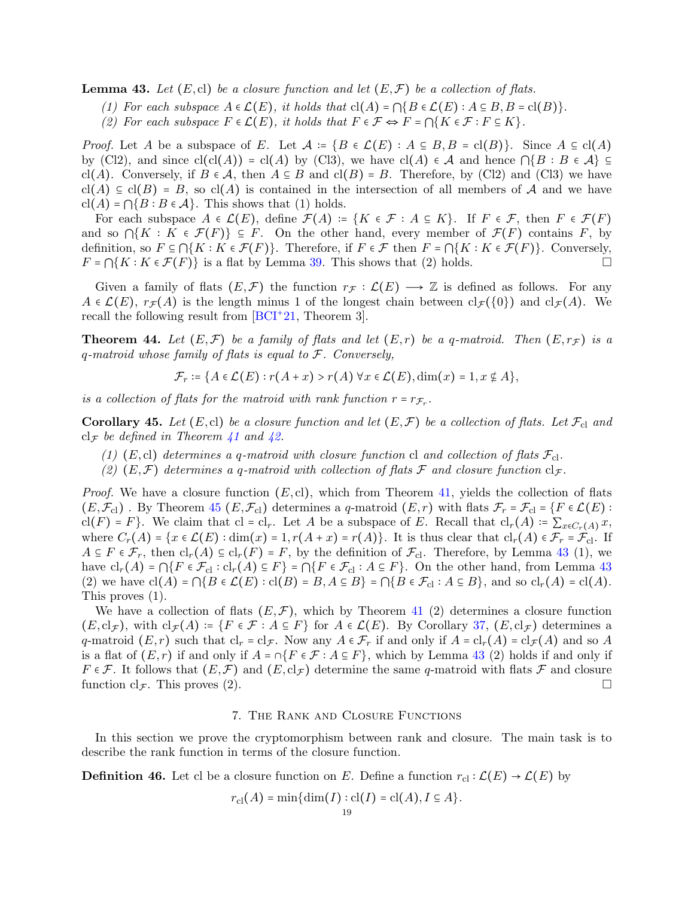<span id="page-18-2"></span>**Lemma 43.** Let  $(E, cl)$  be a closure function and let  $(E, \mathcal{F})$  be a collection of flats.

*(1) For each subspace*  $A \in \mathcal{L}(E)$ , *it holds that*  $cl(A) = \bigcap \{B \in \mathcal{L}(E) : A \subseteq B, B = cl(B)\}$ .

*(2)* For each subspace  $F \in \mathcal{L}(E)$ , it holds that  $F \in \mathcal{F} \Leftrightarrow F = \bigcap \{K \in \mathcal{F} : F \subseteq K\}$ .

*Proof.* Let A be a subspace of E. Let  $\mathcal{A} \coloneqq \{B \in \mathcal{L}(E) : A \subseteq B, B = \text{cl}(B)\}\.$  Since  $A \subseteq \text{cl}(A)$ by (Cl2), and since  $cl(cl(A)) = cl(A)$  by (Cl3), we have  $cl(A) \in \mathcal{A}$  and hence  $\bigcap \{B : B \in \mathcal{A}\}\subseteq$ cl(A). Conversely, if  $B \in \mathcal{A}$ , then  $A \subseteq B$  and cl(B) = B. Therefore, by (Cl2) and (Cl3) we have  $cl(A) \subseteq cl(B) = B$ , so  $cl(A)$  is contained in the intersection of all members of A and we have  $cl(A) = \bigcap \{ B : B \in \mathcal{A} \}.$  This shows that (1) holds.

For each subspace  $A \in \mathcal{L}(E)$ , define  $\mathcal{F}(A) := \{K \in \mathcal{F} : A \subseteq K\}$ . If  $F \in \mathcal{F}$ , then  $F \in \mathcal{F}(F)$ and so  $\bigcap\{K : K \in \mathcal{F}(F)\}\subseteq F$ . On the other hand, every member of  $\mathcal{F}(F)$  contains F, by definition, so  $F \subseteq \bigcap \{K : K \in \mathcal{F}(F)\}\$ . Therefore, if  $F \in \mathcal{F}$  then  $F = \bigcap \{K : K \in \mathcal{F}(F)\}\$ . Conversely,  $F = \bigcap \{K : K \in \mathcal{F}(F)\}\$ is a flat by Lemma [39.](#page-16-2) This shows that (2) holds.

Given a family of flats  $(E,\mathcal{F})$  the function  $r_{\mathcal{F}}:\mathcal{L}(E) \longrightarrow \mathbb{Z}$  is defined as follows. For any  $A \in \mathcal{L}(E)$ ,  $r_{\mathcal{F}}(A)$  is the length minus 1 of the longest chain between  $cl_{\mathcal{F}}({0})$  and  $cl_{\mathcal{F}}(A)$ . We recall the following result from [\[BCI](#page-29-3)<sup>+</sup>21, Theorem 3].

<span id="page-18-4"></span>**Theorem 44.** Let  $(E, \mathcal{F})$  be a family of flats and let  $(E, r)$  be a q-matroid. Then  $(E, r_{\mathcal{F}})$  is a q*-matroid whose family of flats is equal to* F*. Conversely,*

$$
\mathcal{F}_r \coloneqq \{ A \in \mathcal{L}(E) : r(A + x) > r(A) \,\forall x \in \mathcal{L}(E), \dim(x) = 1, x \notin A \},
$$

*is a collection of flats for the matroid with rank function*  $r = r_{\mathcal{F}_r}$ .

<span id="page-18-0"></span>**Corollary 45.** Let  $(E, c)$  be a closure function and let  $(E, \mathcal{F})$  be a collection of flats. Let  $\mathcal{F}_{cl}$  and  $cl_{\mathcal{F}}$  *be defined in Theorem [41](#page-17-1) and [42.](#page-17-2)* 

- (1)  $(E, c)$  *determines a q-matroid with closure function* cl *and collection of flats*  $\mathcal{F}_{c}$ .
- (2)  $(E,\mathcal{F})$  *determines* a q-matroid with collection of flats  $\mathcal F$  and closure function  $cl_{\mathcal{F}}$ *.*

*Proof.* We have a closure function  $(E, cl)$ , which from Theorem [41,](#page-17-1) yields the collection of flats  $(E, \mathcal{F}_{\text{cl}})$ . By Theorem [45](#page-18-0)  $(E, \mathcal{F}_{\text{cl}})$  determines a q-matroid  $(E, r)$  with flats  $\mathcal{F}_{r} = \mathcal{F}_{\text{cl}} = \{F \in \mathcal{L}(E)$ : cl(F) = F}. We claim that cl = cl<sub>r</sub>. Let A be a subspace of E. Recall that  $\text{cl}_r(A) = \sum_{x \in C_r(A)} x$ , where  $C_r(A) = \{x \in \mathcal{L}(E) : \dim(x) = 1, r(A+x) = r(A)\}$ . It is thus clear that  $\text{cl}_r(A) \in \mathcal{F}_r = \mathcal{F}_{\text{cl}}$ . If  $A \subseteq F \in \mathcal{F}_r$ , then  $\text{cl}_r(A) \subseteq \text{cl}_r(F) = F$ , by the definition of  $\mathcal{F}_{\text{cl}}$ . Therefore, by Lemma [43](#page-18-2) (1), we have  $\text{cl}_r(A) = \bigcap \{F \in \mathcal{F}_{\text{cl}} : \text{cl}_r(A) \subseteq F\} = \bigcap \{F \in \mathcal{F}_{\text{cl}} : A \subseteq F\}.$  On the other hand, from Lemma [43](#page-18-2) (2) we have  $\text{cl}(A) = \bigcap \{ B \in \mathcal{L}(E) : \text{cl}(B) = B, A \subseteq B \} = \bigcap \{ B \in \mathcal{F}_{\text{cl}} : A \subseteq B \}$ , and so  $\text{cl}_r(A) = \text{cl}(A)$ . This proves (1).

We have a collection of flats  $(E, \mathcal{F})$ , which by Theorem [41](#page-17-1) (2) determines a closure function  $(E, \mathrm{cl}_{\mathcal{F}})$ , with  $\mathrm{cl}_{\mathcal{F}}(A) \coloneqq \{F \in \mathcal{F} : A \subseteq F\}$  for  $A \in \mathcal{L}(E)$ . By Corollary [37,](#page-16-0)  $(E, \mathrm{cl}_{\mathcal{F}})$  determines a q-matroid  $(E, r)$  such that  $\text{cl}_r = \text{cl}_{\mathcal{F}}$ . Now any  $A \in \mathcal{F}_r$  if and only if  $A = \text{cl}_r(A) = \text{cl}_{\mathcal{F}}(A)$  and so A is a flat of  $(E, r)$  if and only if  $A = \cap \{F \in \mathcal{F} : A \subseteq F\}$ , which by Lemma [43](#page-18-2) (2) holds if and only if  $F \in \mathcal{F}$ . It follows that  $(E, \mathcal{F})$  and  $(E, cl_{\mathcal{F}})$  determine the same q-matroid with flats  $\mathcal F$  and closure function cl<sub>F</sub>. This proves (2).

# 7. The Rank and Closure Functions

<span id="page-18-1"></span>In this section we prove the cryptomorphism between rank and closure. The main task is to describe the rank function in terms of the closure function.

<span id="page-18-3"></span>**Definition 46.** Let cl be a closure function on E. Define a function  $r_{\text{cl}} : \mathcal{L}(E) \to \mathcal{L}(E)$  by

$$
r_{\mathrm{cl}}(A) = \min\{\dim(I) : \mathrm{cl}(I) = \mathrm{cl}(A), I \subseteq A\}.
$$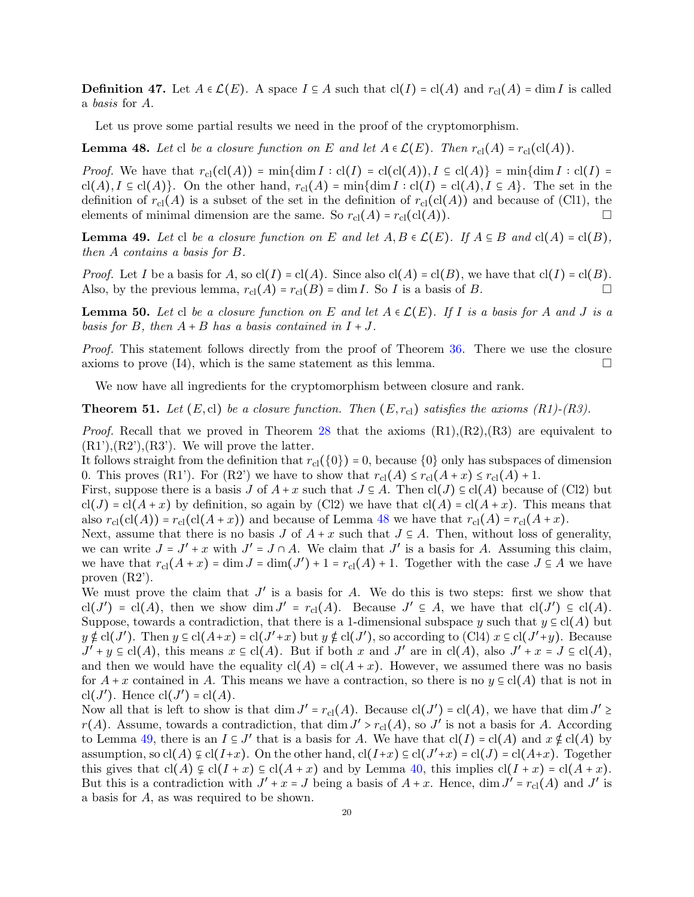**Definition 47.** Let  $A \in \mathcal{L}(E)$ . A space  $I \subseteq A$  such that  $cl(I) = cl(A)$  and  $r_{cl}(A) = dim I$  is called a *basis* for A.

Let us prove some partial results we need in the proof of the cryptomorphism.

<span id="page-19-0"></span>**Lemma 48.** Let cl be a closure function on E and let  $A \in \mathcal{L}(E)$ . Then  $r_{\text{cl}}(A) = r_{\text{cl}}(\text{cl}(A))$ .

*Proof.* We have that  $r_{\text{cl}}(\text{cl}(A)) = \min{\dim I : \text{cl}(I) = \text{cl}(\text{cl}(A)), I \subseteq \text{cl}(A)} = \min{\dim I : \text{cl}(I) = \text{cl}(A)}$ cl(A),  $I \subseteq cl(A)$ . On the other hand,  $r_{cl}(A) = \min\{\dim I : cl(I) = cl(A), I \subseteq A\}$ . The set in the definition of  $r_{\text{cl}}(A)$  is a subset of the set in the definition of  $r_{\text{cl}}(\text{cl}(A))$  and because of (Cl1), the elements of minimal dimension are the same. So  $r_{\text{cl}}(A) = r_{\text{cl}}(\text{cl}(A)).$ 

<span id="page-19-1"></span>**Lemma 49.** Let cl be a closure function on E and let  $A, B \in \mathcal{L}(E)$ . If  $A \subseteq B$  and  $cl(A) = cl(B)$ , *then* A *contains a basis for* B*.*

*Proof.* Let I be a basis for A, so  $cl(I) = cl(A)$ . Since also  $cl(A) = cl(B)$ , we have that  $cl(I) = cl(B)$ . Also, by the previous lemma,  $r_{\text{cl}}(A) = r_{\text{cl}}(B) = \dim I$ . So I is a basis of B.

<span id="page-19-2"></span>**Lemma 50.** Let cl be a closure function on E and let  $A \in \mathcal{L}(E)$ . If I is a basis for A and J is a *basis for* B, then  $A + B$  *has a basis contained in*  $I + J$ .

*Proof.* This statement follows directly from the proof of Theorem [36.](#page-15-0) There we use the closure axioms to prove  $(14)$ , which is the same statement as this lemma.

We now have all ingredients for the cryptomorphism between closure and rank.

<span id="page-19-3"></span>**Theorem 51.** Let  $(E, cl)$  be a closure function. Then  $(E, r_{cl})$  satisfies the axioms  $(R1)$ - $(R3)$ .

*Proof.* Recall that we proved in Theorem [28](#page-13-0) that the axioms  $(R1), (R2), (R3)$  are equivalent to  $(R1'), (R2'), (R3')$ . We will prove the latter.

It follows straight from the definition that  $r_{\text{cl}}(\{0\}) = 0$ , because  $\{0\}$  only has subspaces of dimension 0. This proves (R1'). For (R2') we have to show that  $r_{\text{cl}}(A) \leq r_{\text{cl}}(A + x) \leq r_{\text{cl}}(A) + 1$ .

First, suppose there is a basis J of  $A + x$  such that  $J \subseteq A$ . Then  $\text{cl}(J) \subseteq \text{cl}(A)$  because of (Cl2) but  $cl(J) = cl(A + x)$  by definition, so again by (Cl2) we have that  $cl(A) = cl(A + x)$ . This means that also  $r_{\text{cl}}(\text{cl}(A)) = r_{\text{cl}}(\text{cl}(A + x))$  and because of Lemma [48](#page-19-0) we have that  $r_{\text{cl}}(A) = r_{\text{cl}}(A + x)$ .

Next, assume that there is no basis J of  $A + x$  such that  $J \subseteq A$ . Then, without loss of generality, we can write  $J = J' + x$  with  $J' = J \cap A$ . We claim that  $J'$  is a basis for A. Assuming this claim, we have that  $r_{\text{cl}}(A+x) = \dim J = \dim(J') + 1 = r_{\text{cl}}(A) + 1$ . Together with the case  $J \subseteq A$  we have proven (R2').

We must prove the claim that  $J'$  is a basis for  $A$ . We do this is two steps: first we show that  $\text{cl}(J') = \text{cl}(A)$ , then we show dim  $J' = r_{\text{cl}}(A)$ . Because  $J' \subseteq A$ , we have that  $\text{cl}(J') \subseteq \text{cl}(A)$ . Suppose, towards a contradiction, that there is a 1-dimensional subspace y such that  $y \in cl(A)$  but  $y \notin cl(J')$ . Then  $y \in cl(A+x) = cl(J'+x)$  but  $y \notin cl(J')$ , so according to (Cl4)  $x \in cl(J'+y)$ . Because  $J' + y \in cl(A)$ , this means  $x \in cl(A)$ . But if both x and  $J'$  are in  $cl(A)$ , also  $J' + x = J \subseteq cl(A)$ , and then we would have the equality  $cl(A) = cl(A + x)$ . However, we assumed there was no basis for  $A + x$  contained in A. This means we have a contraction, so there is no  $y \in cl(A)$  that is not in cl( $J'$ ). Hence cl( $J'$ ) = cl(A).

Now all that is left to show is that  $\dim J' = r_{\text{cl}}(A)$ . Because  $\text{cl}(J') = \text{cl}(A)$ , we have that  $\dim J' \geq$  $r(A)$ . Assume, towards a contradiction, that  $\dim J' > r_{\text{cl}}(A)$ , so  $J'$  is not a basis for A. According to Lemma [49,](#page-19-1) there is an  $I \subseteq J'$  that is a basis for A. We have that  $\text{cl}(I) = \text{cl}(A)$  and  $x \notin \text{cl}(A)$  by assumption, so  $cl(A) \not\subseteq cl(I+x)$ . On the other hand,  $cl(I+x) \subseteq cl(J'+x) = cl(J) = cl(A+x)$ . Together this gives that  $cl(A) \varsubsetneq cl(I + x) \subseteq cl(A + x)$  and by Lemma [40,](#page-17-0) this implies  $cl(I + x) = cl(A + x)$ . But this is a contradiction with  $J' + x = J$  being a basis of  $A + x$ . Hence, dim  $J' = r_{\text{cl}}(A)$  and  $J'$  is a basis for A, as was required to be shown.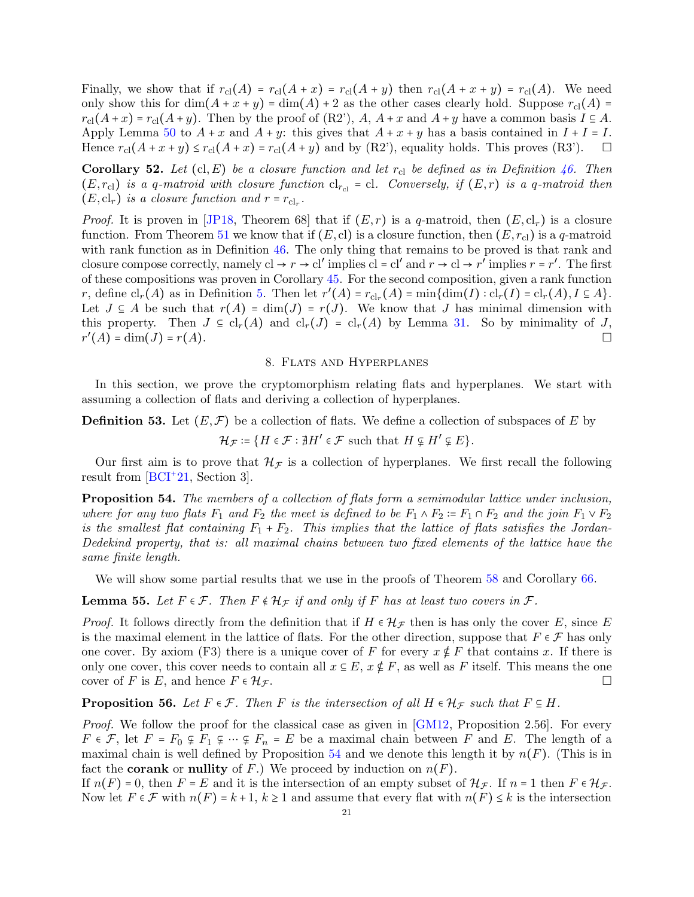Finally, we show that if  $r_{\text{cl}}(A) = r_{\text{cl}}(A + x) = r_{\text{cl}}(A + y)$  then  $r_{\text{cl}}(A + x + y) = r_{\text{cl}}(A)$ . We need only show this for  $\dim(A + x + y) = \dim(A) + 2$  as the other cases clearly hold. Suppose  $r_{\text{cl}}(A)$  =  $r_{\text{cl}}(A+x) = r_{\text{cl}}(A+y)$ . Then by the proof of  $(R2')$ ,  $A, A+x$  and  $A+y$  have a common basis  $I \subseteq A$ . Apply Lemma [50](#page-19-2) to  $A + x$  and  $A + y$ : this gives that  $A + x + y$  has a basis contained in  $I + I = I$ . Hence  $r_{\text{cl}}(A+x+y) \le r_{\text{cl}}(A+x) = r_{\text{cl}}(A+y)$  and by (R2'), equality holds. This proves (R3').  $\square$ 

<span id="page-20-0"></span>**Corollary 52.** Let  $(cl, E)$  be a closure function and let  $r_{cl}$  be defined as in Definition [46.](#page-18-3) Then  $(E, r_{\text{cl}})$  *is a q-matroid with closure function*  $cl_{r_{\text{cl}}} = cl$ *. Conversely, if*  $(E, r)$  *is a q-matroid then*  $(E, cl_r)$  *is a closure function and*  $r = r_{cl_r}$ .

*Proof.* It is proven in [\[JP18,](#page-30-0) Theorem 68] that if  $(E, r)$  is a q-matroid, then  $(E, cl_r)$  is a closure function. From Theorem [51](#page-19-3) we know that if  $(E, cl)$  is a closure function, then  $(E, r_{cl})$  is a q-matroid with rank function as in Definition [46.](#page-18-3) The only thing that remains to be proved is that rank and closure compose correctly, namely  $cl \to r \to cl'$  implies  $cl = cl'$  and  $r \to cl \to r'$  implies  $r = r'$ . The first of these compositions was proven in Corollary [45.](#page-18-0) For the second composition, given a rank function r, define  $\text{cl}_r(A)$  as in Definition [5.](#page-3-1) Then let  $r'(A) = r_{\text{cl}_r}(A) = \min{\{\dim(I) : \text{cl}_r(I) = \text{cl}_r(A), I \subseteq A\}}$ . Let  $J \subseteq A$  be such that  $r(A) = \dim(J) = r(J)$ . We know that J has minimal dimension with this property. Then  $J \subseteq cl_r(A)$  and  $cl_r(J) = cl_r(A)$  by Lemma [31.](#page-14-1) So by minimality of J,  $r'(A) = \dim(J) = r(A).$ 

### 8. Flats and Hyperplanes

<span id="page-20-1"></span>In this section, we prove the cryptomorphism relating flats and hyperplanes. We start with assuming a collection of flats and deriving a collection of hyperplanes.

<span id="page-20-5"></span>**Definition 53.** Let  $(E, \mathcal{F})$  be a collection of flats. We define a collection of subspaces of E by

 $\mathcal{H}_{\mathcal{F}} \coloneqq \{H \in \mathcal{F} : \nexists H' \in \mathcal{F} \text{ such that } H \subsetneq H' \subsetneq E\}.$ 

Our first aim is to prove that  $\mathcal{H}_{\mathcal{F}}$  is a collection of hyperplanes. We first recall the following result from [\[BCI](#page-29-3)+21, Section 3].

<span id="page-20-2"></span>Proposition 54. The members of a collection of flats form a semimodular lattice under inclusion, *where for any two flats*  $F_1$  *and*  $F_2$  *the meet is defined to be*  $F_1 \wedge F_2 \coloneq F_1 \cap F_2$  *and the join*  $F_1 \vee F_2$ is the smallest flat containing  $F_1 + F_2$ . This implies that the lattice of flats satisfies the Jordan-*Dedekind property, that is: all maximal chains between two fixed elements of the lattice have the same finite length.*

We will show some partial results that we use in the proofs of Theorem [58](#page-21-0) and Corollary [66.](#page-23-0)

<span id="page-20-3"></span>**Lemma 55.** Let  $F \in \mathcal{F}$ . Then  $F \notin \mathcal{H}_{\mathcal{F}}$  if and only if F has at least two covers in  $\mathcal{F}$ .

*Proof.* It follows directly from the definition that if  $H \in H_{\mathcal{F}}$  then is has only the cover E, since E is the maximal element in the lattice of flats. For the other direction, suppose that  $F \in \mathcal{F}$  has only one cover. By axiom (F3) there is a unique cover of F for every  $x \notin F$  that contains x. If there is only one cover, this cover needs to contain all  $x \in E$ ,  $x \notin F$ , as well as F itself. This means the one cover of F is E, and hence  $F \in \mathcal{H}_{\mathcal{F}}$ .

<span id="page-20-4"></span>**Proposition 56.** Let  $F \in \mathcal{F}$ . Then F is the intersection of all  $H \in \mathcal{H}_{\mathcal{F}}$  such that  $F \subseteq H$ .

*Proof.* We follow the proof for the classical case as given in [\[GM12,](#page-29-7) Proposition 2.56]. For every  $F \in \mathcal{F}$ , let  $F = F_0 \nsubseteq F_1 \nsubseteq \cdots \nsubseteq F_n = E$  be a maximal chain between F and E. The length of a maximal chain is well defined by Proposition [54](#page-20-2) and we denote this length it by  $n(F)$ . (This is in fact the **corank** or **nullity** of F.) We proceed by induction on  $n(F)$ .

If  $n(F) = 0$ , then  $F = E$  and it is the intersection of an empty subset of  $\mathcal{H}_{\mathcal{F}}$ . If  $n = 1$  then  $F \in \mathcal{H}_{\mathcal{F}}$ . Now let  $F \in \mathcal{F}$  with  $n(F) = k+1, k \ge 1$  and assume that every flat with  $n(F) \le k$  is the intersection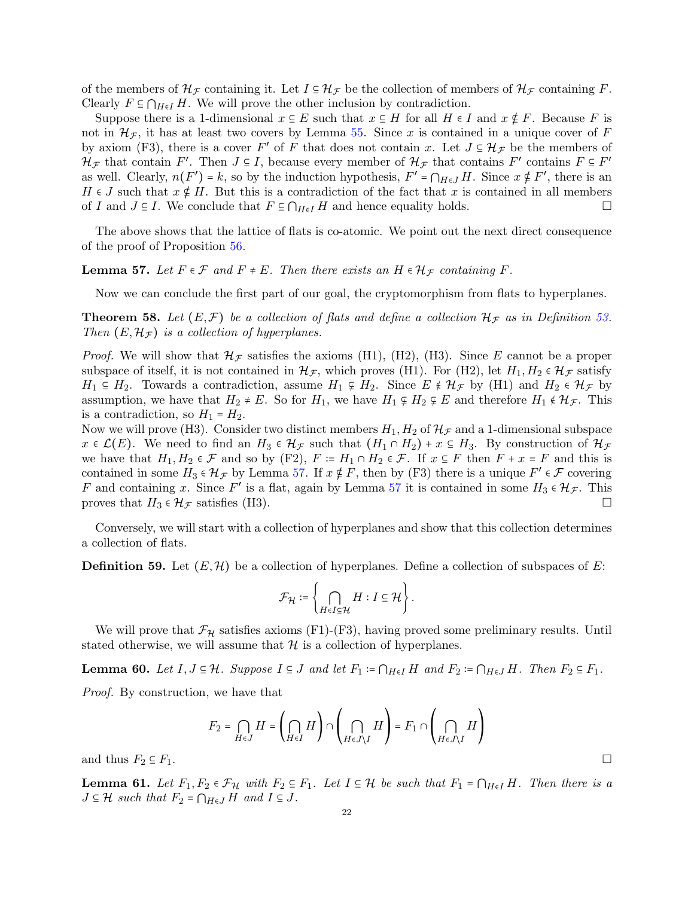of the members of  $\mathcal{H}_{\mathcal{F}}$  containing it. Let  $I \subseteq \mathcal{H}_{\mathcal{F}}$  be the collection of members of  $\mathcal{H}_{\mathcal{F}}$  containing F. Clearly  $F \subseteq \bigcap_{H \in I} H$ . We will prove the other inclusion by contradiction.

Suppose there is a 1-dimensional  $x \in E$  such that  $x \in H$  for all  $H \in I$  and  $x \notin F$ . Because F is not in  $\mathcal{H}_{\mathcal{F}}$ , it has at least two covers by Lemma [55.](#page-20-3) Since x is contained in a unique cover of F by axiom (F3), there is a cover F' of F that does not contain x. Let  $J \subseteq \mathcal{H}_{\mathcal{F}}$  be the members of  $\mathcal{H}_{\mathcal{F}}$  that contains  $F'$ . Then  $J \subseteq I$ , because every member of  $\mathcal{H}_{\mathcal{F}}$  that contains  $F'$  contains  $F \subseteq F'$ as well. Clearly,  $n(F') = k$ , so by the induction hypothesis,  $F' = \bigcap_{H \in J} H$ . Since  $x \notin F'$ , there is an  $H \in J$  such that  $x \notin H$ . But this is a contradiction of the fact that x is contained in all members of I and  $J \subseteq I$ . We conclude that  $F \subseteq \bigcap_{H \in I} H$  and hence equality holds.

The above shows that the lattice of flats is co-atomic. We point out the next direct consequence of the proof of Proposition [56.](#page-20-4)

# <span id="page-21-1"></span>**Lemma 57.** Let  $F \in \mathcal{F}$  and  $F \neq E$ . Then there exists an  $H \in \mathcal{H}_{\mathcal{F}}$  containing  $F$ .

Now we can conclude the first part of our goal, the cryptomorphism from flats to hyperplanes.

<span id="page-21-0"></span>**Theorem 58.** Let  $(E, \mathcal{F})$  be a collection of flats and define a collection  $\mathcal{H}_{\mathcal{F}}$  as in Definition [53.](#page-20-5) *Then*  $(E, \mathcal{H}_F)$  *is a collection of hyperplanes.* 

*Proof.* We will show that  $\mathcal{H}_{\mathcal{F}}$  satisfies the axioms (H1), (H2), (H3). Since E cannot be a proper subspace of itself, it is not contained in  $\mathcal{H}_{\mathcal{F}}$ , which proves (H1). For (H2), let  $H_1, H_2 \in \mathcal{H}_{\mathcal{F}}$  satisfy  $H_1 \subseteq H_2$ . Towards a contradiction, assume  $H_1 \nsubseteq H_2$ . Since  $E \notin \mathcal{H}_{\mathcal{F}}$  by (H1) and  $H_2 \in \mathcal{H}_{\mathcal{F}}$  by assumption, we have that  $H_2 \neq E$ . So for  $H_1$ , we have  $H_1 \nsubseteq H_2 \nsubseteq E$  and therefore  $H_1 \notin \mathcal{H}_{\mathcal{F}}$ . This is a contradiction, so  $H_1 = H_2$ .

Now we will prove (H3). Consider two distinct members  $H_1, H_2$  of  $\mathcal{H}_F$  and a 1-dimensional subspace  $x \in \mathcal{L}(E)$ . We need to find an  $H_3 \in \mathcal{H}_{\mathcal{F}}$  such that  $(H_1 \cap H_2) + x \subseteq H_3$ . By construction of  $\mathcal{H}_{\mathcal{F}}$ we have that  $H_1, H_2 \in \mathcal{F}$  and so by (F2),  $F \coloneq H_1 \cap H_2 \in \mathcal{F}$ . If  $x \in F$  then  $F + x = F$  and this is contained in some  $H_3 \in \mathcal{H}_{\mathcal{F}}$  by Lemma [57.](#page-21-1) If  $x \notin F$ , then by (F3) there is a unique  $F' \in \mathcal{F}$  covering F and containing x. Since F' is a flat, again by Lemma [57](#page-21-1) it is contained in some  $H_3 \in \mathcal{H}_{\mathcal{F}}$ . This proves that  $H_3 \in \mathcal{H}_{\mathcal{F}}$  satisfies (H3).

Conversely, we will start with a collection of hyperplanes and show that this collection determines a collection of flats.

<span id="page-21-4"></span>**Definition 59.** Let  $(E, \mathcal{H})$  be a collection of hyperplanes. Define a collection of subspaces of E:

$$
\mathcal{F}_{\mathcal{H}} \coloneqq \left\{ \bigcap_{H \in I \subseteq \mathcal{H}} H : I \subseteq \mathcal{H} \right\}.
$$

We will prove that  $\mathcal{F}_\mathcal{H}$  satisfies axioms (F1)-(F3), having proved some preliminary results. Until stated otherwise, we will assume that  $\mathcal H$  is a collection of hyperplanes.

<span id="page-21-3"></span>**Lemma 60.** *Let*  $I, J \subseteq \mathcal{H}$ *. Suppose*  $I \subseteq J$  *and let*  $F_1 := \bigcap_{H \in I} H$  *and*  $F_2 := \bigcap_{H \in J} H$ *. Then*  $F_2 \subseteq F_1$ *.* 

*Proof.* By construction, we have that

$$
F_2 = \bigcap_{H \in J} H = \left(\bigcap_{H \in J} H\right) \cap \left(\bigcap_{H \in J \setminus I} H\right) = F_1 \cap \left(\bigcap_{H \in J \setminus I} H\right)
$$

and thus  $F_2 \subseteq F_1$ .

<span id="page-21-2"></span>**Lemma 61.** Let  $F_1, F_2 \in \mathcal{F}_{\mathcal{H}}$  with  $F_2 \subseteq F_1$ . Let  $I \subseteq \mathcal{H}$  be such that  $F_1 = \bigcap_{H \in I} H$ . Then there is a  $J \subseteq \mathcal{H}$  such that  $F_2 = \bigcap_{H \in J} H$  and  $I \subseteq J$ .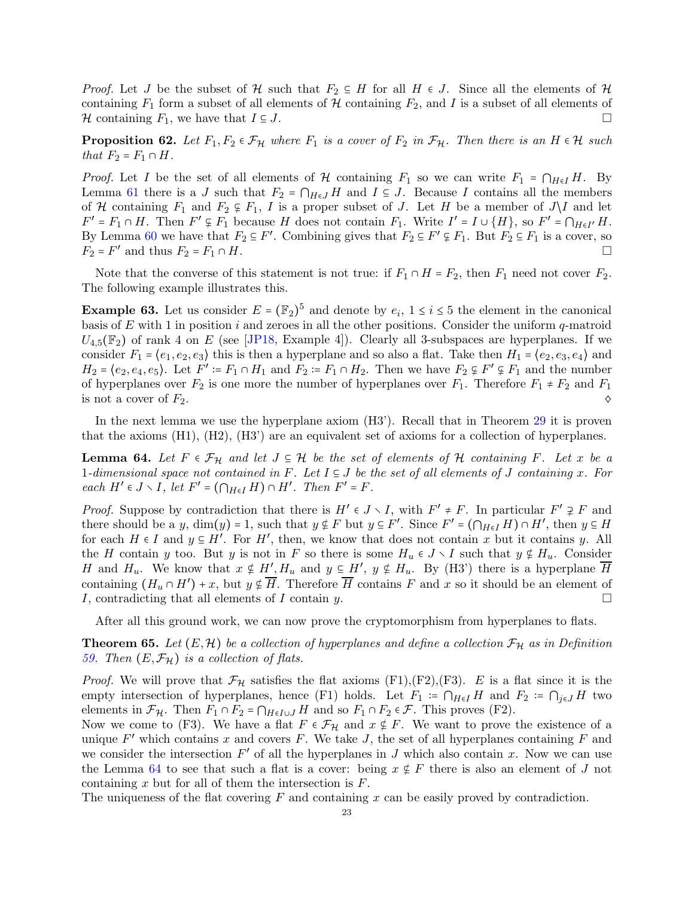*Proof.* Let J be the subset of H such that  $F_2 \subseteq H$  for all  $H \in J$ . Since all the elements of H containing  $F_1$  form a subset of all elements of H containing  $F_2$ , and I is a subset of all elements of H containing  $F_1$ , we have that  $I \subseteq J$ .

<span id="page-22-1"></span>**Proposition 62.** Let  $F_1, F_2 \in \mathcal{F}_{\mathcal{H}}$  where  $F_1$  is a cover of  $F_2$  in  $\mathcal{F}_{\mathcal{H}}$ . Then there is an  $H \in \mathcal{H}$  such *that*  $F_2 = F_1 \cap H$ .

*Proof.* Let I be the set of all elements of H containing  $F_1$  so we can write  $F_1 = \bigcap_{H \in I} H$ . By Lemma [61](#page-21-2) there is a J such that  $F_2 = \bigcap_{H \in J} H$  and  $I \subseteq J$ . Because I contains all the members of H containing  $F_1$  and  $F_2 \nsubseteq F_1$ , I is a proper subset of J. Let H be a member of  $J \setminus I$  and let  $F' = F_1 \cap H$ . Then  $F' \subsetneq F_1$  because H does not contain  $F_1$ . Write  $I' = I \cup \{H\}$ , so  $F' = \bigcap_{H \in I'} H$ . By Lemma [60](#page-21-3) we have that  $F_2 \subseteq F'$ . Combining gives that  $F_2 \subseteq F' \nsubseteq F_1$ . But  $F_2 \subseteq F_1$  is a cover, so  $F_2 = F'$  and thus  $F_2 = F_1 \cap H$ .

Note that the converse of this statement is not true: if  $F_1 \cap H = F_2$ , then  $F_1$  need not cover  $F_2$ . The following example illustrates this.

**Example 63.** Let us consider  $E = (\mathbb{F}_2)^5$  and denote by  $e_i$ ,  $1 \le i \le 5$  the element in the canonical basis of E with 1 in position i and zeroes in all the other positions. Consider the uniform  $q$ -matroid  $U_{4.5}(\mathbb{F}_2)$  of rank 4 on E (see [\[JP18,](#page-30-0) Example 4]). Clearly all 3-subspaces are hyperplanes. If we consider  $F_1 = \langle e_1, e_2, e_3 \rangle$  this is then a hyperplane and so also a flat. Take then  $H_1 = \langle e_2, e_3, e_4 \rangle$  and  $H_2 = \langle e_2, e_4, e_5 \rangle$ . Let  $F' \coloneqq F_1 \cap H_1$  and  $F_2 \coloneqq F_1 \cap H_2$ . Then we have  $F_2 \subsetneq F' \subsetneq F_1$  and the number of hyperplanes over  $F_2$  is one more the number of hyperplanes over  $F_1$ . Therefore  $F_1 \neq F_2$  and  $F_1$ is not a cover of  $F_2$ .

In the next lemma we use the hyperplane axiom (H3'). Recall that in Theorem [29](#page-13-1) it is proven that the axioms (H1), (H2), (H3') are an equivalent set of axioms for a collection of hyperplanes.

<span id="page-22-0"></span>**Lemma 64.** Let  $F \in \mathcal{F}_H$  and let  $J \subseteq \mathcal{H}$  be the set of elements of  $\mathcal{H}$  containing  $F$ . Let  $x$  be a 1*-dimensional space not contained in* F*. Let* I ⊆ J *be the set of all elements of* J *containing* x*. For each*  $H' \in J \setminus I$ , let  $F' = (\bigcap_{H \in I} H) \cap H'$ . Then  $F' = F$ .

*Proof.* Suppose by contradiction that there is  $H' \in J \setminus I$ , with  $F' \neq F$ . In particular  $F' \supsetneq F$  and there should be a y,  $\dim(y) = 1$ , such that  $y \notin F$  but  $y \in F'$ . Since  $F' = (\bigcap_{H \in I} H) \cap H'$ , then  $y \in H$ for each  $H \in I$  and  $y \in H'$ . For  $H'$ , then, we know that does not contain x but it contains y. All the H contain y too. But y is not in F so there is some  $H_u \in J \setminus I$  such that  $y \notin H_u$ . Consider H and  $H_u$ . We know that  $x \notin H', H_u$  and  $y \in H', y \notin H_u$ . By (H3') there is a hyperplane  $\overline{H}$ containing  $(H_u \cap H') + x$ , but  $y \notin \overline{H}$ . Therefore  $\overline{H}$  contains F and x so it should be an element of I, contradicting that all elements of I contain y.

After all this ground work, we can now prove the cryptomorphism from hyperplanes to flats.

**Theorem 65.** Let  $(E, \mathcal{H})$  be a collection of hyperplanes and define a collection  $\mathcal{F}_{\mathcal{H}}$  as in Definition *[59.](#page-21-4)* Then  $(E, \mathcal{F}_H)$  *is a collection of flats.* 

*Proof.* We will prove that  $\mathcal{F}_{\mathcal{H}}$  satisfies the flat axioms (F1),(F2),(F3). E is a flat since it is the empty intersection of hyperplanes, hence (F1) holds. Let  $F_1 = \bigcap_{H \in I} H$  and  $F_2 = \bigcap_{j \in J} H$  two elements in  $\mathcal{F}_{\mathcal{H}}$ . Then  $F_1 \cap F_2 = \bigcap_{H \in I \cup J} H$  and so  $F_1 \cap F_2 \in \mathcal{F}$ . This proves (F2).

Now we come to (F3). We have a flat  $F \in \mathcal{F}_{\mathcal{H}}$  and  $x \notin F$ . We want to prove the existence of a unique  $F'$  which contains x and covers F. We take J, the set of all hyperplanes containing F and we consider the intersection  $F'$  of all the hyperplanes in J which also contain x. Now we can use the Lemma [64](#page-22-0) to see that such a flat is a cover: being  $x \notin F$  there is also an element of J not containing  $x$  but for all of them the intersection is  $F$ .

The uniqueness of the flat covering  $F$  and containing x can be easily proved by contradiction.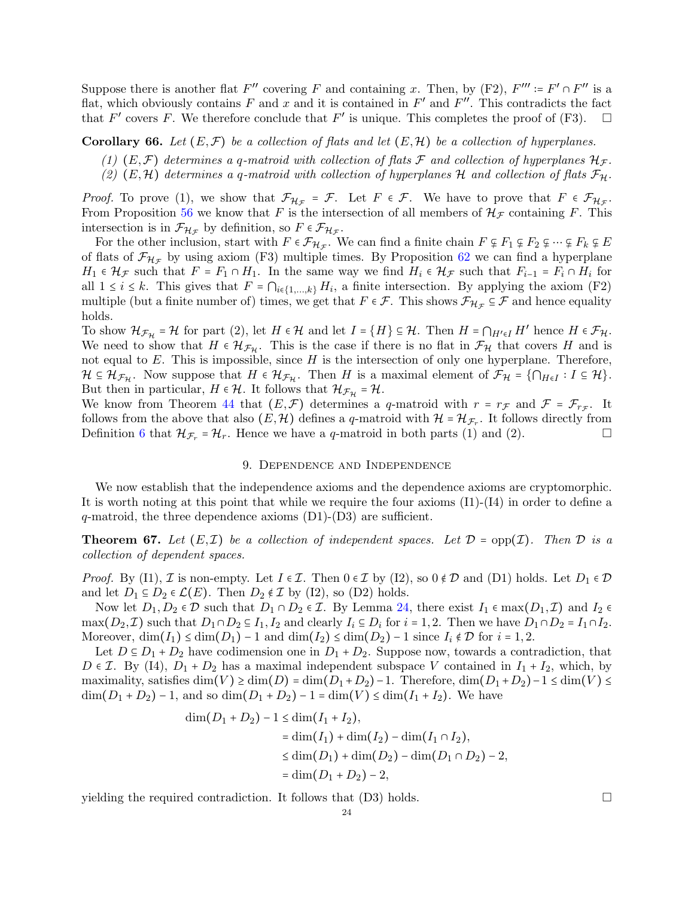Suppose there is another flat  $F''$  covering F and containing x. Then, by (F2),  $F''' = F' \cap F''$  is a flat, which obviously contains F and x and it is contained in  $F'$  and  $F''$ . This contradicts the fact that  $F'$  covers F. We therefore conclude that  $F'$  is unique. This completes the proof of (F3).  $\Box$ 

<span id="page-23-0"></span>**Corollary 66.** Let  $(E, \mathcal{F})$  be a collection of flats and let  $(E, \mathcal{H})$  be a collection of hyperplanes.

- (1)  $(E, \mathcal{F})$  determines a q-matroid with collection of flats  $\mathcal{F}$  and collection of hyperplanes  $\mathcal{H}_{\mathcal{F}}$ .
- (2)  $(E, \mathcal{H})$  determines a q-matroid with collection of hyperplanes  $\mathcal{H}$  and collection of flats  $\mathcal{F}_{\mathcal{H}}$ .

*Proof.* To prove (1), we show that  $\mathcal{F}_{\mathcal{H}_{\mathcal{F}}} = \mathcal{F}$ . Let  $F \in \mathcal{F}$ . We have to prove that  $F \in \mathcal{F}_{\mathcal{H}_{\mathcal{F}}}$ . From Proposition [56](#page-20-4) we know that F is the intersection of all members of  $\mathcal{H}_{\mathcal{F}}$  containing F. This intersection is in  $\mathcal{F}_{\mathcal{H}_{\mathcal{F}}}$  by definition, so  $F \in \mathcal{F}_{\mathcal{H}_{\mathcal{F}}}$ .

For the other inclusion, start with  $F \in \mathcal{F}_{\mathcal{H}_{\mathcal{F}}}$ . We can find a finite chain  $F \subsetneq F_1 \subsetneq F_2 \subsetneq \cdots \subsetneq F_k \subsetneq E$ of flats of  $\mathcal{F}_{H_{\mathcal{F}}}$  by using axiom (F3) multiple times. By Proposition [62](#page-22-1) we can find a hyperplane  $H_1 \in \mathcal{H}_{\mathcal{F}}$  such that  $F = F_1 \cap H_1$ . In the same way we find  $H_i \in \mathcal{H}_{\mathcal{F}}$  such that  $F_{i-1} = F_i \cap H_i$  for all  $1 \leq i \leq k$ . This gives that  $F = \bigcap_{i \in \{1,\ldots,k\}} H_i$ , a finite intersection. By applying the axiom (F2) multiple (but a finite number of) times, we get that  $F \in \mathcal{F}$ . This shows  $\mathcal{F}_{\mathcal{H}_{\mathcal{F}}} \subseteq \mathcal{F}$  and hence equality holds.

To show  $\mathcal{H}_{\mathcal{F}_{\mathcal{H}}} = \mathcal{H}$  for part (2), let  $H \in \mathcal{H}$  and let  $I = \{H\} \subseteq \mathcal{H}$ . Then  $H = \bigcap_{H' \in I} H'$  hence  $H \in \mathcal{F}_{\mathcal{H}}$ . We need to show that  $H \in \mathcal{H}_{\mathcal{F}_{H}}$ . This is the case if there is no flat in  $\mathcal{F}_{H}$  that covers H and is not equal to  $E$ . This is impossible, since  $H$  is the intersection of only one hyperplane. Therefore,  $\mathcal{H} \subseteq \mathcal{H}_{\mathcal{F}_{\mathcal{H}}}$ . Now suppose that  $H \in \mathcal{H}_{\mathcal{F}_{\mathcal{H}}}$ . Then H is a maximal element of  $\mathcal{F}_{\mathcal{H}} = \{\bigcap_{H \in I} : I \subseteq \mathcal{H}\}.$ But then in particular,  $H \in \mathcal{H}$ . It follows that  $\mathcal{H}_{\mathcal{F}_{\mathcal{H}}} = \mathcal{H}$ .

We know from Theorem [44](#page-18-4) that  $(E, \mathcal{F})$  determines a q-matroid with  $r = r_{\mathcal{F}}$  and  $\mathcal{F} = \mathcal{F}_{r_{\mathcal{F}}}$ . It follows from the above that also  $(E, \mathcal{H})$  defines a q-matroid with  $\mathcal{H} = \mathcal{H}_{\mathcal{F}_r}$ . It follows directly from Definition [6](#page-3-2) that  $\mathcal{H}_{\mathcal{F}_r} = \mathcal{H}_r$ . Hence we have a q-matroid in both parts (1) and (2).

### 9. Dependence and Independence

<span id="page-23-1"></span>We now establish that the independence axioms and the dependence axioms are cryptomorphic. It is worth noting at this point that while we require the four axioms (I1)-(I4) in order to define a  $q$ -matroid, the three dependence axioms  $(D1)-(D3)$  are sufficient.

**Theorem 67.** Let  $(E, \mathcal{I})$  be a collection of independent spaces. Let  $\mathcal{D} = \text{opp}(\mathcal{I})$ . Then  $\mathcal{D}$  is a *collection of dependent spaces.*

*Proof.* By (I1), *I* is non-empty. Let  $I \in \mathcal{I}$ . Then  $0 \in \mathcal{I}$  by (I2), so  $0 \notin \mathcal{D}$  and (D1) holds. Let  $D_1 \in \mathcal{D}$ and let  $D_1 \subseteq D_2 \in \mathcal{L}(E)$ . Then  $D_2 \notin \mathcal{I}$  by (I2), so (D2) holds.

Now let  $D_1, D_2 \in \mathcal{D}$  such that  $D_1 \cap D_2 \in \mathcal{I}$ . By Lemma [24,](#page-11-1) there exist  $I_1 \in \max(D_1, \mathcal{I})$  and  $I_2 \in \mathcal{I}$  $\max(D_2, \mathcal{I})$  such that  $D_1 \cap D_2 \subseteq I_1, I_2$  and clearly  $I_i \subseteq D_i$  for  $i = 1, 2$ . Then we have  $D_1 \cap D_2 = I_1 \cap I_2$ . Moreover,  $\dim(I_1) \leq \dim(D_1) - 1$  and  $\dim(I_2) \leq \dim(D_2) - 1$  since  $I_i \notin \mathcal{D}$  for  $i = 1, 2$ .

Let  $D \subseteq D_1 + D_2$  have codimension one in  $D_1 + D_2$ . Suppose now, towards a contradiction, that  $D \in \mathcal{I}$ . By (I4),  $D_1 + D_2$  has a maximal independent subspace V contained in  $I_1 + I_2$ , which, by maximality, satisfies  $\dim(V) \ge \dim(D) = \dim(D_1 + D_2) - 1$ . Therefore,  $\dim(D_1 + D_2) - 1 \le \dim(V) \le$  $\dim(D_1 + D_2) - 1$ , and so  $\dim(D_1 + D_2) - 1 = \dim(V) \leq \dim(I_1 + I_2)$ . We have

$$
\dim(D_1 + D_2) - 1 \le \dim(I_1 + I_2),
$$
  
= 
$$
\dim(I_1) + \dim(I_2) - \dim(I_1 \cap I_2),
$$
  

$$
\le \dim(D_1) + \dim(D_2) - \dim(D_1 \cap D_2) - 2,
$$
  
= 
$$
\dim(D_1 + D_2) - 2,
$$

yielding the required contradiction. It follows that  $(D3)$  holds.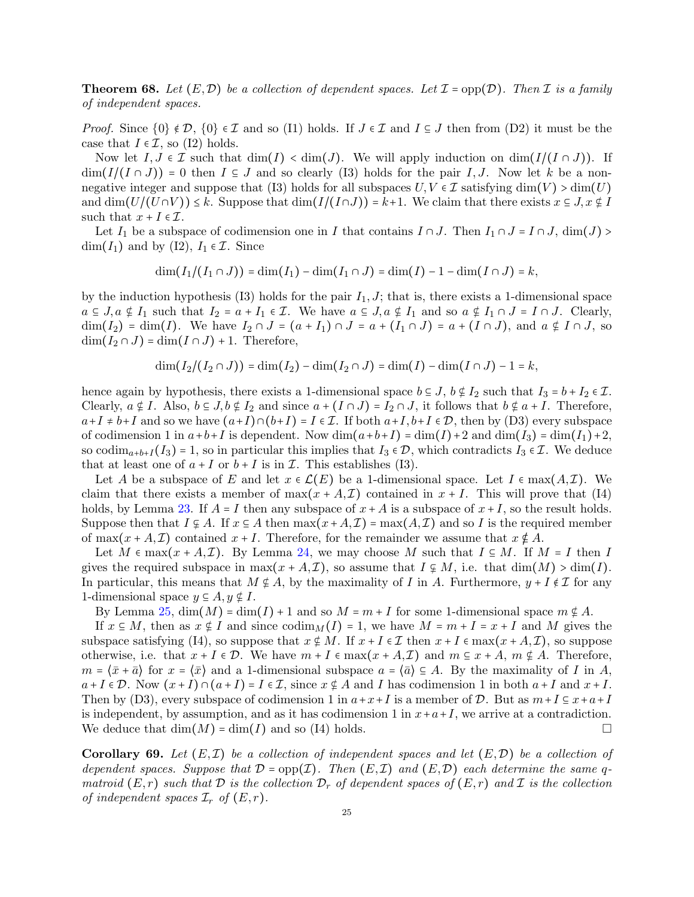**Theorem 68.** Let  $(E, \mathcal{D})$  be a collection of dependent spaces. Let  $\mathcal{I} = \text{opp}(\mathcal{D})$ . Then  $\mathcal{I}$  is a family *of independent spaces.*

*Proof.* Since  $\{0\} \notin \mathcal{D}, \{0\} \in \mathcal{I}$  and so (I1) holds. If  $J \in \mathcal{I}$  and  $I \subseteq J$  then from (D2) it must be the case that  $I \in \mathcal{I}$ , so (I2) holds.

Now let  $I, J \in \mathcal{I}$  such that  $\dim(I) < \dim(J)$ . We will apply induction on  $\dim(I/(I \cap J))$ . If  $\dim(I/(I \cap J)) = 0$  then  $I \subseteq J$  and so clearly (I3) holds for the pair I, J. Now let k be a nonnegative integer and suppose that (I3) holds for all subspaces  $U, V \in \mathcal{I}$  satisfying  $\dim(V) > \dim(U)$ and  $\dim(U/(U\cap V)) \leq k$ . Suppose that  $\dim(I/(I\cap J)) = k+1$ . We claim that there exists  $x \subseteq J$ ,  $x \notin I$ such that  $x + I \in \mathcal{I}$ .

Let  $I_1$  be a subspace of codimension one in I that contains  $I \cap J$ . Then  $I_1 \cap J = I \cap J$ , dim(J) >  $\dim(I_1)$  and by (I2),  $I_1 \in \mathcal{I}$ . Since

$$
\dim(I_1/(I_1 \cap J)) = \dim(I_1) - \dim(I_1 \cap J) = \dim(I) - 1 - \dim(I \cap J) = k,
$$

by the induction hypothesis (I3) holds for the pair  $I_1, J$ ; that is, there exists a 1-dimensional space  $a \subseteq J, a \notin I_1$  such that  $I_2 = a + I_1 \in \mathcal{I}$ . We have  $a \subseteq J, a \notin I_1$  and so  $a \notin I_1 \cap J = I \cap J$ . Clearly,  $\dim(I_2) = \dim(I)$ . We have  $I_2 \cap J = (a + I_1) \cap J = a + (I_1 \cap J) = a + (I \cap J)$ , and  $a \notin I \cap J$ , so  $\dim(I_2 \cap J) = \dim(I \cap J) + 1$ . Therefore,

$$
\dim(I_2/(I_2 \cap J)) = \dim(I_2) - \dim(I_2 \cap J) = \dim(I) - \dim(I \cap J) - 1 = k,
$$

hence again by hypothesis, there exists a 1-dimensional space  $b \subseteq J$ ,  $b \notin I_2$  such that  $I_3 = b + I_2 \in \mathcal{I}$ . Clearly,  $a \notin I$ . Also,  $b \subseteq J$ ,  $b \notin I_2$  and since  $a + (I \cap J) = I_2 \cap J$ , it follows that  $b \notin a + I$ . Therefore,  $a+I \neq b+I$  and so we have  $(a+I)\cap (b+I) = I \in \mathcal{I}$ . If both  $a+I, b+I \in \mathcal{D}$ , then by (D3) every subspace of codimension 1 in  $a+b+I$  is dependent. Now  $\dim(a+b+I) = \dim(I) + 2$  and  $\dim(I_3) = \dim(I_1) + 2$ , so codim<sub>a+b+I</sub> $(I_3)$  = 1, so in particular this implies that  $I_3 \in \mathcal{D}$ , which contradicts  $I_3 \in \mathcal{I}$ . We deduce that at least one of  $a + I$  or  $b + I$  is in  $\mathcal I$ . This establishes (I3).

Let A be a subspace of E and let  $x \in \mathcal{L}(E)$  be a 1-dimensional space. Let  $I \in \max(A,\mathcal{I})$ . We claim that there exists a member of  $\max(x + A, \mathcal{I})$  contained in  $x + I$ . This will prove that (I4) holds, by Lemma [23.](#page-11-2) If  $A = I$  then any subspace of  $x + A$  is a subspace of  $x + I$ , so the result holds. Suppose then that  $I \subsetneq A$ . If  $x \in A$  then  $\max(x+A,\mathcal{I}) = \max(A,\mathcal{I})$  and so I is the required member of max $(x + A, \mathcal{I})$  contained  $x + I$ . Therefore, for the remainder we assume that  $x \notin A$ .

Let  $M \in \max(x + A, \mathcal{I})$ . By Lemma [24,](#page-11-1) we may choose M such that  $I \subseteq M$ . If  $M = I$  then I gives the required subspace in  $\max(x + A, \mathcal{I})$ , so assume that  $I \subsetneq M$ , i.e. that  $\dim(M) > \dim(I)$ . In particular, this means that  $M \notin A$ , by the maximality of I in A. Furthermore,  $y + I \notin \mathcal{I}$  for any 1-dimensional space  $y \subseteq A, y \notin I$ .

By Lemma [25,](#page-12-0)  $\dim(M) = \dim(I) + 1$  and so  $M = m + I$  for some 1-dimensional space  $m \notin A$ .

If  $x \in M$ , then as  $x \notin I$  and since  $\operatorname{codim}_M(I) = 1$ , we have  $M = m + I = x + I$  and M gives the subspace satisfying (I4), so suppose that  $x \notin M$ . If  $x + I \in \mathcal{I}$  then  $x + I \in \max(x + A, \mathcal{I})$ , so suppose otherwise, i.e. that  $x + I \in \mathcal{D}$ . We have  $m + I \in \max(x + A, \mathcal{I})$  and  $m \subseteq x + A$ ,  $m \notin A$ . Therefore,  $m = \langle \bar{x} + \bar{a} \rangle$  for  $x = \langle \bar{x} \rangle$  and a 1-dimensional subspace  $a = \langle \bar{a} \rangle \subseteq A$ . By the maximality of I in A,  $a+I \in \mathcal{D}$ . Now  $(x+I) \cap (a+I) = I \in \mathcal{I}$ , since  $x \notin A$  and I has codimension 1 in both  $a+I$  and  $x+I$ . Then by (D3), every subspace of codimension 1 in  $a+x+I$  is a member of D. But as  $m+I \subseteq x+a+I$ is independent, by assumption, and as it has codimension 1 in  $x+a+I$ , we arrive at a contradiction. We deduce that  $\dim(M) = \dim(I)$  and so (I4) holds.

<span id="page-24-0"></span>**Corollary 69.** Let  $(E, \mathcal{I})$  be a collection of independent spaces and let  $(E, \mathcal{D})$  be a collection of *dependent spaces. Suppose that*  $\mathcal{D} = \text{opp}(\mathcal{I})$ *. Then*  $(E, \mathcal{I})$  *and*  $(E, \mathcal{D})$  *each determine the same* q*matroid*  $(E, r)$  *such that*  $\mathcal{D}$  *is the collection*  $\mathcal{D}_r$  *of dependent spaces of*  $(E, r)$  *and*  $\mathcal{I}$  *is the collection of independent spaces*  $\mathcal{I}_r$  *of*  $(E, r)$ *.*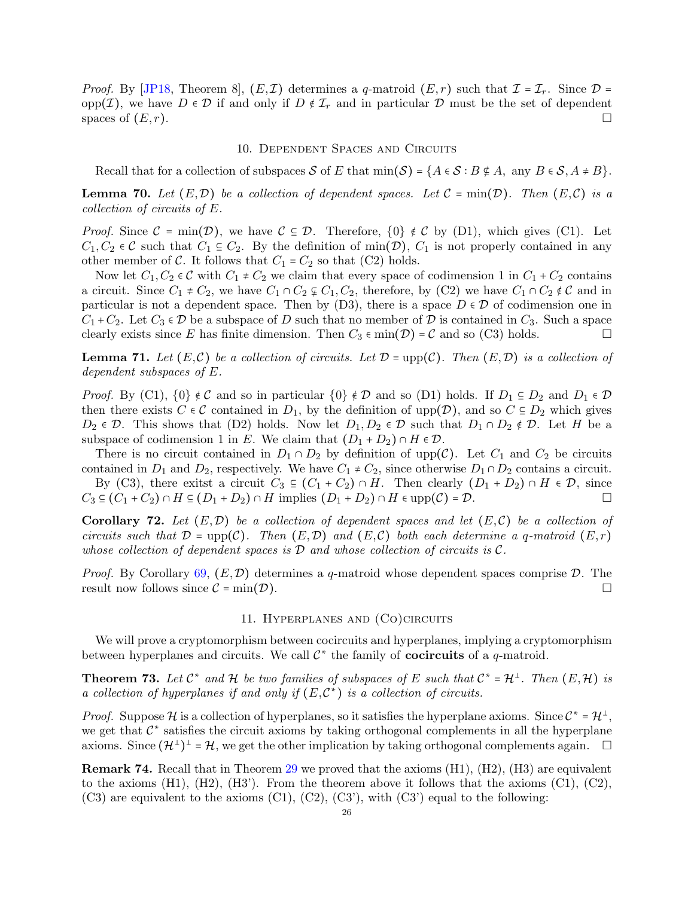*Proof.* By [\[JP18,](#page-30-0) Theorem 8],  $(E, \mathcal{I})$  determines a q-matroid  $(E, r)$  such that  $\mathcal{I} = \mathcal{I}_r$ . Since  $\mathcal{D} =$ opp(*I*), we have  $D \in \mathcal{D}$  if and only if  $D \notin \mathcal{I}_r$  and in particular  $\mathcal D$  must be the set of dependent spaces of  $(E, r)$ .

### 10. Dependent Spaces and Circuits

<span id="page-25-1"></span>Recall that for a collection of subspaces S of E that  $\min(\mathcal{S}) = \{A \in \mathcal{S} : B \notin A, \text{ any } B \in \mathcal{S}, A \neq B\}.$ 

**Lemma 70.** Let  $(E, \mathcal{D})$  be a collection of dependent spaces. Let  $\mathcal{C} = \min(\mathcal{D})$ . Then  $(E, \mathcal{C})$  is a *collection of circuits of* E*.*

*Proof.* Since  $\mathcal{C} = \min(\mathcal{D})$ , we have  $\mathcal{C} \subseteq \mathcal{D}$ . Therefore,  $\{0\} \notin \mathcal{C}$  by (D1), which gives (C1). Let  $C_1, C_2 \in \mathcal{C}$  such that  $C_1 \subseteq C_2$ . By the definition of min(D),  $C_1$  is not properly contained in any other member of C. It follows that  $C_1 = C_2$  so that (C2) holds.

Now let  $C_1, C_2 \in \mathcal{C}$  with  $C_1 \neq C_2$  we claim that every space of codimension 1 in  $C_1 + C_2$  contains a circuit. Since  $C_1 \neq C_2$ , we have  $C_1 \cap C_2 \nsubseteq C_1$ ,  $C_2$ , therefore, by (C2) we have  $C_1 \cap C_2 \notin \mathcal{C}$  and in particular is not a dependent space. Then by  $(D3)$ , there is a space  $D \in \mathcal{D}$  of codimension one in  $C_1 + C_2$ . Let  $C_3 \in \mathcal{D}$  be a subspace of D such that no member of D is contained in  $C_3$ . Such a space clearly exists since E has finite dimension. Then  $C_3 \in \min(\mathcal{D}) = \mathcal{C}$  and so (C3) holds.

**Lemma 71.** Let  $(E, \mathcal{C})$  be a collection of circuits. Let  $\mathcal{D} = \text{upp}(\mathcal{C})$ . Then  $(E, \mathcal{D})$  is a collection of *dependent subspaces of* E*.*

*Proof.* By (C1),  $\{0\} \notin \mathcal{C}$  and so in particular  $\{0\} \notin \mathcal{D}$  and so (D1) holds. If  $D_1 \subseteq D_2$  and  $D_1 \in \mathcal{D}$ then there exists  $C \in \mathcal{C}$  contained in  $D_1$ , by the definition of upp $(\mathcal{D})$ , and so  $C \subseteq D_2$  which gives  $D_2 \in \mathcal{D}$ . This shows that (D2) holds. Now let  $D_1, D_2 \in \mathcal{D}$  such that  $D_1 \cap D_2 \notin \mathcal{D}$ . Let H be a subspace of codimension 1 in E. We claim that  $(D_1 + D_2) \cap H \in \mathcal{D}$ .

There is no circuit contained in  $D_1 \cap D_2$  by definition of upp(C). Let  $C_1$  and  $C_2$  be circuits contained in  $D_1$  and  $D_2$ , respectively. We have  $C_1 \neq C_2$ , since otherwise  $D_1 \cap D_2$  contains a circuit.

By (C3), there exitst a circuit  $C_3 \subseteq (C_1 + C_2) \cap H$ . Then clearly  $(D_1 + D_2) \cap H \in \mathcal{D}$ , since  $C_3 \subseteq (C_1 + C_2) \cap H \subseteq (D_1 + D_2) \cap H$  implies  $(D_1 + D_2) \cap H \in \text{upp}(\mathcal{C}) = \mathcal{D}$ .

<span id="page-25-0"></span>Corollary 72. Let  $(E, \mathcal{D})$  be a collection of dependent spaces and let  $(E, \mathcal{C})$  be a collection of *circuits such that*  $\mathcal{D} = \text{upp}(\mathcal{C})$ *. Then*  $(E, \mathcal{D})$  *and*  $(E, \mathcal{C})$  *both each determine a q-matroid*  $(E, r)$ *whose collection of dependent spaces is* D *and whose collection of circuits is* C*.*

<span id="page-25-2"></span>*Proof.* By Corollary [69,](#page-24-0)  $(E, \mathcal{D})$  determines a q-matroid whose dependent spaces comprise  $\mathcal{D}$ . The result now follows since  $\mathcal{C} = \min(\mathcal{D})$ .

### 11. Hyperplanes and (Co)circuits

We will prove a cryptomorphism between cocircuits and hyperplanes, implying a cryptomorphism between hyperplanes and circuits. We call  $C^*$  the family of **cocircuits** of a q-matroid.

**Theorem 73.** Let  $\mathcal{C}^*$  and  $\mathcal{H}$  be two families of subspaces of E such that  $\mathcal{C}^* = \mathcal{H}^{\perp}$ . Then  $(E, \mathcal{H})$  is *a collection of hyperplanes if and only if*  $(E, \mathcal{C}^*)$  *is a collection of circuits.* 

*Proof.* Suppose  $H$  is a collection of hyperplanes, so it satisfies the hyperplane axioms. Since  $C^* = H^{\perp}$ , we get that  $\mathcal{C}^*$  satisfies the circuit axioms by taking orthogonal complements in all the hyperplane axioms. Since  $(\mathcal{H}^{\perp})^{\perp} = \mathcal{H}$ , we get the other implication by taking orthogonal complements again.  $\Box$ 

Remark 74. Recall that in Theorem [29](#page-13-1) we proved that the axioms (H1), (H2), (H3) are equivalent to the axioms  $(H1)$ ,  $(H2)$ ,  $(H3')$ . From the theorem above it follows that the axioms  $(C1)$ ,  $(C2)$ ,  $(C3)$  are equivalent to the axioms  $(C1)$ ,  $(C2)$ ,  $(C3')$ , with  $(C3')$  equal to the following: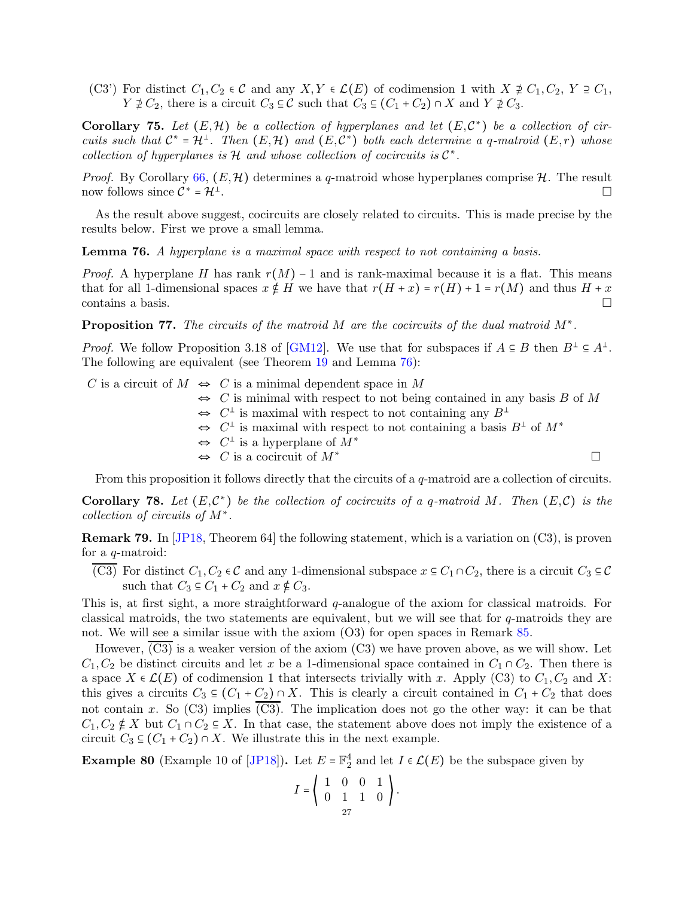(C3') For distinct  $C_1, C_2 \in \mathcal{C}$  and any  $X, Y \in \mathcal{L}(E)$  of codimension 1 with  $X \not\supseteq C_1, C_2, Y \supseteq C_1$ ,  $Y \not\supseteq C_2$ , there is a circuit  $C_3 \subseteq \mathcal{C}$  such that  $C_3 \subseteq (C_1 + C_2) \cap X$  and  $Y \not\supseteq C_3$ .

<span id="page-26-0"></span>Corollary 75. Let  $(E, \mathcal{H})$  be a collection of hyperplanes and let  $(E, \mathcal{C}^*)$  be a collection of cir*cuits such that*  $C^* = H^{\perp}$ . Then  $(E, H)$  and  $(E, C^*)$  both each determine a q-matroid  $(E, r)$  whose *collection of hyperplanes is*  $H$  *and whose collection of cocircuits is*  $C^*$ *.* 

*Proof.* By Corollary [66,](#page-23-0)  $(E, \mathcal{H})$  determines a q-matroid whose hyperplanes comprise  $\mathcal{H}$ . The result now follows since  $\mathcal{C}^* = \mathcal{H}^{\perp}$ .

As the result above suggest, cocircuits are closely related to circuits. This is made precise by the results below. First we prove a small lemma.

<span id="page-26-1"></span>Lemma 76. *A hyperplane is a maximal space with respect to not containing a basis.*

*Proof.* A hyperplane H has rank  $r(M) - 1$  and is rank-maximal because it is a flat. This means that for all 1-dimensional spaces  $x \notin H$  we have that  $r(H + x) = r(H) + 1 = r(M)$  and thus  $H + x$ contains a basis.

<span id="page-26-2"></span>Proposition 77. *The circuits of the matroid* M *are the cocircuits of the dual matroid* M<sup>∗</sup> *.*

*Proof.* We follow Proposition 3.18 of [\[GM12\]](#page-29-7). We use that for subspaces if  $A \subseteq B$  then  $B^{\perp} \subseteq A^{\perp}$ . The following are equivalent (see Theorem [19](#page-5-2) and Lemma [76\)](#page-26-1):

C is a circuit of  $M \Leftrightarrow C$  is a minimal dependent space in M  $\Leftrightarrow$  C is minimal with respect to not being contained in any basis B of M ⇔  $C^{\perp}$  is maximal with respect to not containing any  $B^{\perp}$ ⇔  $C^{\perp}$  is maximal with respect to not containing a basis  $B^{\perp}$  of  $M^*$ ⇔  $C^{\perp}$  is a hyperplane of  $M^*$  $\Leftrightarrow$  C is a cocircuit of  $M^*$ From this proposition it follows directly that the circuits of a  $q$ -matroid are a collection of circuits.

**Corollary 78.** Let  $(E, \mathcal{C}^*)$  be the collection of cocircuits of a q-matroid M. Then  $(E, \mathcal{C})$  is the *collection of circuits of* M<sup>∗</sup> *.*

Remark 79. In [\[JP18,](#page-30-0) Theorem 64] the following statement, which is a variation on (C3), is proven for a q-matroid:

(C3) For distinct  $C_1, C_2 \in \mathcal{C}$  and any 1-dimensional subspace  $x \in C_1 \cap C_2$ , there is a circuit  $C_3 \subseteq \mathcal{C}$ such that  $C_3 \subseteq C_1 + C_2$  and  $x \notin C_3$ .

This is, at first sight, a more straightforward q-analogue of the axiom for classical matroids. For classical matroids, the two statements are equivalent, but we will see that for  $q$ -matroids they are not. We will see a similar issue with the axiom (O3) for open spaces in Remark [85.](#page-28-1)

However, (C3) is a weaker version of the axiom (C3) we have proven above, as we will show. Let  $C_1, C_2$  be distinct circuits and let x be a 1-dimensional space contained in  $C_1 \cap C_2$ . Then there is a space  $X \in \mathcal{L}(E)$  of codimension 1 that intersects trivially with x. Apply (C3) to  $C_1, C_2$  and X: this gives a circuits  $C_3 \subseteq (C_1 + C_2) \cap X$ . This is clearly a circuit contained in  $C_1 + C_2$  that does not contain x. So  $(C3)$  implies  $(C3)$ . The implication does not go the other way: it can be that  $C_1, C_2 \notin X$  but  $C_1 \cap C_2 \subseteq X$ . In that case, the statement above does not imply the existence of a circuit  $C_3 \subseteq (C_1 + C_2) \cap X$ . We illustrate this in the next example.

**Example 80** (Example 10 of [\[JP18\]](#page-30-0)). Let  $E = \mathbb{F}_2^4$  and let  $I \in \mathcal{L}(E)$  be the subspace given by

$$
I = \left( \begin{array}{rrr} 1 & 0 & 0 & 1 \\ 0 & 1 & 1 & 0 \\ 27 & 0 & 0 & 0 \end{array} \right).
$$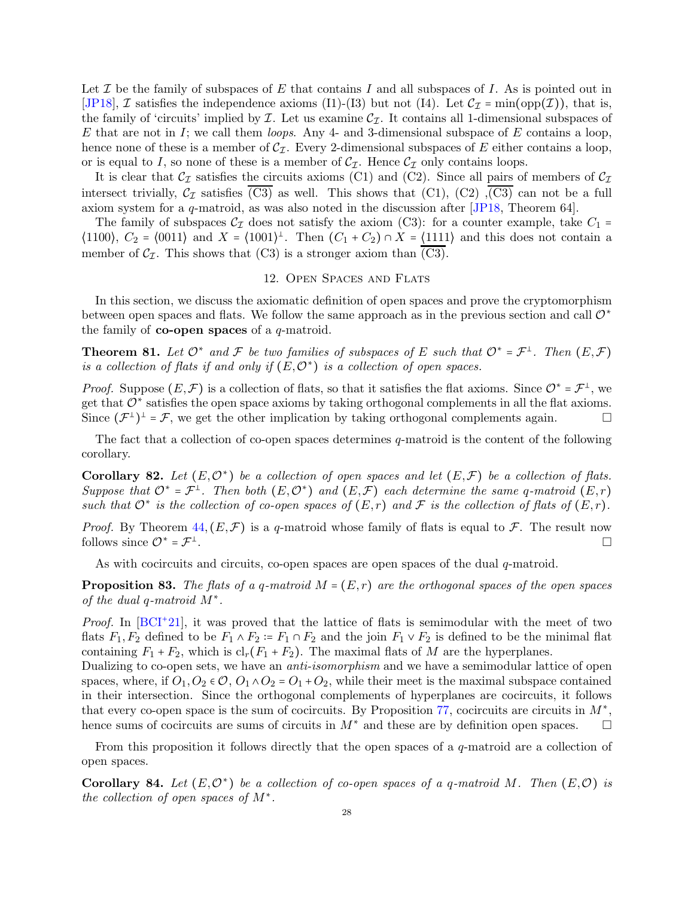Let  $\mathcal I$  be the family of subspaces of E that contains I and all subspaces of I. As is pointed out in [\[JP18\]](#page-30-0), **Z** satisfies the independence axioms (I1)-(I3) but not (I4). Let  $C_{\mathcal{I}} = \min(\text{opp}(\mathcal{I}))$ , that is, the family of 'circuits' implied by  $\mathcal I$ . Let us examine  $\mathcal C_{\mathcal I}$ . It contains all 1-dimensional subspaces of E that are not in I; we call them *loops*. Any 4- and 3-dimensional subspace of E contains a loop, hence none of these is a member of  $C_{\mathcal{I}}$ . Every 2-dimensional subspaces of E either contains a loop, or is equal to I, so none of these is a member of  $\mathcal{C}_{\mathcal{I}}$ . Hence  $\mathcal{C}_{\mathcal{I}}$  only contains loops.

It is clear that  $C_{\mathcal{I}}$  satisfies the circuits axioms (C1) and (C2). Since all pairs of members of  $C_{\mathcal{I}}$ intersect trivially,  $C_{\mathcal{I}}$  satisfies  $\overline{(C3)}$  as well. This shows that  $(C1)$ ,  $(C2)$ ,  $\overline{(C3)}$  can not be a full axiom system for a q-matroid, as was also noted in the discussion after [\[JP18,](#page-30-0) Theorem 64].

The family of subspaces  $\mathcal{C}_\mathcal{I}$  does not satisfy the axiom (C3): for a counter example, take  $C_1$  =  $\langle 1100 \rangle$ ,  $C_2 = \langle 0011 \rangle$  and  $X = \langle 1001 \rangle$ <sup>1</sup>. Then  $(C_1 + C_2) \cap X = \langle 1111 \rangle$  and this does not contain a member of  $C_{\mathcal{I}}$ . This shows that (C3) is a stronger axiom than (C3).

## 12. Open Spaces and Flats

<span id="page-27-1"></span>In this section, we discuss the axiomatic definition of open spaces and prove the cryptomorphism between open spaces and flats. We follow the same approach as in the previous section and call  $\mathcal{O}^*$ the family of **co-open spaces** of a  $q$ -matroid.

**Theorem 81.** Let  $\mathcal{O}^*$  and  $\mathcal{F}$  be two families of subspaces of E such that  $\mathcal{O}^* = \mathcal{F}^{\perp}$ . Then  $(E, \mathcal{F})$ *is a collection of flats if and only if*  $(E, \mathcal{O}^*)$  *is a collection of open spaces.* 

*Proof.* Suppose  $(E, \mathcal{F})$  is a collection of flats, so that it satisfies the flat axioms. Since  $\mathcal{O}^* = \mathcal{F}^{\perp}$ , we get that  $\mathcal{O}^*$  satisfies the open space axioms by taking orthogonal complements in all the flat axioms. Since  $(\mathcal{F}^{\perp})^{\perp} = \mathcal{F}$ , we get the other implication by taking orthogonal complements again.

The fact that a collection of co-open spaces determines q-matroid is the content of the following corollary.

<span id="page-27-0"></span>Corollary 82. Let  $(E, \mathcal{O}^*)$  be a collection of open spaces and let  $(E, \mathcal{F})$  be a collection of flats. *Suppose that*  $O^* = \mathcal{F}^{\perp}$ . Then both  $(E, O^*)$  and  $(E, \mathcal{F})$  each determine the same q-matroid  $(E, r)$ *such that*  $O^*$  *is the collection of co-open spaces of*  $(E,r)$  *and*  $\mathcal F$  *is the collection of flats of*  $(E,r)$ *.* 

*Proof.* By Theorem  $44, (E, \mathcal{F})$  $44, (E, \mathcal{F})$  is a q-matroid whose family of flats is equal to  $\mathcal{F}$ . The result now follows since  $\mathcal{O}^* = \mathcal{F}^\perp$ .

As with cocircuits and circuits, co-open spaces are open spaces of the dual  $q$ -matroid.

**Proposition 83.** The flats of a q-matroid  $M = (E, r)$  are the orthogonal spaces of the open spaces *of the dual* q*-matroid* M<sup>∗</sup> *.*

Proof. In [\[BCI](#page-29-3)<sup>+</sup>21], it was proved that the lattice of flats is semimodular with the meet of two flats  $F_1, F_2$  defined to be  $F_1 \wedge F_2 = F_1 \cap F_2$  and the join  $F_1 \vee F_2$  is defined to be the minimal flat containing  $F_1 + F_2$ , which is  $\text{cl}_r(F_1 + F_2)$ . The maximal flats of M are the hyperplanes.

Dualizing to co-open sets, we have an *anti-isomorphism* and we have a semimodular lattice of open spaces, where, if  $O_1$ ,  $O_2 \in \mathcal{O}$ ,  $O_1 \wedge O_2 = O_1 + O_2$ , while their meet is the maximal subspace contained in their intersection. Since the orthogonal complements of hyperplanes are cocircuits, it follows that every co-open space is the sum of cocircuits. By Proposition  $77$ , cocircuits are circuits in  $M^*$ , hence sums of cocircuits are sums of circuits in  $M^*$  and these are by definition open spaces.  $\Box$ 

From this proposition it follows directly that the open spaces of a  $q$ -matroid are a collection of open spaces.

Corollary 84. Let  $(E, \mathcal{O}^*)$  be a collection of co-open spaces of a q-matroid M. Then  $(E, \mathcal{O})$  is *the collection of open spaces of* M<sup>∗</sup> *.*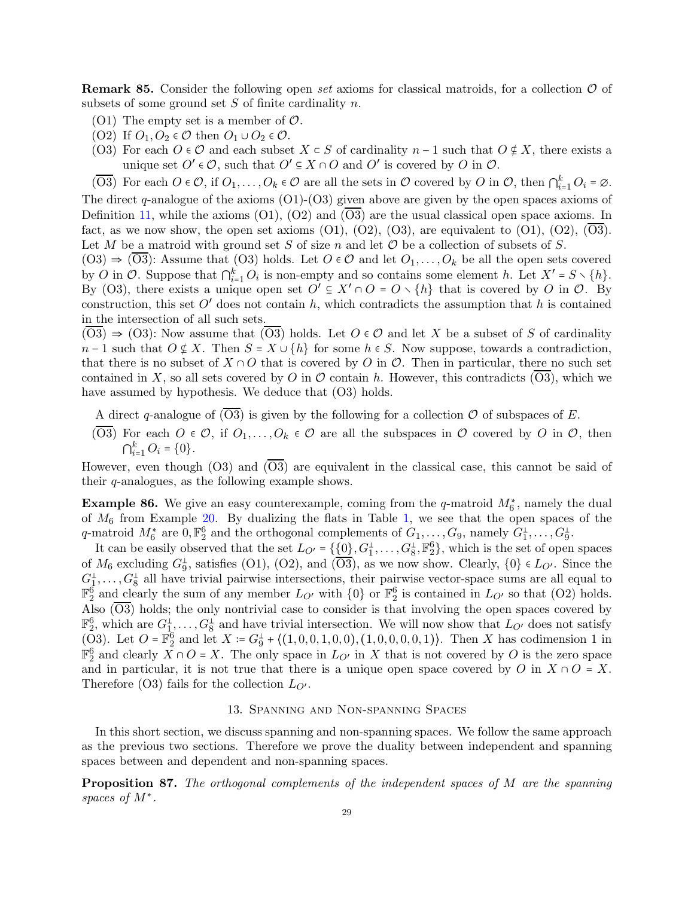<span id="page-28-1"></span>Remark 85. Consider the following open *set* axioms for classical matroids, for a collection O of subsets of some ground set  $S$  of finite cardinality  $n$ .

- (O1) The empty set is a member of  $\mathcal{O}$ .
- (O2) If  $O_1, O_2 \in \mathcal{O}$  then  $O_1 \cup O_2 \in \mathcal{O}$ .
- (O3) For each  $O \in \mathcal{O}$  and each subset  $X \subset S$  of cardinality  $n-1$  such that  $O \notin X$ , there exists a unique set  $O' \in \mathcal{O}$ , such that  $O' \subseteq X \cap O$  and  $O'$  is covered by O in  $\mathcal{O}$ .
- $(\overline{O3})$  For each  $O \in \mathcal{O}$ , if  $O_1, \ldots, O_k \in \mathcal{O}$  are all the sets in  $\mathcal O$  covered by  $O$  in  $\mathcal O$ , then  $\bigcap_{i=1}^k O_i = \emptyset$ .

The direct q-analogue of the axioms  $(O1)-(O3)$  given above are given by the open spaces axioms of Definition [11,](#page-4-0) while the axioms (O1), (O2) and (O3) are the usual classical open space axioms. In fact, as we now show, the open set axioms  $(01)$ ,  $(02)$ ,  $(03)$ , are equivalent to  $(01)$ ,  $(02)$ ,  $(03)$ . Let M be a matroid with ground set S of size n and let  $\mathcal O$  be a collection of subsets of S.

 $(03) \Rightarrow (03)$ : Assume that  $(03)$  holds. Let  $O \in \mathcal{O}$  and let  $O_1, \ldots, O_k$  be all the open sets covered by O in O. Suppose that  $\bigcap_{i=1}^k O_i$  is non-empty and so contains some element h. Let  $X' = S \setminus \{h\}$ . By (O3), there exists a unique open set  $O' \subseteq X' \cap O = O \setminus \{h\}$  that is covered by O in  $O$ . By construction, this set  $O'$  does not contain h, which contradicts the assumption that h is contained in the intersection of all such sets.

 $(03) \Rightarrow (03)$ : Now assume that  $(03)$  holds. Let  $O \in \mathcal{O}$  and let X be a subset of S of cardinality  $n-1$  such that  $O \notin X$ . Then  $S = X \cup \{h\}$  for some  $h \in S$ . Now suppose, towards a contradiction, that there is no subset of  $X \cap O$  that is covered by O in  $O$ . Then in particular, there no such set contained in X, so all sets covered by O in  $\mathcal O$  contain h. However, this contradicts (O3), which we have assumed by hypothesis. We deduce that  $(O3)$  holds.

- A direct q-analogue of  $(\overline{O3})$  is given by the following for a collection  $\mathcal O$  of subspaces of E.
- $(\overline{O3})$  For each  $O \in \mathcal{O}$ , if  $O_1, \ldots, O_k \in \mathcal{O}$  are all the subspaces in  $\mathcal O$  covered by  $O$  in  $\mathcal O$ , then  $\bigcap_{i=1}^{k} O_i = \{0\}.$

However, even though  $(O3)$  and  $(O3)$  are equivalent in the classical case, this cannot be said of their  $q$ -analogues, as the following example shows.

**Example 86.** We give an easy counterexample, coming from the q-matroid  $M_6^*$ , namely the dual of  $M_6$  from Example [20.](#page-6-0) By dualizing the flats in Table [1,](#page-7-0) we see that the open spaces of the q-matroid  $M_6^*$  are  $0, \mathbb{F}_2^6$  and the orthogonal complements of  $G_1, \ldots, G_9$ , namely  $G_1^{\perp}, \ldots, G_9^{\perp}$ .

It can be easily observed that the set  $L_{O'} = \{0\}, G_1^{\perp}, \ldots, G_8^{\perp}, \mathbb{F}_2^6\}$ , which is the set of open spaces of  $M_6$  excluding  $G_9^{\perp}$ , satisfies (O1), (O2), and ( $\overline{O3}$ ), as we now show. Clearly,  $\{0\} \in L_{O'}$ . Since the  $G_1^{\perp}, \ldots, G_8^{\perp}$  all have trivial pairwise intersections, their pairwise vector-space sums are all equal to  $\mathbb{F}_2^6$  and clearly the sum of any member  $L_{O'}$  with  $\{0\}$  or  $\mathbb{F}_2^6$  is contained in  $L_{O'}$  so that  $(O2)$  holds. Also  $(\overline{O3})$  holds; the only nontrivial case to consider is that involving the open spaces covered by  $\mathbb{F}_2^6$ , which are  $G_1^{\perp}, \ldots, G_8^{\perp}$  and have trivial intersection. We will now show that  $L_{O'}$  does not satisfy (O3). Let  $O = \mathbb{F}_2^6$  and let  $X = G_9^{\perp} + \{(1,0,0,1,0,0), (1,0,0,0,0,1)\}\)$ . Then X has codimension 1 in  $\mathbb{F}_2^6$  and clearly  $\overline{X} \cap O = X$ . The only space in  $L_{O'}$  in X that is not covered by O is the zero space and in particular, it is not true that there is a unique open space covered by O in  $X \cap O = X$ . Therefore (O3) fails for the collection  $L_{O'}$ .

# 13. Spanning and Non-spanning Spaces

<span id="page-28-0"></span>In this short section, we discuss spanning and non-spanning spaces. We follow the same approach as the previous two sections. Therefore we prove the duality between independent and spanning spaces between and dependent and non-spanning spaces.

<span id="page-28-2"></span>Proposition 87. *The orthogonal complements of the independent spaces of* M *are the spanning spaces of* M<sup>∗</sup> *.*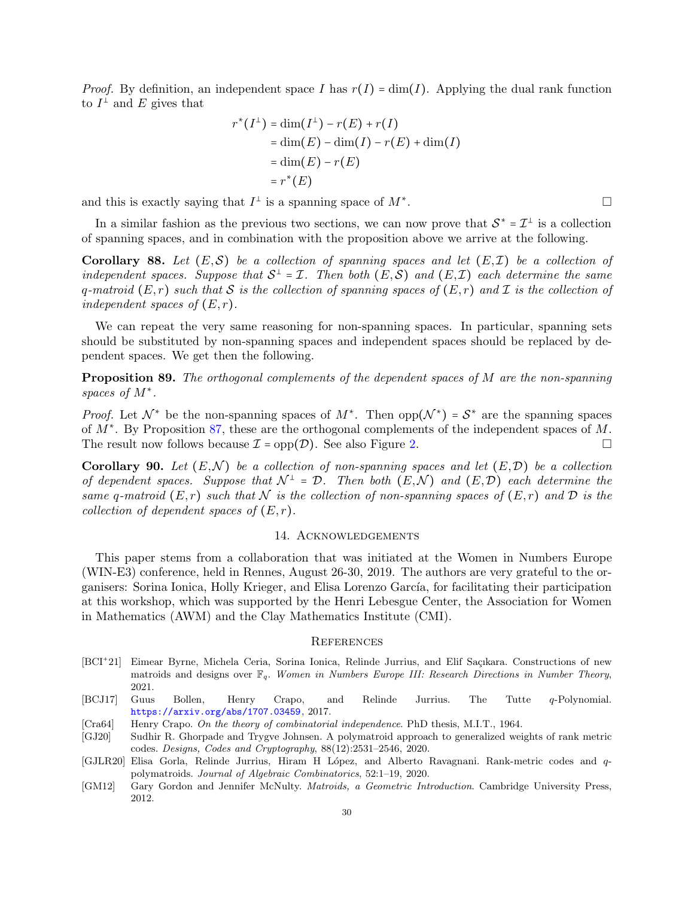*Proof.* By definition, an independent space I has  $r(I) = \dim(I)$ . Applying the dual rank function to  $I^{\perp}$  and E gives that

$$
r^*(I^{\perp}) = \dim(I^{\perp}) - r(E) + r(I)
$$
  
= 
$$
\dim(E) - \dim(I) - r(E) + \dim(I)
$$
  
= 
$$
\dim(E) - r(E)
$$
  
= 
$$
r^*(E)
$$

and this is exactly saying that  $I^{\perp}$  is a spanning space of  $M^*$ 

In a similar fashion as the previous two sections, we can now prove that  $S^* = \mathcal{I}^{\perp}$  is a collection of spanning spaces, and in combination with the proposition above we arrive at the following.

<span id="page-29-4"></span>Corollary 88. Let  $(E, S)$  be a collection of spanning spaces and let  $(E, \mathcal{I})$  be a collection of *independent spaces. Suppose that*  $S^{\perp} = I$ . Then both  $(E, S)$  and  $(E, I)$  each determine the same q-matroid  $(E, r)$  *such that* S *is the collection of spanning spaces of*  $(E, r)$  *and* I *is the collection of independent spaces of*  $(E, r)$ *.* 

We can repeat the very same reasoning for non-spanning spaces. In particular, spanning sets should be substituted by non-spanning spaces and independent spaces should be replaced by dependent spaces. We get then the following.

Proposition 89. *The orthogonal complements of the dependent spaces of* M *are the non-spanning spaces of* M<sup>∗</sup> *.*

*Proof.* Let  $\mathcal{N}^*$  be the non-spanning spaces of  $M^*$ . Then  $opp(\mathcal{N}^*) = \mathcal{S}^*$  are the spanning spaces of  $M^*$ . By Proposition [87,](#page-28-2) these are the orthogonal complements of the independent spaces of M. The result now follows because  $\mathcal{I} = \text{opp}(\mathcal{D})$ . See also Figure [2.](#page-2-2)

<span id="page-29-5"></span>**Corollary 90.** Let  $(E, \mathcal{N})$  be a collection of non-spanning spaces and let  $(E, \mathcal{D})$  be a collection *of dependent spaces. Suppose that*  $\mathcal{N}^{\perp} = \mathcal{D}$ . Then both  $(E, \mathcal{N})$  and  $(E, \mathcal{D})$  each determine the *same* q-matroid  $(E, r)$  *such that*  $N$  *is the collection of non-spanning spaces of*  $(E, r)$  *and*  $D$  *is the collection of dependent spaces of*  $(E, r)$ *.* 

# 14. Acknowledgements

This paper stems from a collaboration that was initiated at the Women in Numbers Europe (WIN-E3) conference, held in Rennes, August 26-30, 2019. The authors are very grateful to the organisers: Sorina Ionica, Holly Krieger, and Elisa Lorenzo García, for facilitating their participation at this workshop, which was supported by the Henri Lebesgue Center, the Association for Women in Mathematics (AWM) and the Clay Mathematics Institute (CMI).

### **REFERENCES**

- <span id="page-29-3"></span>[BCI<sup>+</sup>21] Eimear Byrne, Michela Ceria, Sorina Ionica, Relinde Jurrius, and Elif Saçıkara. Constructions of new matroids and designs over Fq. *Women in Numbers Europe III: Research Directions in Number Theory*, 2021.
- <span id="page-29-6"></span>[BCJ17] Guus Bollen, Henry Crapo, and Relinde Jurrius. The Tutte q-Polynomial. <https://arxiv.org/abs/1707.03459>, 2017.
- <span id="page-29-0"></span>[Cra64] Henry Crapo. *On the theory of combinatorial independence*. PhD thesis, M.I.T., 1964.
- <span id="page-29-2"></span>[GJ20] Sudhir R. Ghorpade and Trygve Johnsen. A polymatroid approach to generalized weights of rank metric codes. *Designs, Codes and Cryptography*, 88(12):2531–2546, 2020.
- <span id="page-29-1"></span>[GJLR20] Elisa Gorla, Relinde Jurrius, Hiram H López, and Alberto Ravagnani. Rank-metric codes and qpolymatroids. *Journal of Algebraic Combinatorics*, 52:1–19, 2020.
- <span id="page-29-7"></span>[GM12] Gary Gordon and Jennifer McNulty. *Matroids, a Geometric Introduction*. Cambridge University Press, 2012.

.